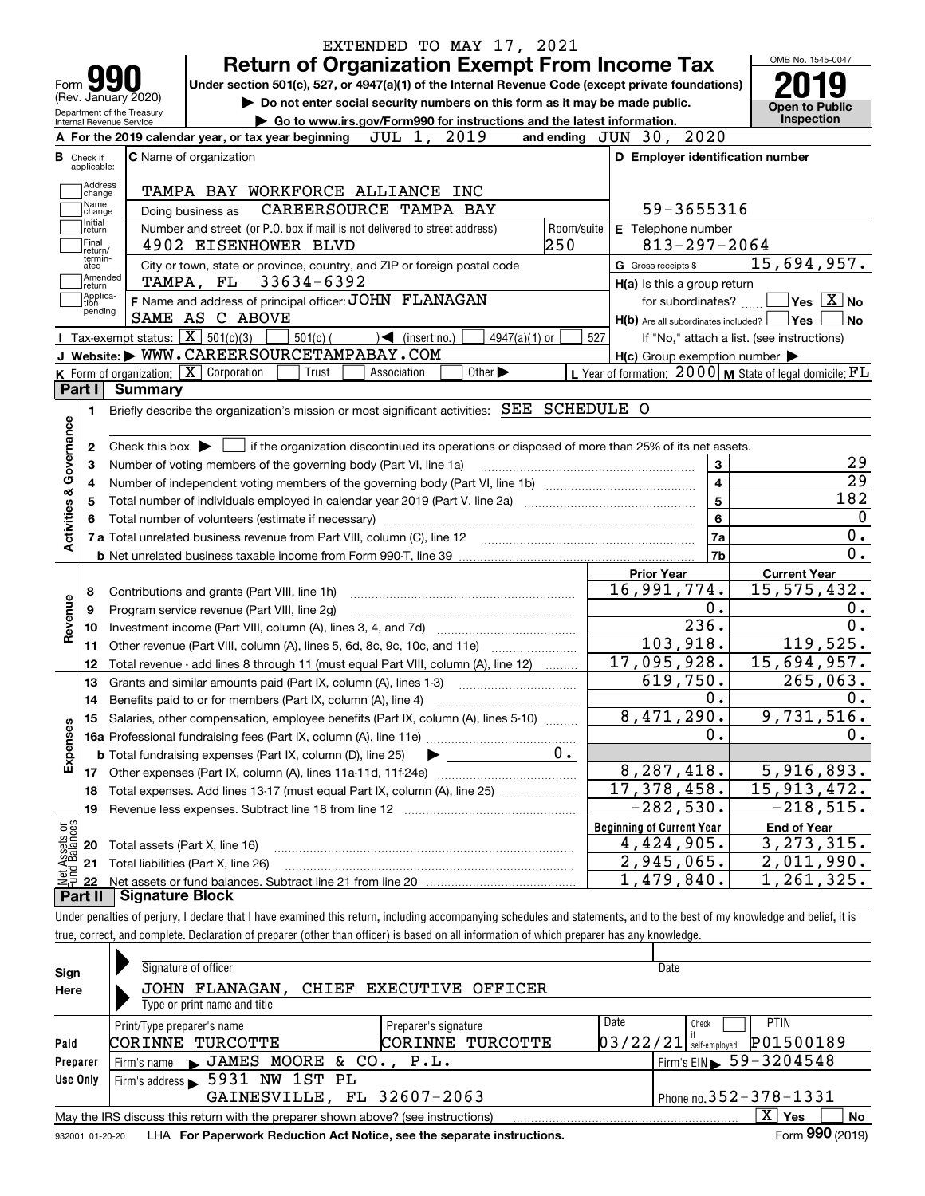|                                                      |                            | EXTENDED TO MAY 17, 2021<br><b>Return of Organization Exempt From Income Tax</b>                                                                                           |                                                                       | OMB No. 1545-0047                          |
|------------------------------------------------------|----------------------------|----------------------------------------------------------------------------------------------------------------------------------------------------------------------------|-----------------------------------------------------------------------|--------------------------------------------|
| Form                                                 |                            | Under section 501(c), 527, or 4947(a)(1) of the Internal Revenue Code (except private foundations)                                                                         |                                                                       |                                            |
|                                                      | (Rev. January 2020)        | Do not enter social security numbers on this form as it may be made public.                                                                                                |                                                                       |                                            |
|                                                      | Department of the Treasury | Go to www.irs.gov/Form990 for instructions and the latest information.                                                                                                     |                                                                       | <b>Open to Public</b><br>Inspection        |
| Internal Revenue Service                             |                            | JUL 1, 2019<br>A For the 2019 calendar year, or tax year beginning                                                                                                         | and ending JUN 30, 2020                                               |                                            |
| <b>B</b> Check if                                    |                            | C Name of organization                                                                                                                                                     | D Employer identification number                                      |                                            |
| applicable:<br>Address                               |                            |                                                                                                                                                                            |                                                                       |                                            |
| change<br>Name<br>change                             |                            | TAMPA BAY WORKFORCE ALLIANCE INC<br>CAREERSOURCE TAMPA BAY<br>Doing business as                                                                                            | 59-3655316                                                            |                                            |
| Initial<br>return                                    |                            | Number and street (or P.O. box if mail is not delivered to street address)<br>Room/suite                                                                                   | E Telephone number                                                    |                                            |
| Final<br>return/                                     |                            | 250<br>4902 EISENHOWER BLVD                                                                                                                                                | $813 - 297 - 2064$                                                    |                                            |
| termin-<br>ated<br>Amended                           |                            | City or town, state or province, country, and ZIP or foreign postal code                                                                                                   | G Gross receipts \$                                                   | 15,694,957.                                |
| return<br> Applica-                                  |                            | TAMPA, FL 33634-6392                                                                                                                                                       | H(a) Is this a group return                                           |                                            |
| tion<br>pending                                      |                            | F Name and address of principal officer: JOHN FLANAGAN                                                                                                                     | for subordinates?                                                     | $\blacksquare$ Yes $\overline{X}$ No       |
|                                                      |                            | SAME AS C ABOVE                                                                                                                                                            | $H(b)$ Are all subordinates included? $\Box$ Yes $\Box$               | ∣No                                        |
|                                                      |                            | Tax-exempt status: $\boxed{\mathbf{X}}$ 501(c)(3)<br>$501(c)$ (<br>$\sqrt{\frac{1}{1}}$ (insert no.)<br>4947(a)(1) or                                                      | 527                                                                   | If "No," attach a list. (see instructions) |
|                                                      |                            | J Website: WWW.CAREERSOURCETAMPABAY.COM                                                                                                                                    | $H(c)$ Group exemption number $\blacktriangleright$                   |                                            |
|                                                      |                            | K Form of organization: X Corporation<br>Other $\blacktriangleright$<br>Trust<br>Association                                                                               | L Year of formation: $2000 \text{   M}$ State of legal domicile: $FL$ |                                            |
| Part I                                               | <b>Summary</b>             |                                                                                                                                                                            |                                                                       |                                            |
| 1.                                                   |                            | Briefly describe the organization's mission or most significant activities: SEE SCHEDULE O                                                                                 |                                                                       |                                            |
|                                                      |                            |                                                                                                                                                                            |                                                                       |                                            |
| 2                                                    |                            | Check this box $\blacktriangleright$ $\Box$ if the organization discontinued its operations or disposed of more than 25% of its net assets.                                |                                                                       |                                            |
| з                                                    |                            | Number of voting members of the governing body (Part VI, line 1a)                                                                                                          | 3                                                                     | 29                                         |
| 4                                                    |                            |                                                                                                                                                                            | $\overline{\mathbf{4}}$                                               | 29                                         |
| 5                                                    |                            |                                                                                                                                                                            | $\overline{5}$                                                        | 182                                        |
|                                                      |                            |                                                                                                                                                                            | $6\phantom{a}$                                                        | $\mathbf 0$                                |
| Activities & Governance                              |                            | 7 a Total unrelated business revenue from Part VIII, column (C), line 12 [11] [12] [11] [12] [11] [11] [12] [1                                                             | 7a                                                                    | 0.                                         |
|                                                      |                            |                                                                                                                                                                            | 7b                                                                    | $\overline{0}$ .                           |
|                                                      |                            |                                                                                                                                                                            | <b>Prior Year</b>                                                     | <b>Current Year</b>                        |
| 8                                                    |                            | Contributions and grants (Part VIII, line 1h)                                                                                                                              | 16,991,774.                                                           | 15, 575, 432.                              |
| 9                                                    |                            | Program service revenue (Part VIII, line 2g)                                                                                                                               | 0.                                                                    | 0.                                         |
| Revenue<br>10                                        |                            |                                                                                                                                                                            | 236.                                                                  | $\overline{0}$ .                           |
| 11                                                   |                            | Other revenue (Part VIII, column (A), lines 5, 6d, 8c, 9c, 10c, and 11e)                                                                                                   | 103,918.                                                              | 119,525.                                   |
| 12                                                   |                            | Total revenue - add lines 8 through 11 (must equal Part VIII, column (A), line 12)                                                                                         | 17,095,928.                                                           | 15,694,957.                                |
| 13                                                   |                            | Grants and similar amounts paid (Part IX, column (A), lines 1-3)                                                                                                           | 619,750.                                                              | $\overline{265,063}$ .                     |
| 14                                                   |                            | Benefits paid to or for members (Part IX, column (A), line 4)                                                                                                              | 0.                                                                    | 0.                                         |
| 15                                                   |                            | Salaries, other compensation, employee benefits (Part IX, column (A), lines 5-10)                                                                                          | 8,471,290.                                                            | 9,731,516.                                 |
|                                                      |                            |                                                                                                                                                                            | 0.                                                                    | 0.                                         |
| Expenses                                             |                            | $0$ .<br><b>b</b> Total fundraising expenses (Part IX, column (D), line 25)                                                                                                |                                                                       |                                            |
|                                                      |                            | 17 Other expenses (Part IX, column (A), lines 11a-11d, 11f-24e)                                                                                                            | 8,287,418.                                                            | 5,916,893.                                 |
| 18                                                   |                            | Total expenses. Add lines 13-17 (must equal Part IX, column (A), line 25)                                                                                                  | 17, 378, 458.                                                         | $\overline{15}$ , 913, 472.                |
| 19                                                   |                            | Revenue less expenses. Subtract line 18 from line 12                                                                                                                       | $-282,530.$                                                           | $-218,515.$                                |
|                                                      |                            |                                                                                                                                                                            | <b>Beginning of Current Year</b>                                      | <b>End of Year</b>                         |
|                                                      |                            | Total assets (Part X, line 16)                                                                                                                                             | 4,424,905.                                                            | 3, 273, 315.                               |
|                                                      |                            | Total liabilities (Part X, line 26)                                                                                                                                        | 2,945,065.                                                            | 2,01 <u>1,990.</u>                         |
| Net Assets or<br>Fund Balances<br>N 2 2 8<br>N 2 2 8 |                            |                                                                                                                                                                            | 1,479,840.                                                            | 1,261,325.                                 |
| Part II                                              | <b>Signature Block</b>     |                                                                                                                                                                            |                                                                       |                                            |
|                                                      |                            | Under penalties of perjury, I declare that I have examined this return, including accompanying schedules and statements, and to the best of my knowledge and belief, it is |                                                                       |                                            |
|                                                      |                            | true, correct, and complete. Declaration of preparer (other than officer) is based on all information of which preparer has any knowledge.                                 |                                                                       |                                            |
|                                                      |                            |                                                                                                                                                                            |                                                                       |                                            |
| Sian                                                 |                            | Signature of officer                                                                                                                                                       | Date                                                                  |                                            |
|                                                      |                            |                                                                                                                                                                            |                                                                       |                                            |

| Sign     | Signature of officer                                                              |                      | Date                                         |
|----------|-----------------------------------------------------------------------------------|----------------------|----------------------------------------------|
| Here     | JOHN FLANAGAN, CHIEF EXECUTIVE OFFICER                                            |                      |                                              |
|          | Type or print name and title                                                      |                      |                                              |
|          | Print/Type preparer's name                                                        | Preparer's signature | <b>PTIN</b><br>Date<br>Check                 |
| Paid     | CORINNE TURCOTTE                                                                  | TURCOTTE<br>CORINNE  | P01500189<br> 03/22/21 <br>self-emploved     |
| Preparer | JAMES MOORE & CO., P.L.<br>Firm's name                                            |                      | Firm's EIN $\triangleright$ 59 - 3204548     |
| Use Only | Firm's address 5931 NW 1ST PL                                                     |                      |                                              |
|          | GAINESVILLE, FL 32607-2063                                                        |                      | Phone no. $352 - 378 - 1331$                 |
|          | May the IRS discuss this return with the preparer shown above? (see instructions) |                      | x<br>No<br>Yes                               |
|          |                                                                                   |                      | $000$ ( $22.2$ )<br>$\overline{\phantom{0}}$ |

932001 01-20-20 **For Paperwork Reduction Act Notice, see the separate instructions.** LHA Form (2019)

**990**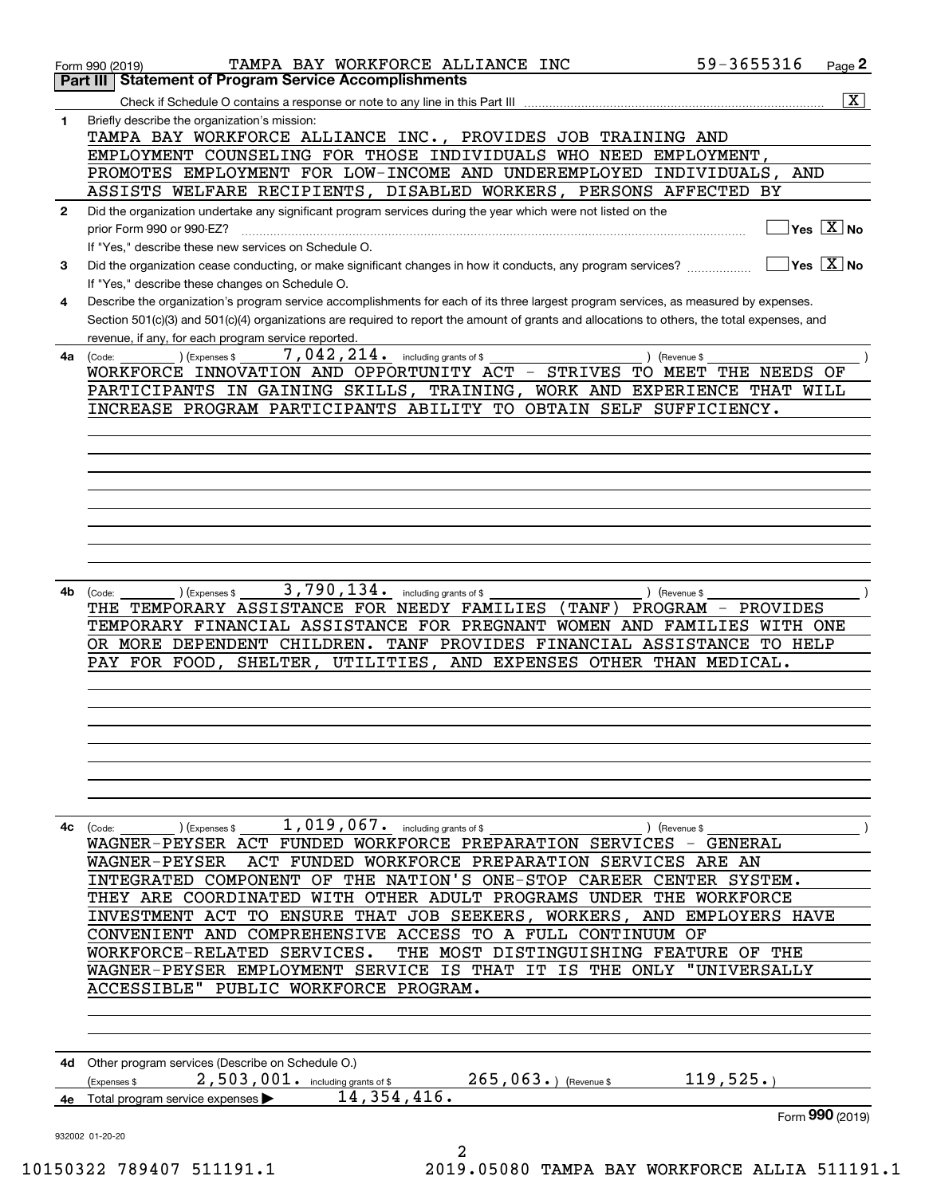|              | TAMPA BAY WORKFORCE ALLIANCE INC<br>Form 990 (2019)                                                                                                                  | 59-3655316                                      | Page 2                                    |
|--------------|----------------------------------------------------------------------------------------------------------------------------------------------------------------------|-------------------------------------------------|-------------------------------------------|
|              | <b>Statement of Program Service Accomplishments</b><br>Part III                                                                                                      |                                                 |                                           |
|              |                                                                                                                                                                      |                                                 | $\overline{\mathbf{x}}$                   |
| 1            | Briefly describe the organization's mission:<br>TAMPA BAY WORKFORCE ALLIANCE INC., PROVIDES JOB TRAINING AND                                                         |                                                 |                                           |
|              | EMPLOYMENT COUNSELING FOR THOSE INDIVIDUALS WHO NEED EMPLOYMENT,                                                                                                     |                                                 |                                           |
|              | PROMOTES EMPLOYMENT FOR LOW-INCOME AND UNDEREMPLOYED INDIVIDUALS,                                                                                                    | AND                                             |                                           |
|              | ASSISTS WELFARE RECIPIENTS, DISABLED WORKERS, PERSONS AFFECTED BY                                                                                                    |                                                 |                                           |
| $\mathbf{2}$ | Did the organization undertake any significant program services during the year which were not listed on the                                                         |                                                 | $\overline{\ }$ Yes $\overline{\rm X}$ No |
|              | prior Form 990 or 990-EZ?                                                                                                                                            |                                                 |                                           |
| З.           | If "Yes," describe these new services on Schedule O.<br>Did the organization cease conducting, or make significant changes in how it conducts, any program services? |                                                 | $\sqrt{}$ Yes $\sqrt{}$ X $\sqrt{}$ No    |
|              | If "Yes," describe these changes on Schedule O.                                                                                                                      |                                                 |                                           |
| 4            | Describe the organization's program service accomplishments for each of its three largest program services, as measured by expenses.                                 |                                                 |                                           |
|              | Section 501(c)(3) and 501(c)(4) organizations are required to report the amount of grants and allocations to others, the total expenses, and                         |                                                 |                                           |
|              | revenue, if any, for each program service reported.                                                                                                                  |                                                 |                                           |
| 4a           | 7,042,214.<br>) (Expenses \$<br>including grants of \$<br>(Code:                                                                                                     | ) (Revenue \$                                   |                                           |
|              | WORKFORCE INNOVATION AND OPPORTUNITY ACT -<br>STRIVES                                                                                                                | TO MEET<br>THE NEEDS                            | ΟF                                        |
|              | PARTICIPANTS IN GAINING SKILLS, TRAINING, WORK AND EXPERIENCE THAT WILL                                                                                              |                                                 |                                           |
|              | INCREASE PROGRAM PARTICIPANTS ABILITY TO OBTAIN SELF SUFFICIENCY.                                                                                                    |                                                 |                                           |
|              |                                                                                                                                                                      |                                                 |                                           |
|              |                                                                                                                                                                      |                                                 |                                           |
|              |                                                                                                                                                                      |                                                 |                                           |
|              |                                                                                                                                                                      |                                                 |                                           |
|              |                                                                                                                                                                      |                                                 |                                           |
|              |                                                                                                                                                                      |                                                 |                                           |
|              |                                                                                                                                                                      |                                                 |                                           |
|              |                                                                                                                                                                      |                                                 |                                           |
| 4b           | 3,790,134.<br>including grants of \$<br>(Expenses \$<br>(Code:                                                                                                       | ) (Revenue \$                                   |                                           |
|              | TEMPORARY ASSISTANCE FOR NEEDY FAMILIES<br>(TANF )<br>THE                                                                                                            | PROGRAM<br>PROVIDES<br>$\overline{\phantom{m}}$ |                                           |
|              | TEMPORARY FINANCIAL ASSISTANCE FOR PREGNANT WOMEN AND FAMILIES WITH ONE                                                                                              |                                                 |                                           |
|              | OR MORE DEPENDENT CHILDREN. TANF PROVIDES FINANCIAL ASSISTANCE                                                                                                       | TO HELP                                         |                                           |
|              | PAY FOR FOOD, SHELTER, UTILITIES, AND EXPENSES OTHER THAN MEDICAL.                                                                                                   |                                                 |                                           |
|              |                                                                                                                                                                      |                                                 |                                           |
|              |                                                                                                                                                                      |                                                 |                                           |
|              |                                                                                                                                                                      |                                                 |                                           |
|              |                                                                                                                                                                      |                                                 |                                           |
|              |                                                                                                                                                                      |                                                 |                                           |
|              |                                                                                                                                                                      |                                                 |                                           |
|              |                                                                                                                                                                      |                                                 |                                           |
| 4с           | $1,019,067$ and including grants of \$<br>) (Expenses \$<br>(Code:                                                                                                   | ) (Revenue \$                                   |                                           |
|              | WAGNER-PEYSER ACT FUNDED WORKFORCE PREPARATION SERVICES - GENERAL                                                                                                    |                                                 |                                           |
|              | ACT FUNDED WORKFORCE PREPARATION SERVICES ARE AN<br><b>WAGNER-PEYSER</b>                                                                                             |                                                 |                                           |
|              | INTEGRATED COMPONENT OF THE NATION'S ONE-STOP CAREER CENTER SYSTEM.                                                                                                  |                                                 |                                           |
|              | THEY ARE COORDINATED WITH OTHER ADULT PROGRAMS UNDER THE WORKFORCE<br>TO ENSURE THAT JOB SEEKERS, WORKERS, AND EMPLOYERS HAVE<br>INVESTMENT ACT                      |                                                 |                                           |
|              | CONVENIENT AND COMPREHENSIVE ACCESS TO A FULL CONTINUUM OF                                                                                                           |                                                 |                                           |
|              | WORKFORCE-RELATED SERVICES.<br>THE MOST DISTINGUISHING FEATURE OF THE                                                                                                |                                                 |                                           |
|              | WAGNER-PEYSER EMPLOYMENT SERVICE IS THAT IT IS THE ONLY                                                                                                              | "UNIVERSALLY                                    |                                           |
|              | PUBLIC WORKFORCE PROGRAM.<br>ACCESSIBLE"                                                                                                                             |                                                 |                                           |
|              |                                                                                                                                                                      |                                                 |                                           |
|              |                                                                                                                                                                      |                                                 |                                           |
|              |                                                                                                                                                                      |                                                 |                                           |
|              | 4d Other program services (Describe on Schedule O.)                                                                                                                  |                                                 |                                           |
|              | $265,063.$ (Revenue \$<br>$2$ , $503$ , $001$ or including grants of \$<br>(Expenses \$                                                                              | 119,525.                                        |                                           |
|              | 14, 354, 416.<br>4e Total program service expenses                                                                                                                   |                                                 |                                           |
|              |                                                                                                                                                                      |                                                 | Form 990 (2019)                           |
|              | 932002 01-20-20<br>2                                                                                                                                                 |                                                 |                                           |
|              |                                                                                                                                                                      |                                                 |                                           |

10150322 789407 511191.1 2019.05080 TAMPA BAY WORKFORCE ALLIA 511191.1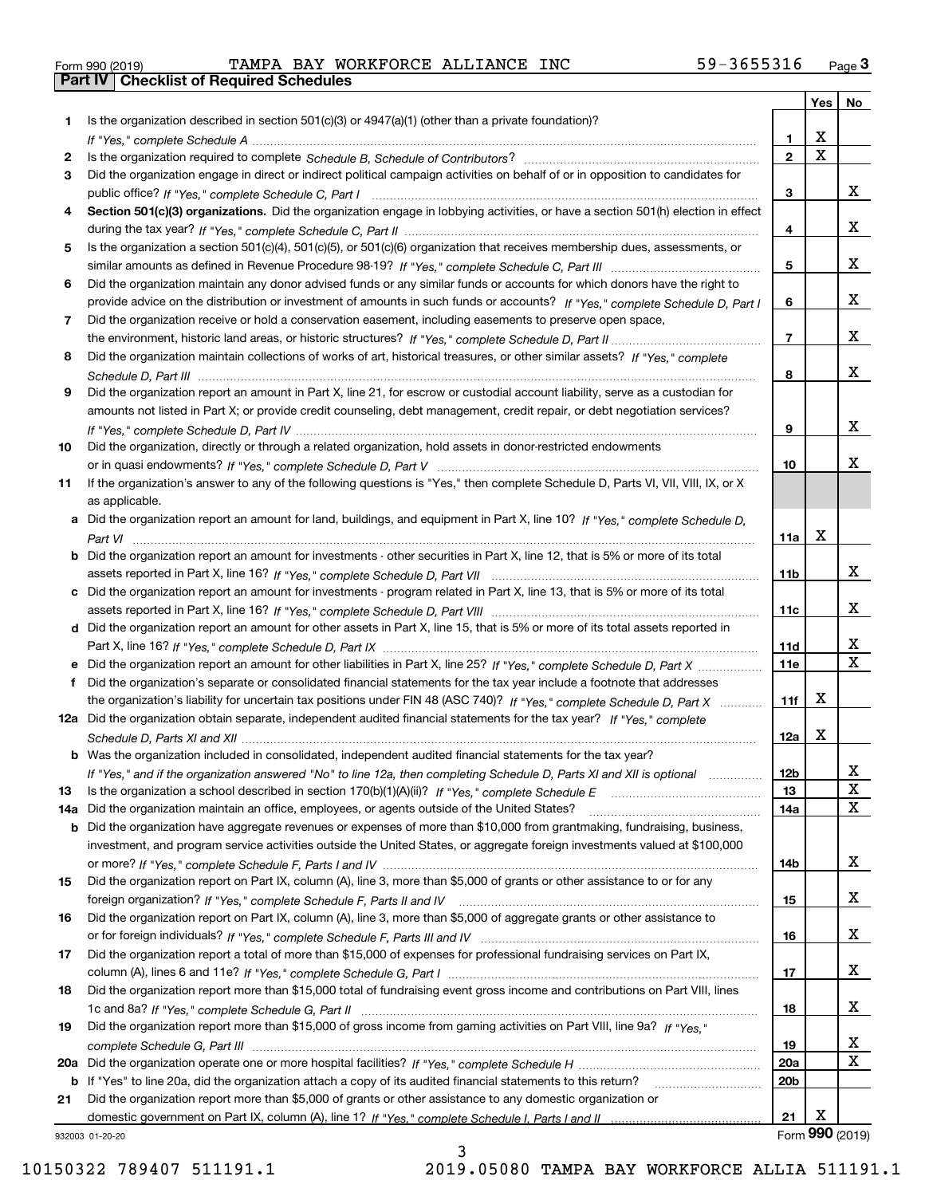| Form 990 (2019) |  |  |
|-----------------|--|--|
|                 |  |  |

Form 990 (2019) Page **3Part IV Checklist of Required Schedules** TAMPA BAY WORKFORCE ALLIANCE INC 59-3655316

|     |                                                                                                                                                  |                         | Yes                     | No                      |
|-----|--------------------------------------------------------------------------------------------------------------------------------------------------|-------------------------|-------------------------|-------------------------|
| 1.  | Is the organization described in section $501(c)(3)$ or $4947(a)(1)$ (other than a private foundation)?                                          |                         |                         |                         |
|     |                                                                                                                                                  | 1                       | X                       |                         |
| 2   |                                                                                                                                                  | $\overline{\mathbf{2}}$ | $\overline{\mathbf{x}}$ |                         |
| 3   | Did the organization engage in direct or indirect political campaign activities on behalf of or in opposition to candidates for                  |                         |                         |                         |
|     |                                                                                                                                                  | 3                       |                         | x                       |
| 4   | Section 501(c)(3) organizations. Did the organization engage in lobbying activities, or have a section 501(h) election in effect                 |                         |                         |                         |
|     |                                                                                                                                                  | 4                       |                         | x                       |
| 5   | Is the organization a section 501(c)(4), 501(c)(5), or 501(c)(6) organization that receives membership dues, assessments, or                     |                         |                         |                         |
|     |                                                                                                                                                  | 5                       |                         | x                       |
| 6   | Did the organization maintain any donor advised funds or any similar funds or accounts for which donors have the right to                        |                         |                         |                         |
|     | provide advice on the distribution or investment of amounts in such funds or accounts? If "Yes," complete Schedule D, Part I                     | 6                       |                         | X.                      |
| 7   | Did the organization receive or hold a conservation easement, including easements to preserve open space,                                        |                         |                         |                         |
|     |                                                                                                                                                  | $\overline{7}$          |                         | X.                      |
| 8   | Did the organization maintain collections of works of art, historical treasures, or other similar assets? If "Yes," complete                     |                         |                         |                         |
|     |                                                                                                                                                  | 8                       |                         | X.                      |
| 9   | Did the organization report an amount in Part X, line 21, for escrow or custodial account liability, serve as a custodian for                    |                         |                         |                         |
|     | amounts not listed in Part X; or provide credit counseling, debt management, credit repair, or debt negotiation services?                        |                         |                         | X.                      |
|     |                                                                                                                                                  | 9                       |                         |                         |
| 10  | Did the organization, directly or through a related organization, hold assets in donor-restricted endowments                                     |                         |                         | x                       |
|     |                                                                                                                                                  | 10                      |                         |                         |
| 11  | If the organization's answer to any of the following questions is "Yes," then complete Schedule D, Parts VI, VIII, VIII, IX, or X                |                         |                         |                         |
|     | as applicable.                                                                                                                                   |                         |                         |                         |
|     | a Did the organization report an amount for land, buildings, and equipment in Part X, line 10? If "Yes," complete Schedule D,                    | 11a                     | X                       |                         |
|     | Part VI<br><b>b</b> Did the organization report an amount for investments - other securities in Part X, line 12, that is 5% or more of its total |                         |                         |                         |
|     |                                                                                                                                                  | 11b                     |                         | x                       |
|     | c Did the organization report an amount for investments - program related in Part X, line 13, that is 5% or more of its total                    |                         |                         |                         |
|     |                                                                                                                                                  | 11c                     |                         | X.                      |
|     | d Did the organization report an amount for other assets in Part X, line 15, that is 5% or more of its total assets reported in                  |                         |                         |                         |
|     |                                                                                                                                                  | 11d                     |                         | х                       |
|     | e Did the organization report an amount for other liabilities in Part X, line 25? If "Yes," complete Schedule D, Part X                          | 11e                     |                         | $\overline{\mathbf{x}}$ |
| f   | Did the organization's separate or consolidated financial statements for the tax year include a footnote that addresses                          |                         |                         |                         |
|     | the organization's liability for uncertain tax positions under FIN 48 (ASC 740)? If "Yes," complete Schedule D, Part X                           | 11f                     | x                       |                         |
|     | 12a Did the organization obtain separate, independent audited financial statements for the tax year? If "Yes," complete                          |                         |                         |                         |
|     |                                                                                                                                                  | 12a                     | X                       |                         |
|     | <b>b</b> Was the organization included in consolidated, independent audited financial statements for the tax year?                               |                         |                         |                         |
|     | If "Yes," and if the organization answered "No" to line 12a, then completing Schedule D, Parts XI and XII is optional                            | 12b                     |                         | A                       |
| 13  |                                                                                                                                                  | 13                      |                         | X                       |
| 14a | Did the organization maintain an office, employees, or agents outside of the United States?                                                      | 14a                     |                         | X                       |
|     | b Did the organization have aggregate revenues or expenses of more than \$10,000 from grantmaking, fundraising, business,                        |                         |                         |                         |
|     | investment, and program service activities outside the United States, or aggregate foreign investments valued at \$100,000                       |                         |                         |                         |
|     |                                                                                                                                                  | 14b                     |                         | x                       |
| 15  | Did the organization report on Part IX, column (A), line 3, more than \$5,000 of grants or other assistance to or for any                        |                         |                         |                         |
|     |                                                                                                                                                  | 15                      |                         | x                       |
| 16  | Did the organization report on Part IX, column (A), line 3, more than \$5,000 of aggregate grants or other assistance to                         |                         |                         |                         |
|     |                                                                                                                                                  | 16                      |                         | x                       |
| 17  | Did the organization report a total of more than \$15,000 of expenses for professional fundraising services on Part IX,                          |                         |                         |                         |
|     |                                                                                                                                                  | 17                      |                         | x                       |
| 18  | Did the organization report more than \$15,000 total of fundraising event gross income and contributions on Part VIII, lines                     |                         |                         |                         |
|     |                                                                                                                                                  | 18                      |                         | x                       |
| 19  | Did the organization report more than \$15,000 of gross income from gaming activities on Part VIII, line 9a? If "Yes."                           |                         |                         |                         |
|     |                                                                                                                                                  | 19                      |                         | x                       |
|     |                                                                                                                                                  | 20a                     |                         | х                       |
|     | b If "Yes" to line 20a, did the organization attach a copy of its audited financial statements to this return?                                   | 20b                     |                         |                         |
| 21  | Did the organization report more than \$5,000 of grants or other assistance to any domestic organization or                                      |                         |                         |                         |
|     |                                                                                                                                                  | 21                      | x                       |                         |
|     | 932003 01-20-20                                                                                                                                  |                         |                         | Form 990 (2019)         |

3

932003 01-20-20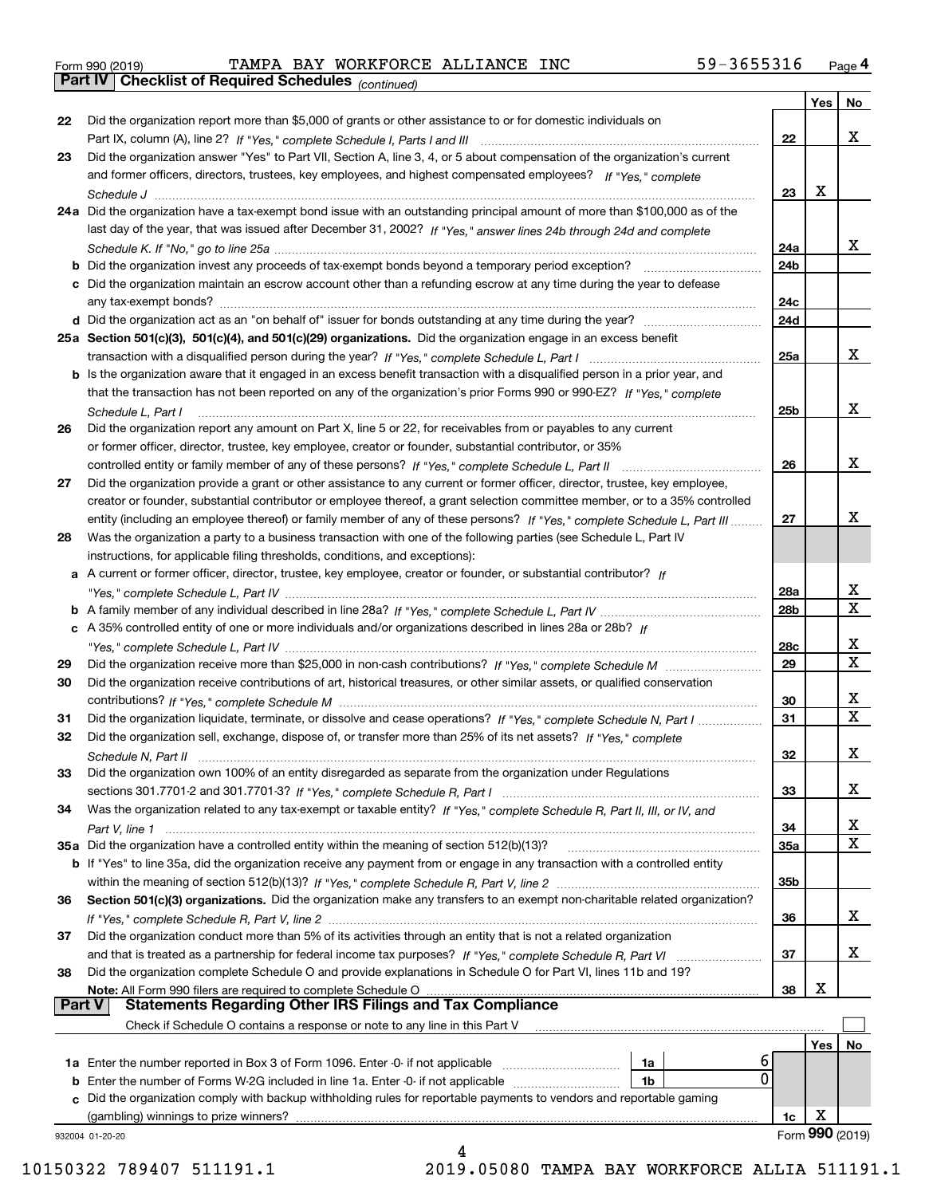| Form 990 (2019) |
|-----------------|

*(continued)* Form 990 (2019) Page **4Part IV Checklist of Required Schedules** TAMPA BAY WORKFORCE ALLIANCE INC 59-3655316

|               |                                                                                                                              |     | Yes | No                      |
|---------------|------------------------------------------------------------------------------------------------------------------------------|-----|-----|-------------------------|
| 22            | Did the organization report more than \$5,000 of grants or other assistance to or for domestic individuals on                |     |     |                         |
|               |                                                                                                                              | 22  |     | x                       |
| 23            | Did the organization answer "Yes" to Part VII, Section A, line 3, 4, or 5 about compensation of the organization's current   |     |     |                         |
|               | and former officers, directors, trustees, key employees, and highest compensated employees? If "Yes," complete               |     |     |                         |
|               |                                                                                                                              | 23  | x   |                         |
|               | 24a Did the organization have a tax-exempt bond issue with an outstanding principal amount of more than \$100,000 as of the  |     |     |                         |
|               | last day of the year, that was issued after December 31, 2002? If "Yes," answer lines 24b through 24d and complete           |     |     |                         |
|               |                                                                                                                              | 24a |     | X.                      |
|               | b Did the organization invest any proceeds of tax-exempt bonds beyond a temporary period exception?                          | 24b |     |                         |
|               | c Did the organization maintain an escrow account other than a refunding escrow at any time during the year to defease       |     |     |                         |
|               | any tax-exempt bonds?                                                                                                        | 24c |     |                         |
|               |                                                                                                                              | 24d |     |                         |
|               | 25a Section 501(c)(3), 501(c)(4), and 501(c)(29) organizations. Did the organization engage in an excess benefit             |     |     |                         |
|               |                                                                                                                              | 25a |     | X.                      |
|               | b Is the organization aware that it engaged in an excess benefit transaction with a disqualified person in a prior year, and |     |     |                         |
|               | that the transaction has not been reported on any of the organization's prior Forms 990 or 990-EZ? If "Yes." complete        |     |     |                         |
|               | Schedule L, Part I                                                                                                           | 25b |     | X.                      |
| 26            | Did the organization report any amount on Part X, line 5 or 22, for receivables from or payables to any current              |     |     |                         |
|               | or former officer, director, trustee, key employee, creator or founder, substantial contributor, or 35%                      |     |     |                         |
|               |                                                                                                                              | 26  |     | x                       |
| 27            | Did the organization provide a grant or other assistance to any current or former officer, director, trustee, key employee,  |     |     |                         |
|               | creator or founder, substantial contributor or employee thereof, a grant selection committee member, or to a 35% controlled  |     |     |                         |
|               | entity (including an employee thereof) or family member of any of these persons? If "Yes," complete Schedule L, Part III     | 27  |     | x                       |
| 28            | Was the organization a party to a business transaction with one of the following parties (see Schedule L, Part IV            |     |     |                         |
|               | instructions, for applicable filing thresholds, conditions, and exceptions):                                                 |     |     |                         |
|               | a A current or former officer, director, trustee, key employee, creator or founder, or substantial contributor? If           |     |     |                         |
|               |                                                                                                                              | 28a |     | x                       |
|               |                                                                                                                              | 28b |     | X                       |
|               | c A 35% controlled entity of one or more individuals and/or organizations described in lines 28a or 28b? If                  |     |     |                         |
|               |                                                                                                                              | 28c |     | x                       |
| 29            |                                                                                                                              | 29  |     | $\overline{\mathbf{x}}$ |
| 30            |                                                                                                                              |     |     |                         |
|               | Did the organization receive contributions of art, historical treasures, or other similar assets, or qualified conservation  | 30  |     | x                       |
| 31            | Did the organization liquidate, terminate, or dissolve and cease operations? If "Yes," complete Schedule N, Part I           | 31  |     | $\overline{\mathbf{x}}$ |
| 32            | Did the organization sell, exchange, dispose of, or transfer more than 25% of its net assets? If "Yes," complete             |     |     |                         |
|               |                                                                                                                              | 32  |     | x                       |
|               |                                                                                                                              |     |     |                         |
| 33            | Did the organization own 100% of an entity disregarded as separate from the organization under Regulations                   |     |     | X                       |
|               |                                                                                                                              | 33  |     |                         |
| 34            | Was the organization related to any tax-exempt or taxable entity? If "Yes," complete Schedule R, Part II, III, or IV, and    |     |     | х                       |
|               |                                                                                                                              | 34  |     | X                       |
|               | 35a Did the organization have a controlled entity within the meaning of section 512(b)(13)?                                  | 35a |     |                         |
|               | b If "Yes" to line 35a, did the organization receive any payment from or engage in any transaction with a controlled entity  |     |     |                         |
|               |                                                                                                                              | 35b |     |                         |
| 36            | Section 501(c)(3) organizations. Did the organization make any transfers to an exempt non-charitable related organization?   | 36  |     | x                       |
|               |                                                                                                                              |     |     |                         |
| 37            |                                                                                                                              |     |     |                         |
|               | Did the organization conduct more than 5% of its activities through an entity that is not a related organization             |     |     |                         |
| 38            | and that is treated as a partnership for federal income tax purposes? If "Yes," complete Schedule R, Part VI                 | 37  |     | x                       |
|               | Did the organization complete Schedule O and provide explanations in Schedule O for Part VI, lines 11b and 19?               |     |     |                         |
|               | Note: All Form 990 filers are required to complete Schedule O                                                                | 38  | х   |                         |
| <b>Part V</b> | <b>Statements Regarding Other IRS Filings and Tax Compliance</b>                                                             |     |     |                         |
|               | Check if Schedule O contains a response or note to any line in this Part V                                                   |     |     |                         |
|               |                                                                                                                              |     | Yes | No                      |
|               | 6<br><b>1a</b> Enter the number reported in Box 3 of Form 1096. Enter -0- if not applicable <i>manumumumum</i><br>1a         |     |     |                         |
|               | 0<br><b>b</b> Enter the number of Forms W-2G included in line 1a. Enter -0- if not applicable <i>manumumumum</i><br>1b       |     |     |                         |
|               | c Did the organization comply with backup withholding rules for reportable payments to vendors and reportable gaming         |     |     |                         |
|               | (gambling) winnings to prize winners?<br>932004 01-20-20                                                                     | 1c  | X   | Form 990 (2019)         |

10150322 789407 511191.1 2019.05080 TAMPA BAY WORKFORCE ALLIA 511191.1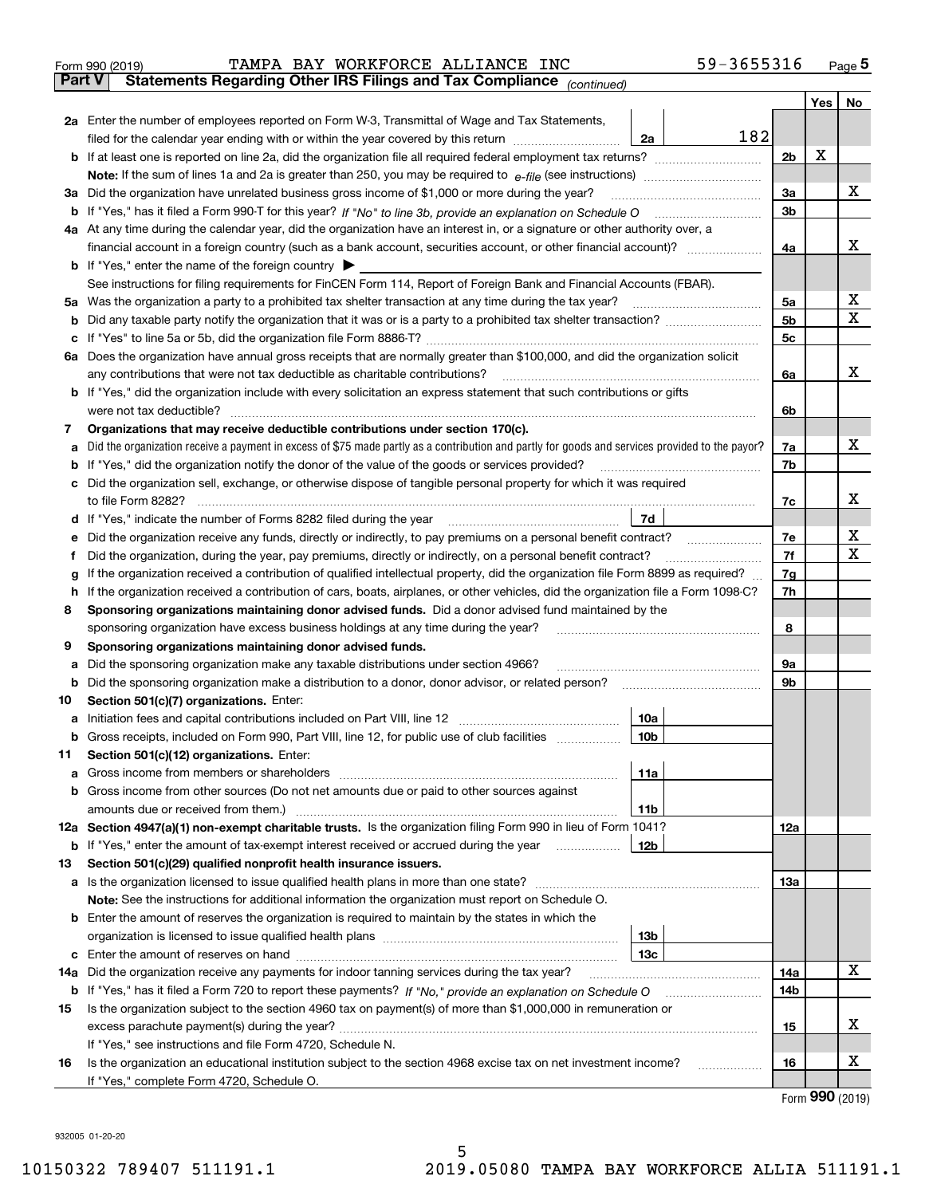| Form 990 (2019) |  | TAMPA BAY WORKFORCE ALLIANCE INC                                                               |  | 59-3655316 | Page 5 |
|-----------------|--|------------------------------------------------------------------------------------------------|--|------------|--------|
|                 |  | <b>Part V</b> Statements Regarding Other IRS Filings and Tax Compliance <sub>(continued)</sub> |  |            |        |

| ran v  | Statements Regarding Other IRS Fillings and Tax Compilance $_{(continued)}$                                                                     |     |                |     |             |
|--------|-------------------------------------------------------------------------------------------------------------------------------------------------|-----|----------------|-----|-------------|
|        |                                                                                                                                                 |     |                | Yes | No          |
|        | 2a Enter the number of employees reported on Form W-3, Transmittal of Wage and Tax Statements,                                                  |     |                |     |             |
|        | filed for the calendar year ending with or within the year covered by this return <i>manumumumum</i><br>2a                                      | 182 |                |     |             |
|        |                                                                                                                                                 |     | 2 <sub>b</sub> | X   |             |
|        |                                                                                                                                                 |     |                |     |             |
|        | 3a Did the organization have unrelated business gross income of \$1,000 or more during the year?                                                |     | За             |     | х           |
|        | b If "Yes," has it filed a Form 990-T for this year? If "No" to line 3b, provide an explanation on Schedule O                                   |     | 3b             |     |             |
|        | 4a At any time during the calendar year, did the organization have an interest in, or a signature or other authority over, a                    |     |                |     |             |
|        |                                                                                                                                                 |     | 4a             |     | х           |
|        | <b>b</b> If "Yes," enter the name of the foreign country                                                                                        |     |                |     |             |
|        | See instructions for filing requirements for FinCEN Form 114, Report of Foreign Bank and Financial Accounts (FBAR).                             |     |                |     |             |
|        | 5a Was the organization a party to a prohibited tax shelter transaction at any time during the tax year?                                        |     | 5а             |     | х           |
| b      |                                                                                                                                                 |     | 5b             |     | $\mathbf X$ |
| c      |                                                                                                                                                 |     | 5c             |     |             |
|        | 6a Does the organization have annual gross receipts that are normally greater than \$100,000, and did the organization solicit                  |     |                |     |             |
|        | any contributions that were not tax deductible as charitable contributions?                                                                     |     | 6a             |     | х           |
|        | <b>b</b> If "Yes," did the organization include with every solicitation an express statement that such contributions or gifts                   |     |                |     |             |
|        | were not tax deductible?                                                                                                                        |     | 6b             |     |             |
| 7      | Organizations that may receive deductible contributions under section 170(c).                                                                   |     |                |     |             |
| а      | Did the organization receive a payment in excess of \$75 made partly as a contribution and partly for goods and services provided to the payor? |     | 7a             |     | х           |
| b      | If "Yes," did the organization notify the donor of the value of the goods or services provided?                                                 |     | 7b             |     |             |
|        | c Did the organization sell, exchange, or otherwise dispose of tangible personal property for which it was required                             |     |                |     |             |
|        | to file Form 8282?                                                                                                                              |     | 7c             |     | х           |
|        | d If "Yes," indicate the number of Forms 8282 filed during the year<br>7d                                                                       |     |                |     |             |
| е      | Did the organization receive any funds, directly or indirectly, to pay premiums on a personal benefit contract?                                 |     | 7e             |     | х<br>х      |
| f      | Did the organization, during the year, pay premiums, directly or indirectly, on a personal benefit contract?                                    |     | 7f             |     |             |
| g      | If the organization received a contribution of qualified intellectual property, did the organization file Form 8899 as required?                |     | 7g             |     |             |
| h.     | If the organization received a contribution of cars, boats, airplanes, or other vehicles, did the organization file a Form 1098-C?              |     | 7h             |     |             |
| 8      | Sponsoring organizations maintaining donor advised funds. Did a donor advised fund maintained by the                                            |     |                |     |             |
|        | sponsoring organization have excess business holdings at any time during the year?                                                              |     | 8              |     |             |
| 9      | Sponsoring organizations maintaining donor advised funds.<br>Did the sponsoring organization make any taxable distributions under section 4966? |     | 9а             |     |             |
| а<br>b | Did the sponsoring organization make a distribution to a donor, donor advisor, or related person?                                               |     | 9b             |     |             |
| 10     | Section 501(c)(7) organizations. Enter:                                                                                                         |     |                |     |             |
| а      | Initiation fees and capital contributions included on Part VIII, line 12<br>10a                                                                 |     |                |     |             |
|        | b Gross receipts, included on Form 990, Part VIII, line 12, for public use of club facilities<br>10 <sub>b</sub>                                |     |                |     |             |
| 11.    | Section 501(c)(12) organizations. Enter:                                                                                                        |     |                |     |             |
|        | 11a                                                                                                                                             |     |                |     |             |
|        | <b>b</b> Gross income from other sources (Do not net amounts due or paid to other sources against                                               |     |                |     |             |
|        | 11b                                                                                                                                             |     |                |     |             |
|        | 12a Section 4947(a)(1) non-exempt charitable trusts. Is the organization filing Form 990 in lieu of Form 1041?                                  |     | 12a            |     |             |
|        | 12b<br><b>b</b> If "Yes," enter the amount of tax-exempt interest received or accrued during the year                                           |     |                |     |             |
| 13     | Section 501(c)(29) qualified nonprofit health insurance issuers.                                                                                |     |                |     |             |
|        | a Is the organization licensed to issue qualified health plans in more than one state?                                                          |     | 13а            |     |             |
|        | Note: See the instructions for additional information the organization must report on Schedule O.                                               |     |                |     |             |
|        | <b>b</b> Enter the amount of reserves the organization is required to maintain by the states in which the                                       |     |                |     |             |
|        | 13b                                                                                                                                             |     |                |     |             |
|        | 13с                                                                                                                                             |     |                |     |             |
|        | 14a Did the organization receive any payments for indoor tanning services during the tax year?                                                  |     | 14a            |     | х           |
|        |                                                                                                                                                 |     | 14b            |     |             |
| 15     | Is the organization subject to the section 4960 tax on payment(s) of more than \$1,000,000 in remuneration or                                   |     |                |     |             |
|        |                                                                                                                                                 |     | 15             |     | х           |
|        | If "Yes," see instructions and file Form 4720, Schedule N.                                                                                      |     |                |     |             |
| 16     | Is the organization an educational institution subject to the section 4968 excise tax on net investment income?                                 |     | 16             |     | х           |
|        | If "Yes," complete Form 4720, Schedule O.                                                                                                       |     |                |     |             |

Form (2019) **990**

932005 01-20-20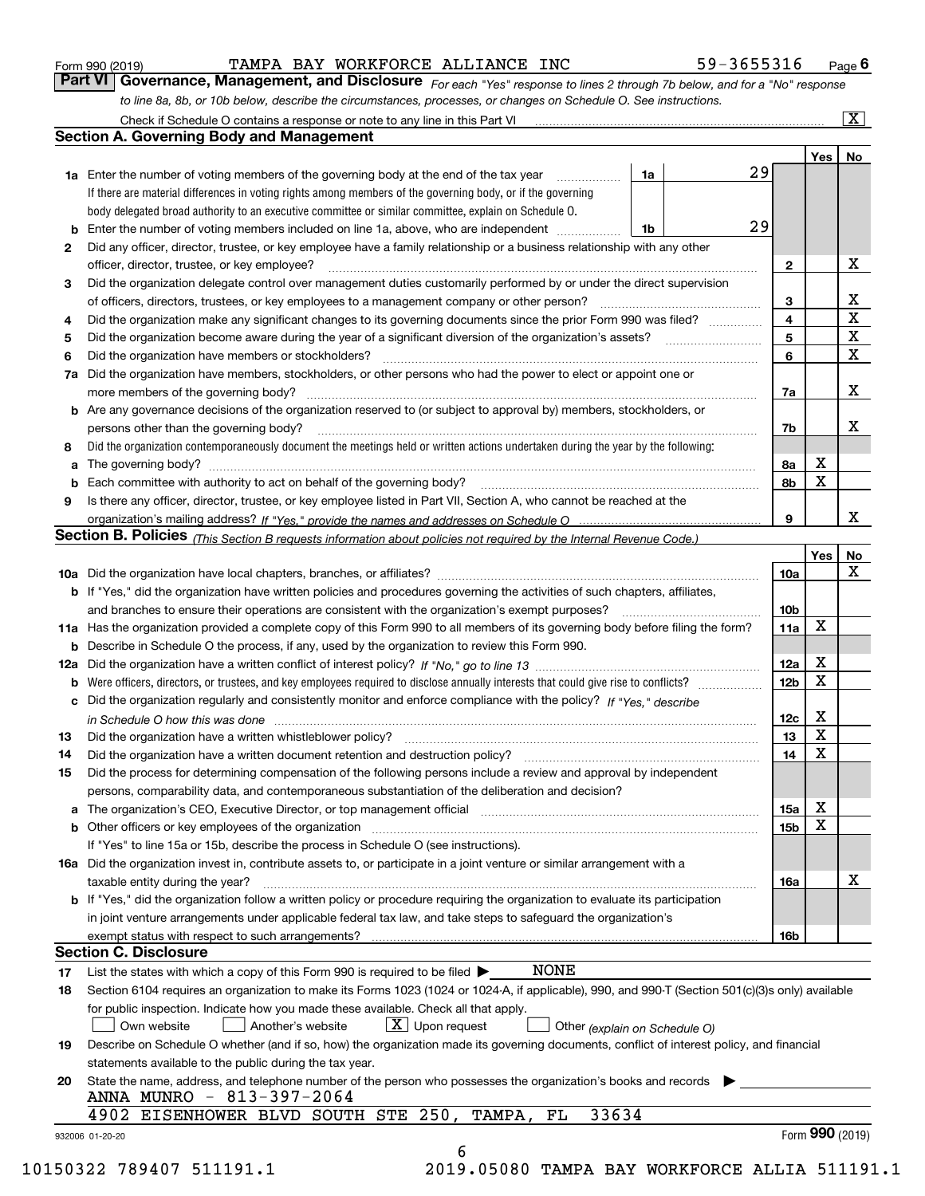| Form 990 (2019) |  |  |
|-----------------|--|--|
|                 |  |  |

#### TAMPA BAY WORKFORCE ALLIANCE INC 59-3655316

*For each "Yes" response to lines 2 through 7b below, and for a "No" response to line 8a, 8b, or 10b below, describe the circumstances, processes, or changes on Schedule O. See instructions.* Form 990 (2019) **COMBA BAY WORKFORCE ALLIANCE INC** 59-3655316 Page 6<br>**Part VI Governance, Management, and Disclosure** For each "Yes" response to lines 2 through 7b below, and for a "No" response

| <b>1a</b> Enter the number of voting members of the governing body at the end of the tax year<br>1a<br>If there are material differences in voting rights among members of the governing body, or if the governing<br>body delegated broad authority to an executive committee or similar committee, explain on Schedule O.<br>29<br>1b<br>Did any officer, director, trustee, or key employee have a family relationship or a business relationship with any other<br>2<br>officer, director, trustee, or key employee?<br>$\mathbf{2}$<br>Did the organization delegate control over management duties customarily performed by or under the direct supervision<br>3<br>3<br>Did the organization make any significant changes to its governing documents since the prior Form 990 was filed?<br>4<br>4<br>5<br>5<br>6<br>Did the organization have members or stockholders?<br>6<br>7a Did the organization have members, stockholders, or other persons who had the power to elect or appoint one or<br>7a<br><b>b</b> Are any governance decisions of the organization reserved to (or subject to approval by) members, stockholders, or<br>persons other than the governing body?<br>7b<br>Did the organization contemporaneously document the meetings held or written actions undertaken during the year by the following:<br>X<br>8a<br>a<br>X<br>8b<br>Is there any officer, director, trustee, or key employee listed in Part VII, Section A, who cannot be reached at the<br>9<br>Section B. Policies (This Section B requests information about policies not required by the Internal Revenue Code.)<br>Yes<br>10a<br><b>b</b> If "Yes," did the organization have written policies and procedures governing the activities of such chapters, affiliates,<br>10 <sub>b</sub><br>X<br>11a Has the organization provided a complete copy of this Form 990 to all members of its governing body before filing the form?<br>11a<br><b>b</b> Describe in Schedule O the process, if any, used by the organization to review this Form 990.<br>X<br>12a<br>X<br>12b<br>b<br>c Did the organization regularly and consistently monitor and enforce compliance with the policy? If "Yes," describe<br>х<br>12c<br>in Schedule O how this was done manufactured and continuum control of the Schedule O how this was done manufactured and continuum control of the Schedule O how this was done<br>X<br>13<br>X<br>14<br>Did the organization have a written document retention and destruction policy? manufactured and the organization have a written document retention and destruction policy?<br>Did the process for determining compensation of the following persons include a review and approval by independent<br>persons, comparability data, and contemporaneous substantiation of the deliberation and decision?<br>X<br>15a<br>X<br>15 <sub>b</sub><br>If "Yes" to line 15a or 15b, describe the process in Schedule O (see instructions).<br>16a Did the organization invest in, contribute assets to, or participate in a joint venture or similar arrangement with a<br>taxable entity during the year?<br>16a<br><b>b</b> If "Yes," did the organization follow a written policy or procedure requiring the organization to evaluate its participation<br>in joint venture arrangements under applicable federal tax law, and take steps to safequard the organization's<br>exempt status with respect to such arrangements?<br>16b<br><b>Section C. Disclosure</b><br><b>NONE</b><br>List the states with which a copy of this Form 990 is required to be filed $\blacktriangleright$<br>Section 6104 requires an organization to make its Forms 1023 (1024 or 1024-A, if applicable), 990, and 990-T (Section 501(c)(3)s only) available<br>for public inspection. Indicate how you made these available. Check all that apply.<br>$X$ Upon request<br>Own website<br>Another's website<br>Other (explain on Schedule O)<br>Describe on Schedule O whether (and if so, how) the organization made its governing documents, conflict of interest policy, and financial<br>statements available to the public during the tax year.<br>State the name, address, and telephone number of the person who possesses the organization's books and records<br>ANNA MUNRO - 813-397-2064<br>33634<br>4902 EISENHOWER BLVD SOUTH STE 250, TAMPA,<br>FL |    |  | 29 | Yes | No                      |
|------------------------------------------------------------------------------------------------------------------------------------------------------------------------------------------------------------------------------------------------------------------------------------------------------------------------------------------------------------------------------------------------------------------------------------------------------------------------------------------------------------------------------------------------------------------------------------------------------------------------------------------------------------------------------------------------------------------------------------------------------------------------------------------------------------------------------------------------------------------------------------------------------------------------------------------------------------------------------------------------------------------------------------------------------------------------------------------------------------------------------------------------------------------------------------------------------------------------------------------------------------------------------------------------------------------------------------------------------------------------------------------------------------------------------------------------------------------------------------------------------------------------------------------------------------------------------------------------------------------------------------------------------------------------------------------------------------------------------------------------------------------------------------------------------------------------------------------------------------------------------------------------------------------------------------------------------------------------------------------------------------------------------------------------------------------------------------------------------------------------------------------------------------------------------------------------------------------------------------------------------------------------------------------------------------------------------------------------------------------------------------------------------------------------------------------------------------------------------------------------------------------------------------------------------------------------------------------------------------------------------------------------------------------------------------------------------------------------------------------------------------------------------------------------------------------------------------------------------------------------------------------------------------------------------------------------------------------------------------------------------------------------------------------------------------------------------------------------------------------------------------------------------------------------------------------------------------------------------------------------------------------------------------------------------------------------------------------------------------------------------------------------------------------------------------------------------------------------------------------------------------------------------------------------------------------------------------------------------------------------------------------------------------------------------------------------------------------------------------------------------------------------------------------------------------------------------------------------------------------------------------------------------------------------------------------------------------------------------------------------------------------------------------------------------------------------------------------------------------------------------------------------------------------------------------------------------------------------------------------------------------------------------------------------------------------------------------------------------------------------|----|--|----|-----|-------------------------|
|                                                                                                                                                                                                                                                                                                                                                                                                                                                                                                                                                                                                                                                                                                                                                                                                                                                                                                                                                                                                                                                                                                                                                                                                                                                                                                                                                                                                                                                                                                                                                                                                                                                                                                                                                                                                                                                                                                                                                                                                                                                                                                                                                                                                                                                                                                                                                                                                                                                                                                                                                                                                                                                                                                                                                                                                                                                                                                                                                                                                                                                                                                                                                                                                                                                                                                                                                                                                                                                                                                                                                                                                                                                                                                                                                                                                                                                                                                                                                                                                                                                                                                                                                                                                                                                                                                                                                                        |    |  |    |     |                         |
|                                                                                                                                                                                                                                                                                                                                                                                                                                                                                                                                                                                                                                                                                                                                                                                                                                                                                                                                                                                                                                                                                                                                                                                                                                                                                                                                                                                                                                                                                                                                                                                                                                                                                                                                                                                                                                                                                                                                                                                                                                                                                                                                                                                                                                                                                                                                                                                                                                                                                                                                                                                                                                                                                                                                                                                                                                                                                                                                                                                                                                                                                                                                                                                                                                                                                                                                                                                                                                                                                                                                                                                                                                                                                                                                                                                                                                                                                                                                                                                                                                                                                                                                                                                                                                                                                                                                                                        |    |  |    |     |                         |
|                                                                                                                                                                                                                                                                                                                                                                                                                                                                                                                                                                                                                                                                                                                                                                                                                                                                                                                                                                                                                                                                                                                                                                                                                                                                                                                                                                                                                                                                                                                                                                                                                                                                                                                                                                                                                                                                                                                                                                                                                                                                                                                                                                                                                                                                                                                                                                                                                                                                                                                                                                                                                                                                                                                                                                                                                                                                                                                                                                                                                                                                                                                                                                                                                                                                                                                                                                                                                                                                                                                                                                                                                                                                                                                                                                                                                                                                                                                                                                                                                                                                                                                                                                                                                                                                                                                                                                        |    |  |    |     |                         |
|                                                                                                                                                                                                                                                                                                                                                                                                                                                                                                                                                                                                                                                                                                                                                                                                                                                                                                                                                                                                                                                                                                                                                                                                                                                                                                                                                                                                                                                                                                                                                                                                                                                                                                                                                                                                                                                                                                                                                                                                                                                                                                                                                                                                                                                                                                                                                                                                                                                                                                                                                                                                                                                                                                                                                                                                                                                                                                                                                                                                                                                                                                                                                                                                                                                                                                                                                                                                                                                                                                                                                                                                                                                                                                                                                                                                                                                                                                                                                                                                                                                                                                                                                                                                                                                                                                                                                                        |    |  |    |     |                         |
|                                                                                                                                                                                                                                                                                                                                                                                                                                                                                                                                                                                                                                                                                                                                                                                                                                                                                                                                                                                                                                                                                                                                                                                                                                                                                                                                                                                                                                                                                                                                                                                                                                                                                                                                                                                                                                                                                                                                                                                                                                                                                                                                                                                                                                                                                                                                                                                                                                                                                                                                                                                                                                                                                                                                                                                                                                                                                                                                                                                                                                                                                                                                                                                                                                                                                                                                                                                                                                                                                                                                                                                                                                                                                                                                                                                                                                                                                                                                                                                                                                                                                                                                                                                                                                                                                                                                                                        |    |  |    |     | X                       |
|                                                                                                                                                                                                                                                                                                                                                                                                                                                                                                                                                                                                                                                                                                                                                                                                                                                                                                                                                                                                                                                                                                                                                                                                                                                                                                                                                                                                                                                                                                                                                                                                                                                                                                                                                                                                                                                                                                                                                                                                                                                                                                                                                                                                                                                                                                                                                                                                                                                                                                                                                                                                                                                                                                                                                                                                                                                                                                                                                                                                                                                                                                                                                                                                                                                                                                                                                                                                                                                                                                                                                                                                                                                                                                                                                                                                                                                                                                                                                                                                                                                                                                                                                                                                                                                                                                                                                                        |    |  |    |     |                         |
|                                                                                                                                                                                                                                                                                                                                                                                                                                                                                                                                                                                                                                                                                                                                                                                                                                                                                                                                                                                                                                                                                                                                                                                                                                                                                                                                                                                                                                                                                                                                                                                                                                                                                                                                                                                                                                                                                                                                                                                                                                                                                                                                                                                                                                                                                                                                                                                                                                                                                                                                                                                                                                                                                                                                                                                                                                                                                                                                                                                                                                                                                                                                                                                                                                                                                                                                                                                                                                                                                                                                                                                                                                                                                                                                                                                                                                                                                                                                                                                                                                                                                                                                                                                                                                                                                                                                                                        |    |  |    |     | X                       |
|                                                                                                                                                                                                                                                                                                                                                                                                                                                                                                                                                                                                                                                                                                                                                                                                                                                                                                                                                                                                                                                                                                                                                                                                                                                                                                                                                                                                                                                                                                                                                                                                                                                                                                                                                                                                                                                                                                                                                                                                                                                                                                                                                                                                                                                                                                                                                                                                                                                                                                                                                                                                                                                                                                                                                                                                                                                                                                                                                                                                                                                                                                                                                                                                                                                                                                                                                                                                                                                                                                                                                                                                                                                                                                                                                                                                                                                                                                                                                                                                                                                                                                                                                                                                                                                                                                                                                                        |    |  |    |     | $\overline{\textbf{X}}$ |
|                                                                                                                                                                                                                                                                                                                                                                                                                                                                                                                                                                                                                                                                                                                                                                                                                                                                                                                                                                                                                                                                                                                                                                                                                                                                                                                                                                                                                                                                                                                                                                                                                                                                                                                                                                                                                                                                                                                                                                                                                                                                                                                                                                                                                                                                                                                                                                                                                                                                                                                                                                                                                                                                                                                                                                                                                                                                                                                                                                                                                                                                                                                                                                                                                                                                                                                                                                                                                                                                                                                                                                                                                                                                                                                                                                                                                                                                                                                                                                                                                                                                                                                                                                                                                                                                                                                                                                        |    |  |    |     | $\mathbf X$             |
|                                                                                                                                                                                                                                                                                                                                                                                                                                                                                                                                                                                                                                                                                                                                                                                                                                                                                                                                                                                                                                                                                                                                                                                                                                                                                                                                                                                                                                                                                                                                                                                                                                                                                                                                                                                                                                                                                                                                                                                                                                                                                                                                                                                                                                                                                                                                                                                                                                                                                                                                                                                                                                                                                                                                                                                                                                                                                                                                                                                                                                                                                                                                                                                                                                                                                                                                                                                                                                                                                                                                                                                                                                                                                                                                                                                                                                                                                                                                                                                                                                                                                                                                                                                                                                                                                                                                                                        |    |  |    |     | $\mathbf x$             |
|                                                                                                                                                                                                                                                                                                                                                                                                                                                                                                                                                                                                                                                                                                                                                                                                                                                                                                                                                                                                                                                                                                                                                                                                                                                                                                                                                                                                                                                                                                                                                                                                                                                                                                                                                                                                                                                                                                                                                                                                                                                                                                                                                                                                                                                                                                                                                                                                                                                                                                                                                                                                                                                                                                                                                                                                                                                                                                                                                                                                                                                                                                                                                                                                                                                                                                                                                                                                                                                                                                                                                                                                                                                                                                                                                                                                                                                                                                                                                                                                                                                                                                                                                                                                                                                                                                                                                                        |    |  |    |     |                         |
|                                                                                                                                                                                                                                                                                                                                                                                                                                                                                                                                                                                                                                                                                                                                                                                                                                                                                                                                                                                                                                                                                                                                                                                                                                                                                                                                                                                                                                                                                                                                                                                                                                                                                                                                                                                                                                                                                                                                                                                                                                                                                                                                                                                                                                                                                                                                                                                                                                                                                                                                                                                                                                                                                                                                                                                                                                                                                                                                                                                                                                                                                                                                                                                                                                                                                                                                                                                                                                                                                                                                                                                                                                                                                                                                                                                                                                                                                                                                                                                                                                                                                                                                                                                                                                                                                                                                                                        |    |  |    |     | x                       |
|                                                                                                                                                                                                                                                                                                                                                                                                                                                                                                                                                                                                                                                                                                                                                                                                                                                                                                                                                                                                                                                                                                                                                                                                                                                                                                                                                                                                                                                                                                                                                                                                                                                                                                                                                                                                                                                                                                                                                                                                                                                                                                                                                                                                                                                                                                                                                                                                                                                                                                                                                                                                                                                                                                                                                                                                                                                                                                                                                                                                                                                                                                                                                                                                                                                                                                                                                                                                                                                                                                                                                                                                                                                                                                                                                                                                                                                                                                                                                                                                                                                                                                                                                                                                                                                                                                                                                                        |    |  |    |     |                         |
|                                                                                                                                                                                                                                                                                                                                                                                                                                                                                                                                                                                                                                                                                                                                                                                                                                                                                                                                                                                                                                                                                                                                                                                                                                                                                                                                                                                                                                                                                                                                                                                                                                                                                                                                                                                                                                                                                                                                                                                                                                                                                                                                                                                                                                                                                                                                                                                                                                                                                                                                                                                                                                                                                                                                                                                                                                                                                                                                                                                                                                                                                                                                                                                                                                                                                                                                                                                                                                                                                                                                                                                                                                                                                                                                                                                                                                                                                                                                                                                                                                                                                                                                                                                                                                                                                                                                                                        |    |  |    |     | х                       |
|                                                                                                                                                                                                                                                                                                                                                                                                                                                                                                                                                                                                                                                                                                                                                                                                                                                                                                                                                                                                                                                                                                                                                                                                                                                                                                                                                                                                                                                                                                                                                                                                                                                                                                                                                                                                                                                                                                                                                                                                                                                                                                                                                                                                                                                                                                                                                                                                                                                                                                                                                                                                                                                                                                                                                                                                                                                                                                                                                                                                                                                                                                                                                                                                                                                                                                                                                                                                                                                                                                                                                                                                                                                                                                                                                                                                                                                                                                                                                                                                                                                                                                                                                                                                                                                                                                                                                                        | 8  |  |    |     |                         |
|                                                                                                                                                                                                                                                                                                                                                                                                                                                                                                                                                                                                                                                                                                                                                                                                                                                                                                                                                                                                                                                                                                                                                                                                                                                                                                                                                                                                                                                                                                                                                                                                                                                                                                                                                                                                                                                                                                                                                                                                                                                                                                                                                                                                                                                                                                                                                                                                                                                                                                                                                                                                                                                                                                                                                                                                                                                                                                                                                                                                                                                                                                                                                                                                                                                                                                                                                                                                                                                                                                                                                                                                                                                                                                                                                                                                                                                                                                                                                                                                                                                                                                                                                                                                                                                                                                                                                                        |    |  |    |     |                         |
|                                                                                                                                                                                                                                                                                                                                                                                                                                                                                                                                                                                                                                                                                                                                                                                                                                                                                                                                                                                                                                                                                                                                                                                                                                                                                                                                                                                                                                                                                                                                                                                                                                                                                                                                                                                                                                                                                                                                                                                                                                                                                                                                                                                                                                                                                                                                                                                                                                                                                                                                                                                                                                                                                                                                                                                                                                                                                                                                                                                                                                                                                                                                                                                                                                                                                                                                                                                                                                                                                                                                                                                                                                                                                                                                                                                                                                                                                                                                                                                                                                                                                                                                                                                                                                                                                                                                                                        |    |  |    |     |                         |
|                                                                                                                                                                                                                                                                                                                                                                                                                                                                                                                                                                                                                                                                                                                                                                                                                                                                                                                                                                                                                                                                                                                                                                                                                                                                                                                                                                                                                                                                                                                                                                                                                                                                                                                                                                                                                                                                                                                                                                                                                                                                                                                                                                                                                                                                                                                                                                                                                                                                                                                                                                                                                                                                                                                                                                                                                                                                                                                                                                                                                                                                                                                                                                                                                                                                                                                                                                                                                                                                                                                                                                                                                                                                                                                                                                                                                                                                                                                                                                                                                                                                                                                                                                                                                                                                                                                                                                        | 9  |  |    |     |                         |
|                                                                                                                                                                                                                                                                                                                                                                                                                                                                                                                                                                                                                                                                                                                                                                                                                                                                                                                                                                                                                                                                                                                                                                                                                                                                                                                                                                                                                                                                                                                                                                                                                                                                                                                                                                                                                                                                                                                                                                                                                                                                                                                                                                                                                                                                                                                                                                                                                                                                                                                                                                                                                                                                                                                                                                                                                                                                                                                                                                                                                                                                                                                                                                                                                                                                                                                                                                                                                                                                                                                                                                                                                                                                                                                                                                                                                                                                                                                                                                                                                                                                                                                                                                                                                                                                                                                                                                        |    |  |    |     | х                       |
|                                                                                                                                                                                                                                                                                                                                                                                                                                                                                                                                                                                                                                                                                                                                                                                                                                                                                                                                                                                                                                                                                                                                                                                                                                                                                                                                                                                                                                                                                                                                                                                                                                                                                                                                                                                                                                                                                                                                                                                                                                                                                                                                                                                                                                                                                                                                                                                                                                                                                                                                                                                                                                                                                                                                                                                                                                                                                                                                                                                                                                                                                                                                                                                                                                                                                                                                                                                                                                                                                                                                                                                                                                                                                                                                                                                                                                                                                                                                                                                                                                                                                                                                                                                                                                                                                                                                                                        |    |  |    |     |                         |
|                                                                                                                                                                                                                                                                                                                                                                                                                                                                                                                                                                                                                                                                                                                                                                                                                                                                                                                                                                                                                                                                                                                                                                                                                                                                                                                                                                                                                                                                                                                                                                                                                                                                                                                                                                                                                                                                                                                                                                                                                                                                                                                                                                                                                                                                                                                                                                                                                                                                                                                                                                                                                                                                                                                                                                                                                                                                                                                                                                                                                                                                                                                                                                                                                                                                                                                                                                                                                                                                                                                                                                                                                                                                                                                                                                                                                                                                                                                                                                                                                                                                                                                                                                                                                                                                                                                                                                        |    |  |    |     | No                      |
|                                                                                                                                                                                                                                                                                                                                                                                                                                                                                                                                                                                                                                                                                                                                                                                                                                                                                                                                                                                                                                                                                                                                                                                                                                                                                                                                                                                                                                                                                                                                                                                                                                                                                                                                                                                                                                                                                                                                                                                                                                                                                                                                                                                                                                                                                                                                                                                                                                                                                                                                                                                                                                                                                                                                                                                                                                                                                                                                                                                                                                                                                                                                                                                                                                                                                                                                                                                                                                                                                                                                                                                                                                                                                                                                                                                                                                                                                                                                                                                                                                                                                                                                                                                                                                                                                                                                                                        |    |  |    |     | X                       |
|                                                                                                                                                                                                                                                                                                                                                                                                                                                                                                                                                                                                                                                                                                                                                                                                                                                                                                                                                                                                                                                                                                                                                                                                                                                                                                                                                                                                                                                                                                                                                                                                                                                                                                                                                                                                                                                                                                                                                                                                                                                                                                                                                                                                                                                                                                                                                                                                                                                                                                                                                                                                                                                                                                                                                                                                                                                                                                                                                                                                                                                                                                                                                                                                                                                                                                                                                                                                                                                                                                                                                                                                                                                                                                                                                                                                                                                                                                                                                                                                                                                                                                                                                                                                                                                                                                                                                                        |    |  |    |     |                         |
|                                                                                                                                                                                                                                                                                                                                                                                                                                                                                                                                                                                                                                                                                                                                                                                                                                                                                                                                                                                                                                                                                                                                                                                                                                                                                                                                                                                                                                                                                                                                                                                                                                                                                                                                                                                                                                                                                                                                                                                                                                                                                                                                                                                                                                                                                                                                                                                                                                                                                                                                                                                                                                                                                                                                                                                                                                                                                                                                                                                                                                                                                                                                                                                                                                                                                                                                                                                                                                                                                                                                                                                                                                                                                                                                                                                                                                                                                                                                                                                                                                                                                                                                                                                                                                                                                                                                                                        |    |  |    |     |                         |
|                                                                                                                                                                                                                                                                                                                                                                                                                                                                                                                                                                                                                                                                                                                                                                                                                                                                                                                                                                                                                                                                                                                                                                                                                                                                                                                                                                                                                                                                                                                                                                                                                                                                                                                                                                                                                                                                                                                                                                                                                                                                                                                                                                                                                                                                                                                                                                                                                                                                                                                                                                                                                                                                                                                                                                                                                                                                                                                                                                                                                                                                                                                                                                                                                                                                                                                                                                                                                                                                                                                                                                                                                                                                                                                                                                                                                                                                                                                                                                                                                                                                                                                                                                                                                                                                                                                                                                        |    |  |    |     |                         |
|                                                                                                                                                                                                                                                                                                                                                                                                                                                                                                                                                                                                                                                                                                                                                                                                                                                                                                                                                                                                                                                                                                                                                                                                                                                                                                                                                                                                                                                                                                                                                                                                                                                                                                                                                                                                                                                                                                                                                                                                                                                                                                                                                                                                                                                                                                                                                                                                                                                                                                                                                                                                                                                                                                                                                                                                                                                                                                                                                                                                                                                                                                                                                                                                                                                                                                                                                                                                                                                                                                                                                                                                                                                                                                                                                                                                                                                                                                                                                                                                                                                                                                                                                                                                                                                                                                                                                                        |    |  |    |     |                         |
|                                                                                                                                                                                                                                                                                                                                                                                                                                                                                                                                                                                                                                                                                                                                                                                                                                                                                                                                                                                                                                                                                                                                                                                                                                                                                                                                                                                                                                                                                                                                                                                                                                                                                                                                                                                                                                                                                                                                                                                                                                                                                                                                                                                                                                                                                                                                                                                                                                                                                                                                                                                                                                                                                                                                                                                                                                                                                                                                                                                                                                                                                                                                                                                                                                                                                                                                                                                                                                                                                                                                                                                                                                                                                                                                                                                                                                                                                                                                                                                                                                                                                                                                                                                                                                                                                                                                                                        |    |  |    |     |                         |
|                                                                                                                                                                                                                                                                                                                                                                                                                                                                                                                                                                                                                                                                                                                                                                                                                                                                                                                                                                                                                                                                                                                                                                                                                                                                                                                                                                                                                                                                                                                                                                                                                                                                                                                                                                                                                                                                                                                                                                                                                                                                                                                                                                                                                                                                                                                                                                                                                                                                                                                                                                                                                                                                                                                                                                                                                                                                                                                                                                                                                                                                                                                                                                                                                                                                                                                                                                                                                                                                                                                                                                                                                                                                                                                                                                                                                                                                                                                                                                                                                                                                                                                                                                                                                                                                                                                                                                        |    |  |    |     |                         |
|                                                                                                                                                                                                                                                                                                                                                                                                                                                                                                                                                                                                                                                                                                                                                                                                                                                                                                                                                                                                                                                                                                                                                                                                                                                                                                                                                                                                                                                                                                                                                                                                                                                                                                                                                                                                                                                                                                                                                                                                                                                                                                                                                                                                                                                                                                                                                                                                                                                                                                                                                                                                                                                                                                                                                                                                                                                                                                                                                                                                                                                                                                                                                                                                                                                                                                                                                                                                                                                                                                                                                                                                                                                                                                                                                                                                                                                                                                                                                                                                                                                                                                                                                                                                                                                                                                                                                                        |    |  |    |     |                         |
|                                                                                                                                                                                                                                                                                                                                                                                                                                                                                                                                                                                                                                                                                                                                                                                                                                                                                                                                                                                                                                                                                                                                                                                                                                                                                                                                                                                                                                                                                                                                                                                                                                                                                                                                                                                                                                                                                                                                                                                                                                                                                                                                                                                                                                                                                                                                                                                                                                                                                                                                                                                                                                                                                                                                                                                                                                                                                                                                                                                                                                                                                                                                                                                                                                                                                                                                                                                                                                                                                                                                                                                                                                                                                                                                                                                                                                                                                                                                                                                                                                                                                                                                                                                                                                                                                                                                                                        |    |  |    |     |                         |
|                                                                                                                                                                                                                                                                                                                                                                                                                                                                                                                                                                                                                                                                                                                                                                                                                                                                                                                                                                                                                                                                                                                                                                                                                                                                                                                                                                                                                                                                                                                                                                                                                                                                                                                                                                                                                                                                                                                                                                                                                                                                                                                                                                                                                                                                                                                                                                                                                                                                                                                                                                                                                                                                                                                                                                                                                                                                                                                                                                                                                                                                                                                                                                                                                                                                                                                                                                                                                                                                                                                                                                                                                                                                                                                                                                                                                                                                                                                                                                                                                                                                                                                                                                                                                                                                                                                                                                        | 13 |  |    |     |                         |
|                                                                                                                                                                                                                                                                                                                                                                                                                                                                                                                                                                                                                                                                                                                                                                                                                                                                                                                                                                                                                                                                                                                                                                                                                                                                                                                                                                                                                                                                                                                                                                                                                                                                                                                                                                                                                                                                                                                                                                                                                                                                                                                                                                                                                                                                                                                                                                                                                                                                                                                                                                                                                                                                                                                                                                                                                                                                                                                                                                                                                                                                                                                                                                                                                                                                                                                                                                                                                                                                                                                                                                                                                                                                                                                                                                                                                                                                                                                                                                                                                                                                                                                                                                                                                                                                                                                                                                        | 14 |  |    |     |                         |
|                                                                                                                                                                                                                                                                                                                                                                                                                                                                                                                                                                                                                                                                                                                                                                                                                                                                                                                                                                                                                                                                                                                                                                                                                                                                                                                                                                                                                                                                                                                                                                                                                                                                                                                                                                                                                                                                                                                                                                                                                                                                                                                                                                                                                                                                                                                                                                                                                                                                                                                                                                                                                                                                                                                                                                                                                                                                                                                                                                                                                                                                                                                                                                                                                                                                                                                                                                                                                                                                                                                                                                                                                                                                                                                                                                                                                                                                                                                                                                                                                                                                                                                                                                                                                                                                                                                                                                        | 15 |  |    |     |                         |
|                                                                                                                                                                                                                                                                                                                                                                                                                                                                                                                                                                                                                                                                                                                                                                                                                                                                                                                                                                                                                                                                                                                                                                                                                                                                                                                                                                                                                                                                                                                                                                                                                                                                                                                                                                                                                                                                                                                                                                                                                                                                                                                                                                                                                                                                                                                                                                                                                                                                                                                                                                                                                                                                                                                                                                                                                                                                                                                                                                                                                                                                                                                                                                                                                                                                                                                                                                                                                                                                                                                                                                                                                                                                                                                                                                                                                                                                                                                                                                                                                                                                                                                                                                                                                                                                                                                                                                        |    |  |    |     |                         |
|                                                                                                                                                                                                                                                                                                                                                                                                                                                                                                                                                                                                                                                                                                                                                                                                                                                                                                                                                                                                                                                                                                                                                                                                                                                                                                                                                                                                                                                                                                                                                                                                                                                                                                                                                                                                                                                                                                                                                                                                                                                                                                                                                                                                                                                                                                                                                                                                                                                                                                                                                                                                                                                                                                                                                                                                                                                                                                                                                                                                                                                                                                                                                                                                                                                                                                                                                                                                                                                                                                                                                                                                                                                                                                                                                                                                                                                                                                                                                                                                                                                                                                                                                                                                                                                                                                                                                                        |    |  |    |     |                         |
|                                                                                                                                                                                                                                                                                                                                                                                                                                                                                                                                                                                                                                                                                                                                                                                                                                                                                                                                                                                                                                                                                                                                                                                                                                                                                                                                                                                                                                                                                                                                                                                                                                                                                                                                                                                                                                                                                                                                                                                                                                                                                                                                                                                                                                                                                                                                                                                                                                                                                                                                                                                                                                                                                                                                                                                                                                                                                                                                                                                                                                                                                                                                                                                                                                                                                                                                                                                                                                                                                                                                                                                                                                                                                                                                                                                                                                                                                                                                                                                                                                                                                                                                                                                                                                                                                                                                                                        |    |  |    |     |                         |
|                                                                                                                                                                                                                                                                                                                                                                                                                                                                                                                                                                                                                                                                                                                                                                                                                                                                                                                                                                                                                                                                                                                                                                                                                                                                                                                                                                                                                                                                                                                                                                                                                                                                                                                                                                                                                                                                                                                                                                                                                                                                                                                                                                                                                                                                                                                                                                                                                                                                                                                                                                                                                                                                                                                                                                                                                                                                                                                                                                                                                                                                                                                                                                                                                                                                                                                                                                                                                                                                                                                                                                                                                                                                                                                                                                                                                                                                                                                                                                                                                                                                                                                                                                                                                                                                                                                                                                        |    |  |    |     |                         |
|                                                                                                                                                                                                                                                                                                                                                                                                                                                                                                                                                                                                                                                                                                                                                                                                                                                                                                                                                                                                                                                                                                                                                                                                                                                                                                                                                                                                                                                                                                                                                                                                                                                                                                                                                                                                                                                                                                                                                                                                                                                                                                                                                                                                                                                                                                                                                                                                                                                                                                                                                                                                                                                                                                                                                                                                                                                                                                                                                                                                                                                                                                                                                                                                                                                                                                                                                                                                                                                                                                                                                                                                                                                                                                                                                                                                                                                                                                                                                                                                                                                                                                                                                                                                                                                                                                                                                                        |    |  |    |     |                         |
|                                                                                                                                                                                                                                                                                                                                                                                                                                                                                                                                                                                                                                                                                                                                                                                                                                                                                                                                                                                                                                                                                                                                                                                                                                                                                                                                                                                                                                                                                                                                                                                                                                                                                                                                                                                                                                                                                                                                                                                                                                                                                                                                                                                                                                                                                                                                                                                                                                                                                                                                                                                                                                                                                                                                                                                                                                                                                                                                                                                                                                                                                                                                                                                                                                                                                                                                                                                                                                                                                                                                                                                                                                                                                                                                                                                                                                                                                                                                                                                                                                                                                                                                                                                                                                                                                                                                                                        |    |  |    |     | X                       |
|                                                                                                                                                                                                                                                                                                                                                                                                                                                                                                                                                                                                                                                                                                                                                                                                                                                                                                                                                                                                                                                                                                                                                                                                                                                                                                                                                                                                                                                                                                                                                                                                                                                                                                                                                                                                                                                                                                                                                                                                                                                                                                                                                                                                                                                                                                                                                                                                                                                                                                                                                                                                                                                                                                                                                                                                                                                                                                                                                                                                                                                                                                                                                                                                                                                                                                                                                                                                                                                                                                                                                                                                                                                                                                                                                                                                                                                                                                                                                                                                                                                                                                                                                                                                                                                                                                                                                                        |    |  |    |     |                         |
|                                                                                                                                                                                                                                                                                                                                                                                                                                                                                                                                                                                                                                                                                                                                                                                                                                                                                                                                                                                                                                                                                                                                                                                                                                                                                                                                                                                                                                                                                                                                                                                                                                                                                                                                                                                                                                                                                                                                                                                                                                                                                                                                                                                                                                                                                                                                                                                                                                                                                                                                                                                                                                                                                                                                                                                                                                                                                                                                                                                                                                                                                                                                                                                                                                                                                                                                                                                                                                                                                                                                                                                                                                                                                                                                                                                                                                                                                                                                                                                                                                                                                                                                                                                                                                                                                                                                                                        |    |  |    |     |                         |
|                                                                                                                                                                                                                                                                                                                                                                                                                                                                                                                                                                                                                                                                                                                                                                                                                                                                                                                                                                                                                                                                                                                                                                                                                                                                                                                                                                                                                                                                                                                                                                                                                                                                                                                                                                                                                                                                                                                                                                                                                                                                                                                                                                                                                                                                                                                                                                                                                                                                                                                                                                                                                                                                                                                                                                                                                                                                                                                                                                                                                                                                                                                                                                                                                                                                                                                                                                                                                                                                                                                                                                                                                                                                                                                                                                                                                                                                                                                                                                                                                                                                                                                                                                                                                                                                                                                                                                        |    |  |    |     |                         |
|                                                                                                                                                                                                                                                                                                                                                                                                                                                                                                                                                                                                                                                                                                                                                                                                                                                                                                                                                                                                                                                                                                                                                                                                                                                                                                                                                                                                                                                                                                                                                                                                                                                                                                                                                                                                                                                                                                                                                                                                                                                                                                                                                                                                                                                                                                                                                                                                                                                                                                                                                                                                                                                                                                                                                                                                                                                                                                                                                                                                                                                                                                                                                                                                                                                                                                                                                                                                                                                                                                                                                                                                                                                                                                                                                                                                                                                                                                                                                                                                                                                                                                                                                                                                                                                                                                                                                                        |    |  |    |     |                         |
|                                                                                                                                                                                                                                                                                                                                                                                                                                                                                                                                                                                                                                                                                                                                                                                                                                                                                                                                                                                                                                                                                                                                                                                                                                                                                                                                                                                                                                                                                                                                                                                                                                                                                                                                                                                                                                                                                                                                                                                                                                                                                                                                                                                                                                                                                                                                                                                                                                                                                                                                                                                                                                                                                                                                                                                                                                                                                                                                                                                                                                                                                                                                                                                                                                                                                                                                                                                                                                                                                                                                                                                                                                                                                                                                                                                                                                                                                                                                                                                                                                                                                                                                                                                                                                                                                                                                                                        | 17 |  |    |     |                         |
|                                                                                                                                                                                                                                                                                                                                                                                                                                                                                                                                                                                                                                                                                                                                                                                                                                                                                                                                                                                                                                                                                                                                                                                                                                                                                                                                                                                                                                                                                                                                                                                                                                                                                                                                                                                                                                                                                                                                                                                                                                                                                                                                                                                                                                                                                                                                                                                                                                                                                                                                                                                                                                                                                                                                                                                                                                                                                                                                                                                                                                                                                                                                                                                                                                                                                                                                                                                                                                                                                                                                                                                                                                                                                                                                                                                                                                                                                                                                                                                                                                                                                                                                                                                                                                                                                                                                                                        | 18 |  |    |     |                         |
|                                                                                                                                                                                                                                                                                                                                                                                                                                                                                                                                                                                                                                                                                                                                                                                                                                                                                                                                                                                                                                                                                                                                                                                                                                                                                                                                                                                                                                                                                                                                                                                                                                                                                                                                                                                                                                                                                                                                                                                                                                                                                                                                                                                                                                                                                                                                                                                                                                                                                                                                                                                                                                                                                                                                                                                                                                                                                                                                                                                                                                                                                                                                                                                                                                                                                                                                                                                                                                                                                                                                                                                                                                                                                                                                                                                                                                                                                                                                                                                                                                                                                                                                                                                                                                                                                                                                                                        |    |  |    |     |                         |
|                                                                                                                                                                                                                                                                                                                                                                                                                                                                                                                                                                                                                                                                                                                                                                                                                                                                                                                                                                                                                                                                                                                                                                                                                                                                                                                                                                                                                                                                                                                                                                                                                                                                                                                                                                                                                                                                                                                                                                                                                                                                                                                                                                                                                                                                                                                                                                                                                                                                                                                                                                                                                                                                                                                                                                                                                                                                                                                                                                                                                                                                                                                                                                                                                                                                                                                                                                                                                                                                                                                                                                                                                                                                                                                                                                                                                                                                                                                                                                                                                                                                                                                                                                                                                                                                                                                                                                        |    |  |    |     |                         |
|                                                                                                                                                                                                                                                                                                                                                                                                                                                                                                                                                                                                                                                                                                                                                                                                                                                                                                                                                                                                                                                                                                                                                                                                                                                                                                                                                                                                                                                                                                                                                                                                                                                                                                                                                                                                                                                                                                                                                                                                                                                                                                                                                                                                                                                                                                                                                                                                                                                                                                                                                                                                                                                                                                                                                                                                                                                                                                                                                                                                                                                                                                                                                                                                                                                                                                                                                                                                                                                                                                                                                                                                                                                                                                                                                                                                                                                                                                                                                                                                                                                                                                                                                                                                                                                                                                                                                                        | 19 |  |    |     |                         |
|                                                                                                                                                                                                                                                                                                                                                                                                                                                                                                                                                                                                                                                                                                                                                                                                                                                                                                                                                                                                                                                                                                                                                                                                                                                                                                                                                                                                                                                                                                                                                                                                                                                                                                                                                                                                                                                                                                                                                                                                                                                                                                                                                                                                                                                                                                                                                                                                                                                                                                                                                                                                                                                                                                                                                                                                                                                                                                                                                                                                                                                                                                                                                                                                                                                                                                                                                                                                                                                                                                                                                                                                                                                                                                                                                                                                                                                                                                                                                                                                                                                                                                                                                                                                                                                                                                                                                                        |    |  |    |     |                         |
|                                                                                                                                                                                                                                                                                                                                                                                                                                                                                                                                                                                                                                                                                                                                                                                                                                                                                                                                                                                                                                                                                                                                                                                                                                                                                                                                                                                                                                                                                                                                                                                                                                                                                                                                                                                                                                                                                                                                                                                                                                                                                                                                                                                                                                                                                                                                                                                                                                                                                                                                                                                                                                                                                                                                                                                                                                                                                                                                                                                                                                                                                                                                                                                                                                                                                                                                                                                                                                                                                                                                                                                                                                                                                                                                                                                                                                                                                                                                                                                                                                                                                                                                                                                                                                                                                                                                                                        | 20 |  |    |     |                         |
|                                                                                                                                                                                                                                                                                                                                                                                                                                                                                                                                                                                                                                                                                                                                                                                                                                                                                                                                                                                                                                                                                                                                                                                                                                                                                                                                                                                                                                                                                                                                                                                                                                                                                                                                                                                                                                                                                                                                                                                                                                                                                                                                                                                                                                                                                                                                                                                                                                                                                                                                                                                                                                                                                                                                                                                                                                                                                                                                                                                                                                                                                                                                                                                                                                                                                                                                                                                                                                                                                                                                                                                                                                                                                                                                                                                                                                                                                                                                                                                                                                                                                                                                                                                                                                                                                                                                                                        |    |  |    |     |                         |
| Form 990 (2019)<br>932006 01-20-20                                                                                                                                                                                                                                                                                                                                                                                                                                                                                                                                                                                                                                                                                                                                                                                                                                                                                                                                                                                                                                                                                                                                                                                                                                                                                                                                                                                                                                                                                                                                                                                                                                                                                                                                                                                                                                                                                                                                                                                                                                                                                                                                                                                                                                                                                                                                                                                                                                                                                                                                                                                                                                                                                                                                                                                                                                                                                                                                                                                                                                                                                                                                                                                                                                                                                                                                                                                                                                                                                                                                                                                                                                                                                                                                                                                                                                                                                                                                                                                                                                                                                                                                                                                                                                                                                                                                     |    |  |    |     |                         |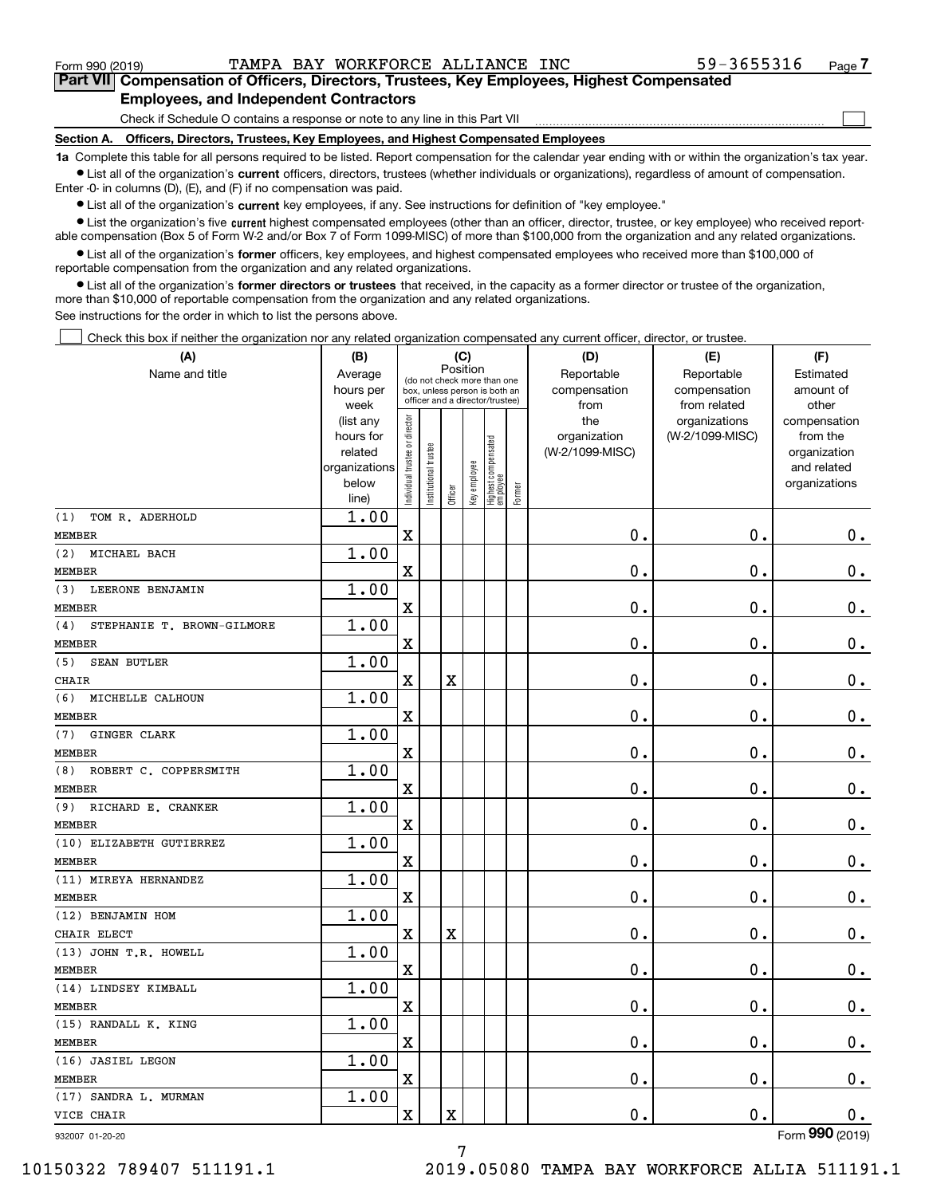$\mathcal{L}^{\text{max}}$ 

**7Part VII Compensation of Officers, Directors, Trustees, Key Employees, Highest Compensated Employees, and Independent Contractors**

Check if Schedule O contains a response or note to any line in this Part VII

**Section A. Officers, Directors, Trustees, Key Employees, and Highest Compensated Employees**

**1a**  Complete this table for all persons required to be listed. Report compensation for the calendar year ending with or within the organization's tax year. **•** List all of the organization's current officers, directors, trustees (whether individuals or organizations), regardless of amount of compensation.

Enter -0- in columns (D), (E), and (F) if no compensation was paid.

 $\bullet$  List all of the organization's  $\,$ current key employees, if any. See instructions for definition of "key employee."

**•** List the organization's five current highest compensated employees (other than an officer, director, trustee, or key employee) who received reportable compensation (Box 5 of Form W-2 and/or Box 7 of Form 1099-MISC) of more than \$100,000 from the organization and any related organizations.

**•** List all of the organization's former officers, key employees, and highest compensated employees who received more than \$100,000 of reportable compensation from the organization and any related organizations.

**former directors or trustees**  ¥ List all of the organization's that received, in the capacity as a former director or trustee of the organization, more than \$10,000 of reportable compensation from the organization and any related organizations.

See instructions for the order in which to list the persons above.

Check this box if neither the organization nor any related organization compensated any current officer, director, or trustee.  $\mathcal{L}^{\text{max}}$ 

| (A)                                    | (B)            |                                |                                                                                                 |             | (C)          |                                  |        | (D)             | (E)             | (F)             |
|----------------------------------------|----------------|--------------------------------|-------------------------------------------------------------------------------------------------|-------------|--------------|----------------------------------|--------|-----------------|-----------------|-----------------|
| Name and title                         | Average        |                                |                                                                                                 | Position    |              |                                  |        | Reportable      | Reportable      | Estimated       |
|                                        | hours per      |                                | (do not check more than one<br>box, unless person is both an<br>officer and a director/trustee) |             |              |                                  |        | compensation    | compensation    | amount of       |
|                                        | week           |                                |                                                                                                 |             |              |                                  |        | from            | from related    | other           |
|                                        | (list any      |                                |                                                                                                 |             |              |                                  |        | the             | organizations   | compensation    |
|                                        | hours for      |                                |                                                                                                 |             |              |                                  |        | organization    | (W-2/1099-MISC) | from the        |
|                                        | related        |                                |                                                                                                 |             |              |                                  |        | (W-2/1099-MISC) |                 | organization    |
|                                        | organizations  |                                |                                                                                                 |             |              |                                  |        |                 |                 | and related     |
|                                        | below<br>line) | Individual trustee or director | nstitutional trustee                                                                            | Officer     | Key employee | Highest compensated<br> employee | Former |                 |                 | organizations   |
| TOM R. ADERHOLD<br>(1)                 | 1.00           |                                |                                                                                                 |             |              |                                  |        |                 |                 |                 |
| <b>MEMBER</b>                          |                | $\overline{\textbf{X}}$        |                                                                                                 |             |              |                                  |        | 0.              | 0.              | $0_{.}$         |
| MICHAEL BACH<br>(2)                    | 1.00           |                                |                                                                                                 |             |              |                                  |        |                 |                 |                 |
| <b>MEMBER</b>                          |                | X                              |                                                                                                 |             |              |                                  |        | 0.              | 0.              | $0_{.}$         |
| LEERONE BENJAMIN<br>(3)                | 1.00           |                                |                                                                                                 |             |              |                                  |        |                 |                 |                 |
| <b>MEMBER</b>                          |                | X                              |                                                                                                 |             |              |                                  |        | 0.              | 0.              | $0_{.}$         |
| STEPHANIE T. BROWN-GILMORE<br>(4)      | 1.00           |                                |                                                                                                 |             |              |                                  |        |                 |                 |                 |
| <b>MEMBER</b>                          |                | X                              |                                                                                                 |             |              |                                  |        | 0.              | 0.              | $0_{.}$         |
| <b>SEAN BUTLER</b><br>(5)              | 1.00           |                                |                                                                                                 |             |              |                                  |        |                 |                 |                 |
| <b>CHAIR</b>                           |                | X                              |                                                                                                 | $\mathbf X$ |              |                                  |        | 0.              | 0.              | $0_{.}$         |
| MICHELLE CALHOUN<br>(6)                | 1.00           |                                |                                                                                                 |             |              |                                  |        |                 |                 |                 |
| <b>MEMBER</b>                          |                | X                              |                                                                                                 |             |              |                                  |        | 0.              | 0.              | $0_{.}$         |
| GINGER CLARK<br>(7)                    | 1.00           |                                |                                                                                                 |             |              |                                  |        |                 |                 |                 |
| <b>MEMBER</b>                          |                | X                              |                                                                                                 |             |              |                                  |        | 0.              | 0.              | $0_{.}$         |
| ROBERT C. COPPERSMITH<br>(8)           | 1.00           |                                |                                                                                                 |             |              |                                  |        |                 |                 |                 |
| <b>MEMBER</b>                          |                | X                              |                                                                                                 |             |              |                                  |        | 0.              | 0.              | $0_{.}$         |
| (9)<br>RICHARD E. CRANKER              | 1.00           |                                |                                                                                                 |             |              |                                  |        |                 |                 |                 |
| <b>MEMBER</b>                          |                | $\mathbf X$                    |                                                                                                 |             |              |                                  |        | 0.              | 0.              | $0_{.}$         |
| (10) ELIZABETH GUTIERREZ               | 1.00           |                                |                                                                                                 |             |              |                                  |        |                 |                 |                 |
| <b>MEMBER</b>                          |                | $\mathbf X$                    |                                                                                                 |             |              |                                  |        | 0.              | 0.              | $0_{.}$         |
| (11) MIREYA HERNANDEZ                  | 1.00           |                                |                                                                                                 |             |              |                                  |        |                 |                 |                 |
| <b>MEMBER</b>                          |                | X                              |                                                                                                 |             |              |                                  |        | 0.              | 0.              | $0_{.}$         |
| (12) BENJAMIN HOM                      | 1.00           |                                |                                                                                                 |             |              |                                  |        |                 |                 |                 |
| CHAIR ELECT                            |                | $\mathbf X$                    |                                                                                                 | X           |              |                                  |        | 0.              | 0.              | $0$ .           |
| (13) JOHN T.R. HOWELL<br><b>MEMBER</b> | 1.00           | $\mathbf X$                    |                                                                                                 |             |              |                                  |        | 0.              | 0.              | $0$ .           |
| (14) LINDSEY KIMBALL                   | 1.00           |                                |                                                                                                 |             |              |                                  |        |                 |                 |                 |
| <b>MEMBER</b>                          |                | $\mathbf X$                    |                                                                                                 |             |              |                                  |        | 0.              | 0.              | $\mathbf 0$ .   |
| (15) RANDALL K. KING                   | 1.00           |                                |                                                                                                 |             |              |                                  |        |                 |                 |                 |
| MEMBER                                 |                | $\mathbf X$                    |                                                                                                 |             |              |                                  |        | $\mathbf 0$ .   | $0$ .           | 0.              |
| (16) JASIEL LEGON                      | 1.00           |                                |                                                                                                 |             |              |                                  |        |                 |                 |                 |
| MEMBER                                 |                | $\mathbf X$                    |                                                                                                 |             |              |                                  |        | $\mathbf 0$ .   | 0.              | 0.              |
| (17) SANDRA L. MURMAN                  | 1.00           |                                |                                                                                                 |             |              |                                  |        |                 |                 |                 |
| VICE CHAIR                             |                | X                              |                                                                                                 | X           |              |                                  |        | $\mathbf 0$ .   | $0$ .           | $0_{.}$         |
| 932007 01-20-20                        |                |                                |                                                                                                 |             |              |                                  |        |                 |                 | Form 990 (2019) |

7

10150322 789407 511191.1 2019.05080 TAMPA BAY WORKFORCE ALLIA 511191.1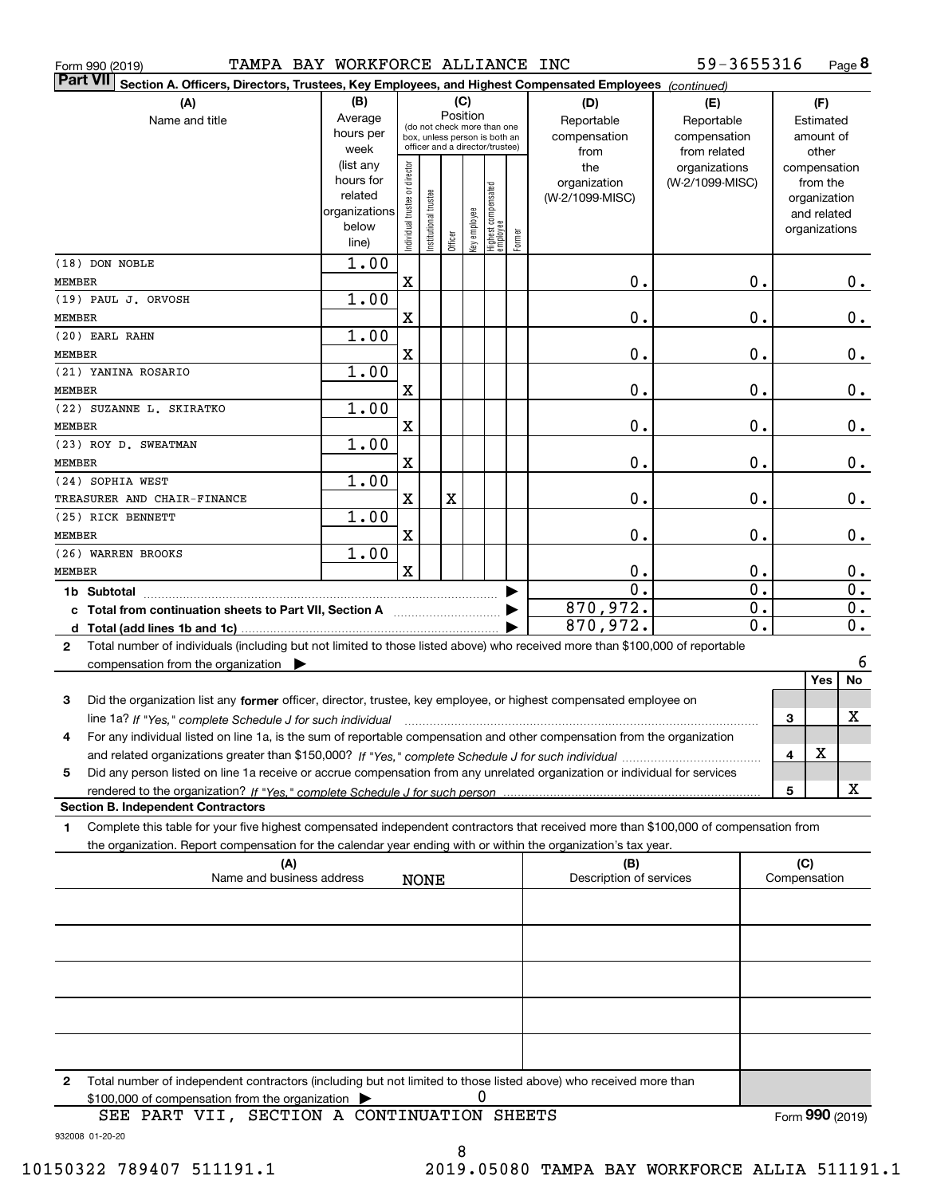|                 | Form 990 (2019)                                                                                                                                      | TAMPA BAY WORKFORCE ALLIANCE INC |                                |                       |          |     |                                                              |        |                 | 59-3655316       |                  |                  | Page 8 |
|-----------------|------------------------------------------------------------------------------------------------------------------------------------------------------|----------------------------------|--------------------------------|-----------------------|----------|-----|--------------------------------------------------------------|--------|-----------------|------------------|------------------|------------------|--------|
| <b>Part VII</b> | Section A. Officers, Directors, Trustees, Key Employees, and Highest Compensated Employees (continued)                                               |                                  |                                |                       |          |     |                                                              |        |                 |                  |                  |                  |        |
|                 | (A)                                                                                                                                                  | (B)                              |                                |                       |          | (C) |                                                              |        | (D)             | (E)              |                  | (F)              |        |
|                 | Name and title                                                                                                                                       | Average                          |                                |                       | Position |     |                                                              |        | Reportable      | Reportable       |                  | Estimated        |        |
|                 |                                                                                                                                                      | hours per                        |                                |                       |          |     | (do not check more than one<br>box, unless person is both an |        | compensation    | compensation     |                  | amount of        |        |
|                 |                                                                                                                                                      | week                             |                                |                       |          |     | officer and a director/trustee)                              |        | from            | from related     |                  | other            |        |
|                 |                                                                                                                                                      | (list any                        |                                |                       |          |     |                                                              |        | the             | organizations    |                  | compensation     |        |
|                 |                                                                                                                                                      | hours for                        |                                |                       |          |     |                                                              |        | organization    | (W-2/1099-MISC)  |                  | from the         |        |
|                 |                                                                                                                                                      | related                          |                                |                       |          |     |                                                              |        | (W-2/1099-MISC) |                  |                  | organization     |        |
|                 |                                                                                                                                                      | organizations<br>below           |                                |                       |          |     |                                                              |        |                 |                  |                  | and related      |        |
|                 |                                                                                                                                                      | line)                            | Individual trustee or director | Institutional trustee | Officer  |     | key employee<br>Highest compensated<br>employee              | Former |                 |                  |                  | organizations    |        |
|                 | (18) DON NOBLE                                                                                                                                       | 1.00                             |                                |                       |          |     |                                                              |        |                 |                  |                  |                  |        |
| <b>MEMBER</b>   |                                                                                                                                                      |                                  | X                              |                       |          |     |                                                              |        | 0.              | 0.               |                  |                  | О.     |
|                 | (19) PAUL J. ORVOSH                                                                                                                                  | 1.00                             |                                |                       |          |     |                                                              |        |                 |                  |                  |                  |        |
| <b>MEMBER</b>   |                                                                                                                                                      |                                  | X                              |                       |          |     |                                                              |        | 0.              | $\mathbf 0$ .    |                  |                  | $0\,.$ |
|                 | (20) EARL RAHN                                                                                                                                       | 1.00                             |                                |                       |          |     |                                                              |        |                 |                  |                  |                  |        |
| <b>MEMBER</b>   |                                                                                                                                                      |                                  | X                              |                       |          |     |                                                              |        | 0.              | 0.               |                  |                  | $0\,.$ |
|                 | (21) YANINA ROSARIO                                                                                                                                  | 1.00                             |                                |                       |          |     |                                                              |        |                 |                  |                  |                  |        |
| <b>MEMBER</b>   |                                                                                                                                                      |                                  | X                              |                       |          |     |                                                              |        | 0.              | 0.               |                  |                  | $0$ .  |
|                 | (22) SUZANNE L. SKIRATKO                                                                                                                             | 1.00                             |                                |                       |          |     |                                                              |        |                 |                  |                  |                  |        |
| <b>MEMBER</b>   |                                                                                                                                                      | 1.00                             | X                              |                       |          |     |                                                              |        | 0.              | 0.               |                  |                  | $0$ .  |
| <b>MEMBER</b>   | (23) ROY D. SWEATMAN                                                                                                                                 |                                  | X                              |                       |          |     |                                                              |        | 0.              | 0.               |                  |                  | $0$ .  |
|                 | (24) SOPHIA WEST                                                                                                                                     | 1.00                             |                                |                       |          |     |                                                              |        |                 |                  |                  |                  |        |
|                 | TREASURER AND CHAIR-FINANCE                                                                                                                          |                                  | X                              |                       | X        |     |                                                              |        | 0.              | 0.               |                  |                  | $0$ .  |
|                 | (25) RICK BENNETT                                                                                                                                    | 1.00                             |                                |                       |          |     |                                                              |        |                 |                  |                  |                  |        |
| <b>MEMBER</b>   |                                                                                                                                                      |                                  | X                              |                       |          |     |                                                              |        | 0.              | 0.               |                  |                  | $0\,.$ |
|                 | 1.00<br>(26) WARREN BROOKS                                                                                                                           |                                  |                                |                       |          |     |                                                              |        |                 |                  |                  |                  |        |
|                 | $\mathbf x$<br>0.<br><b>MEMBER</b>                                                                                                                   |                                  |                                |                       |          |     | 0.                                                           |        |                 | $0_{.}$          |                  |                  |        |
|                 | $\overline{\mathfrak{o}}$ .<br>$\overline{0}$ .                                                                                                      |                                  |                                |                       |          |     |                                                              |        |                 |                  | $\overline{0}$ . |                  |        |
|                 | 870,972.<br>$\overline{0}$ .<br>c Total from continuation sheets to Part VII, Section A                                                              |                                  |                                |                       |          |     |                                                              |        |                 |                  |                  | $\overline{0}$ . |        |
|                 |                                                                                                                                                      |                                  |                                |                       |          |     |                                                              |        | 870,972.        | $\overline{0}$ . |                  |                  | 0.     |
| 2               | Total number of individuals (including but not limited to those listed above) who received more than \$100,000 of reportable                         |                                  |                                |                       |          |     |                                                              |        |                 |                  |                  |                  |        |
|                 | compensation from the organization                                                                                                                   |                                  |                                |                       |          |     |                                                              |        |                 |                  |                  |                  | 6      |
|                 |                                                                                                                                                      |                                  |                                |                       |          |     |                                                              |        |                 |                  |                  | Yes              | No     |
| 3               | Did the organization list any former officer, director, trustee, key employee, or highest compensated employee on                                    |                                  |                                |                       |          |     |                                                              |        |                 |                  |                  |                  |        |
|                 | line 1a? If "Yes," complete Schedule J for such individual manufactured contained and the line 1a? If "Yes," complete Schedule J for such individual |                                  |                                |                       |          |     |                                                              |        |                 |                  | З                |                  | X      |
|                 | For any individual listed on line 1a, is the sum of reportable compensation and other compensation from the organization                             |                                  |                                |                       |          |     |                                                              |        |                 |                  |                  |                  |        |
|                 |                                                                                                                                                      |                                  |                                |                       |          |     |                                                              |        |                 |                  | 4                | X                |        |
| 5               | Did any person listed on line 1a receive or accrue compensation from any unrelated organization or individual for services                           |                                  |                                |                       |          |     |                                                              |        |                 |                  |                  |                  | х      |
|                 | <b>Section B. Independent Contractors</b>                                                                                                            |                                  |                                |                       |          |     |                                                              |        |                 |                  | 5                |                  |        |
| 1               | Complete this table for your five highest compensated independent contractors that received more than \$100,000 of compensation from                 |                                  |                                |                       |          |     |                                                              |        |                 |                  |                  |                  |        |
|                 | the organization. Report compensation for the calendar year ending with or within the organization's tax year.                                       |                                  |                                |                       |          |     |                                                              |        |                 |                  |                  |                  |        |
| (A)<br>(B)      |                                                                                                                                                      |                                  |                                |                       |          |     |                                                              |        | (C)             |                  |                  |                  |        |
|                 | Name and business address<br>Description of services<br><b>NONE</b>                                                                                  |                                  |                                |                       |          |     |                                                              |        |                 |                  | Compensation     |                  |        |
|                 |                                                                                                                                                      |                                  |                                |                       |          |     |                                                              |        |                 |                  |                  |                  |        |
|                 |                                                                                                                                                      |                                  |                                |                       |          |     |                                                              |        |                 |                  |                  |                  |        |
|                 |                                                                                                                                                      |                                  |                                |                       |          |     |                                                              |        |                 |                  |                  |                  |        |
|                 |                                                                                                                                                      |                                  |                                |                       |          |     |                                                              |        |                 |                  |                  |                  |        |
|                 |                                                                                                                                                      |                                  |                                |                       |          |     |                                                              |        |                 |                  |                  |                  |        |
|                 |                                                                                                                                                      |                                  |                                |                       |          |     |                                                              |        |                 |                  |                  |                  |        |
|                 |                                                                                                                                                      |                                  |                                |                       |          |     |                                                              |        |                 |                  |                  |                  |        |
|                 | 2 Total number of independent contractors (including but not limited to those listed above) who received more than                                   |                                  |                                |                       |          |     |                                                              |        |                 |                  |                  |                  |        |

**2**Total number of independent contractors (including but not limited to those listed above) who received more than \$100,000 of compensation from the organization 0

932008 01-20-20 SEE PART VII, SECTION A CONTINUATION SHEETS

8

Form (2019) **990**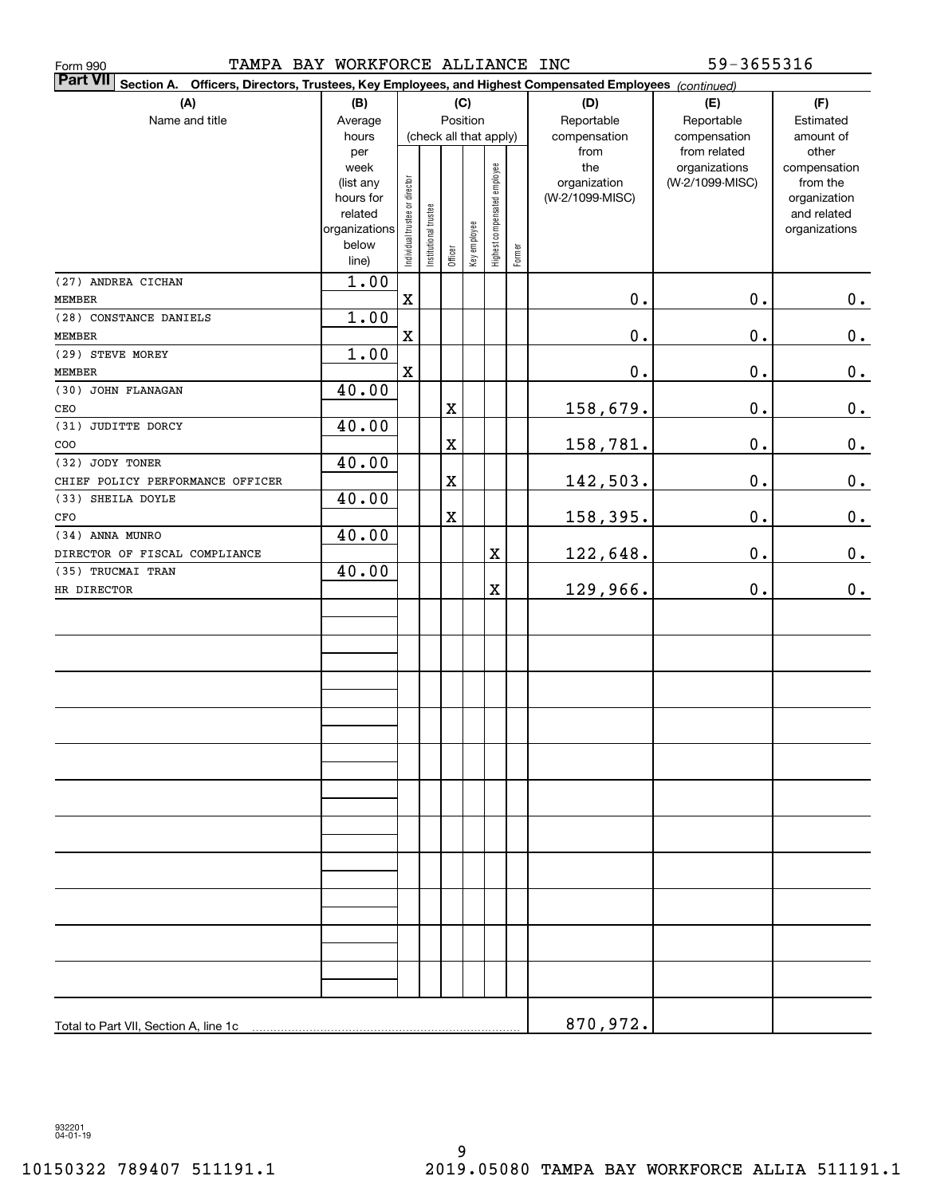| TAMPA BAY WORKFORCE ALLIANCE INC<br>Form 990                                                                                 |                                                                                     |                                |                       |             |              |                              |        |                                                | 59-3655316                                       |                                                                                   |
|------------------------------------------------------------------------------------------------------------------------------|-------------------------------------------------------------------------------------|--------------------------------|-----------------------|-------------|--------------|------------------------------|--------|------------------------------------------------|--------------------------------------------------|-----------------------------------------------------------------------------------|
| <b>Part VII</b><br>Section A.<br>Officers, Directors, Trustees, Key Employees, and Highest Compensated Employees (continued) |                                                                                     |                                |                       |             |              |                              |        |                                                |                                                  |                                                                                   |
| (A)                                                                                                                          | (B)                                                                                 |                                |                       |             | (C)          |                              |        | (D)                                            | (E)                                              | (F)                                                                               |
| Name and title                                                                                                               | Average<br>hours                                                                    |                                |                       | Position    |              | (check all that apply)       |        | Reportable<br>compensation                     | Reportable<br>compensation                       | Estimated<br>amount of                                                            |
|                                                                                                                              | per<br>week<br>(list any<br>hours for<br>related<br>organizations<br>below<br>line) | Individual trustee or director | Institutional trustee | Officer     | Key employee | Highest compensated employee | Former | from<br>the<br>organization<br>(W-2/1099-MISC) | from related<br>organizations<br>(W-2/1099-MISC) | other<br>compensation<br>from the<br>organization<br>and related<br>organizations |
| (27) ANDREA CICHAN                                                                                                           | 1.00                                                                                |                                |                       |             |              |                              |        |                                                |                                                  |                                                                                   |
| <b>MEMBER</b>                                                                                                                |                                                                                     | $\mathbf X$                    |                       |             |              |                              |        | $\mathbf 0$ .                                  | $\mathbf 0$ .                                    | 0.                                                                                |
| (28) CONSTANCE DANIELS                                                                                                       | 1.00                                                                                |                                |                       |             |              |                              |        |                                                |                                                  |                                                                                   |
| MEMBER                                                                                                                       |                                                                                     | $\mathbf X$                    |                       |             |              |                              |        | $\mathbf 0$ .                                  | 0.                                               | $0_{.}$                                                                           |
| (29) STEVE MOREY                                                                                                             | 1.00                                                                                |                                |                       |             |              |                              |        |                                                |                                                  |                                                                                   |
| MEMBER                                                                                                                       |                                                                                     | $\mathbf X$                    |                       |             |              |                              |        | $\mathbf 0$ .                                  | 0.                                               | $0_{.}$                                                                           |
| (30) JOHN FLANAGAN                                                                                                           | 40.00                                                                               |                                |                       |             |              |                              |        |                                                |                                                  |                                                                                   |
| CEO                                                                                                                          |                                                                                     |                                |                       | X           |              |                              |        | 158,679.                                       | 0.                                               | $0_{.}$                                                                           |
| (31) JUDITTE DORCY                                                                                                           | 40.00                                                                               |                                |                       |             |              |                              |        |                                                |                                                  |                                                                                   |
| COO                                                                                                                          |                                                                                     |                                |                       | $\mathbf X$ |              |                              |        | 158,781.                                       | 0.                                               | $0_{.}$                                                                           |
| (32) JODY TONER                                                                                                              | 40.00                                                                               |                                |                       |             |              |                              |        |                                                |                                                  |                                                                                   |
| CHIEF POLICY PERFORMANCE OFFICER                                                                                             |                                                                                     |                                |                       | $\mathbf X$ |              |                              |        | 142,503.                                       | 0.                                               | 0.                                                                                |
| (33) SHEILA DOYLE                                                                                                            | 40.00                                                                               |                                |                       |             |              |                              |        |                                                |                                                  |                                                                                   |
| CFO<br>(34) ANNA MUNRO                                                                                                       |                                                                                     |                                |                       | $\mathbf X$ |              |                              |        | 158,395.                                       | 0.                                               | $0_{.}$                                                                           |
| DIRECTOR OF FISCAL COMPLIANCE                                                                                                | 40.00                                                                               |                                |                       |             |              | X                            |        |                                                | 0.                                               | 0.                                                                                |
| (35) TRUCMAI TRAN                                                                                                            | 40.00                                                                               |                                |                       |             |              |                              |        | 122,648.                                       |                                                  |                                                                                   |
| HR DIRECTOR                                                                                                                  |                                                                                     |                                |                       |             |              | $\mathbf X$                  |        | 129,966.                                       | 0.                                               | 0.                                                                                |
|                                                                                                                              |                                                                                     |                                |                       |             |              |                              |        |                                                |                                                  |                                                                                   |
|                                                                                                                              |                                                                                     |                                |                       |             |              |                              |        |                                                |                                                  |                                                                                   |
|                                                                                                                              |                                                                                     |                                |                       |             |              |                              |        |                                                |                                                  |                                                                                   |
|                                                                                                                              |                                                                                     |                                |                       |             |              |                              |        |                                                |                                                  |                                                                                   |
|                                                                                                                              |                                                                                     |                                |                       |             |              |                              |        |                                                |                                                  |                                                                                   |
|                                                                                                                              |                                                                                     |                                |                       |             |              |                              |        |                                                |                                                  |                                                                                   |
|                                                                                                                              |                                                                                     |                                |                       |             |              |                              |        |                                                |                                                  |                                                                                   |
|                                                                                                                              |                                                                                     |                                |                       |             |              |                              |        |                                                |                                                  |                                                                                   |
|                                                                                                                              |                                                                                     |                                |                       |             |              |                              |        |                                                |                                                  |                                                                                   |
|                                                                                                                              |                                                                                     |                                |                       |             |              |                              |        |                                                |                                                  |                                                                                   |
|                                                                                                                              |                                                                                     |                                |                       |             |              |                              |        |                                                |                                                  |                                                                                   |
|                                                                                                                              |                                                                                     |                                |                       |             |              |                              |        |                                                |                                                  |                                                                                   |
|                                                                                                                              |                                                                                     |                                |                       |             |              |                              |        |                                                |                                                  |                                                                                   |
|                                                                                                                              |                                                                                     |                                |                       |             |              |                              |        |                                                |                                                  |                                                                                   |
|                                                                                                                              |                                                                                     |                                |                       |             |              |                              |        |                                                |                                                  |                                                                                   |
|                                                                                                                              |                                                                                     |                                |                       |             |              |                              |        |                                                |                                                  |                                                                                   |
|                                                                                                                              |                                                                                     |                                |                       |             |              |                              |        |                                                |                                                  |                                                                                   |
|                                                                                                                              |                                                                                     |                                |                       |             |              |                              |        |                                                |                                                  |                                                                                   |
|                                                                                                                              |                                                                                     |                                |                       |             |              |                              |        |                                                |                                                  |                                                                                   |
|                                                                                                                              |                                                                                     |                                |                       |             |              |                              |        |                                                |                                                  |                                                                                   |
|                                                                                                                              |                                                                                     |                                |                       |             |              |                              |        |                                                |                                                  |                                                                                   |
|                                                                                                                              |                                                                                     |                                |                       |             |              |                              |        |                                                |                                                  |                                                                                   |
|                                                                                                                              |                                                                                     |                                |                       |             |              |                              |        |                                                |                                                  |                                                                                   |
| Total to Part VII, Section A, line 1c                                                                                        |                                                                                     |                                |                       |             |              |                              |        | 870,972.                                       |                                                  |                                                                                   |

932201 04-01-19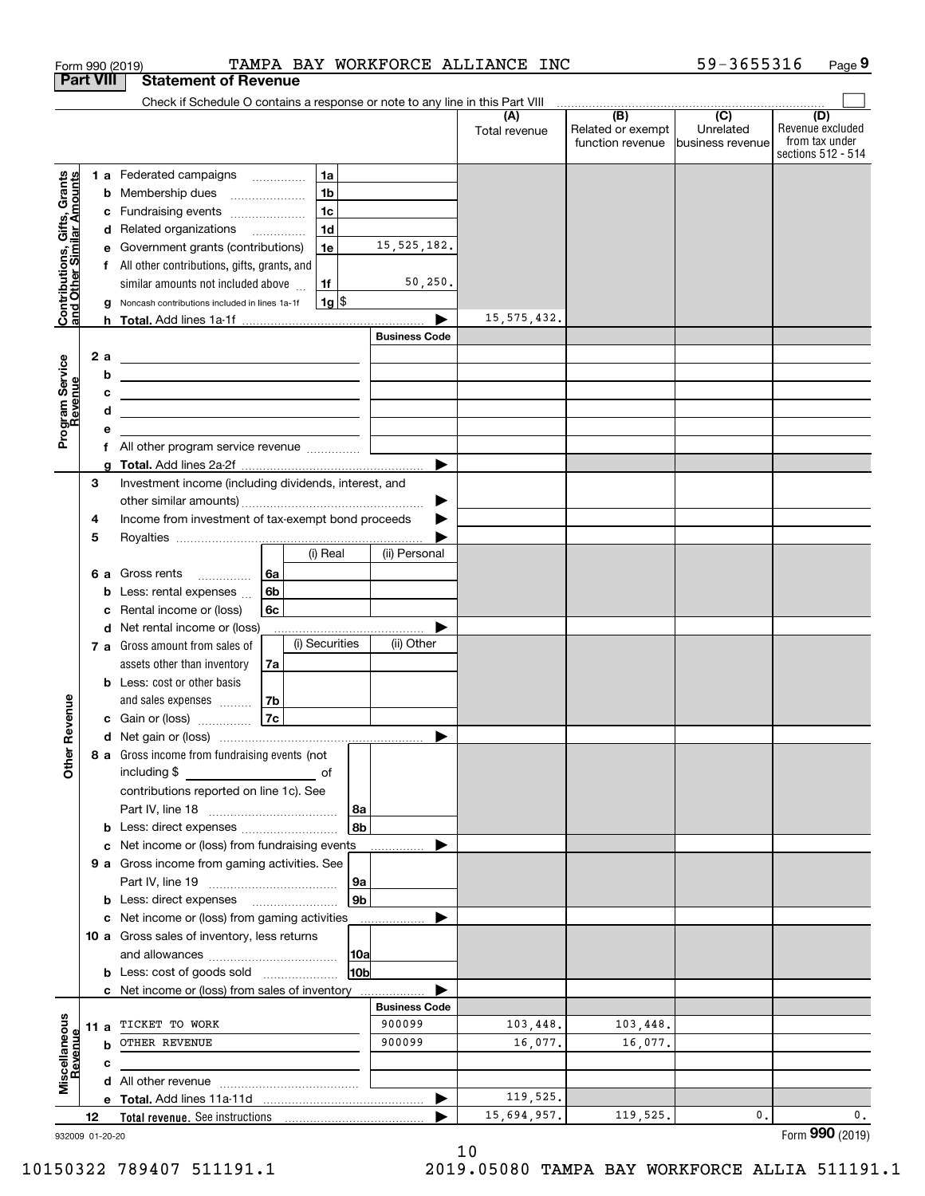| <b>Part VIII</b><br>Contributions, Gifts, Grants<br>and Other Similar Amounts<br>с<br>е<br>g<br>Program Service<br>Revenue<br>2a<br>b<br>с<br>d<br>е<br>f<br>g<br>3<br>4<br>5<br>b<br>с<br>evenue | <b>Statement of Revenue</b><br>Check if Schedule O contains a response or note to any line in this Part VIII<br>1a<br>1 a Federated campaigns<br>1 <sub>b</sub><br><b>b</b> Membership dues<br>$\overline{\phantom{a}}$<br>1 <sub>c</sub><br>Fundraising events<br>1 <sub>d</sub><br>d Related organizations<br>1e<br>Government grants (contributions)<br>f All other contributions, gifts, grants, and<br>similar amounts not included above<br>1f<br>$1g$ \$<br>Noncash contributions included in lines 1a-1f<br><u> 1989 - Johann Harry Harry Harry Harry Harry Harry Harry Harry Harry Harry Harry Harry Harry Harry Harry Harry</u><br><u> 1989 - Andrea Station Barbara, amerikan personal (h. 1989)</u><br><u> 1989 - John Stein, Amerikaansk politiker (</u><br><u> 1989 - Johann Barn, amerikansk politiker (</u><br>Investment income (including dividends, interest, and<br>Income from investment of tax-exempt bond proceeds<br>(i) Real<br>6a<br>6 a Gross rents | 15, 525, 182.<br>50, 250.<br><b>Business Code</b><br>(ii) Personal | (A)<br>Total revenue<br>15, 575, 432. | $\begin{array}{c c c c c c} \hline \text{ } & \text{(B)} & \text{(C)} & \text{ } \end{array}$<br>Related or exempt<br>function revenue | Unrelated<br>business revenue | (D)<br>Revenue excluded<br>from tax under<br>sections 512 - 514 |
|---------------------------------------------------------------------------------------------------------------------------------------------------------------------------------------------------|---------------------------------------------------------------------------------------------------------------------------------------------------------------------------------------------------------------------------------------------------------------------------------------------------------------------------------------------------------------------------------------------------------------------------------------------------------------------------------------------------------------------------------------------------------------------------------------------------------------------------------------------------------------------------------------------------------------------------------------------------------------------------------------------------------------------------------------------------------------------------------------------------------------------------------------------------------------------------------|--------------------------------------------------------------------|---------------------------------------|----------------------------------------------------------------------------------------------------------------------------------------|-------------------------------|-----------------------------------------------------------------|
|                                                                                                                                                                                                   |                                                                                                                                                                                                                                                                                                                                                                                                                                                                                                                                                                                                                                                                                                                                                                                                                                                                                                                                                                                 |                                                                    |                                       |                                                                                                                                        |                               |                                                                 |
|                                                                                                                                                                                                   |                                                                                                                                                                                                                                                                                                                                                                                                                                                                                                                                                                                                                                                                                                                                                                                                                                                                                                                                                                                 |                                                                    |                                       |                                                                                                                                        |                               |                                                                 |
|                                                                                                                                                                                                   |                                                                                                                                                                                                                                                                                                                                                                                                                                                                                                                                                                                                                                                                                                                                                                                                                                                                                                                                                                                 |                                                                    |                                       |                                                                                                                                        |                               |                                                                 |
|                                                                                                                                                                                                   |                                                                                                                                                                                                                                                                                                                                                                                                                                                                                                                                                                                                                                                                                                                                                                                                                                                                                                                                                                                 |                                                                    |                                       |                                                                                                                                        |                               |                                                                 |
|                                                                                                                                                                                                   |                                                                                                                                                                                                                                                                                                                                                                                                                                                                                                                                                                                                                                                                                                                                                                                                                                                                                                                                                                                 |                                                                    |                                       |                                                                                                                                        |                               |                                                                 |
|                                                                                                                                                                                                   | 6b<br>Less: rental expenses<br>Rental income or (loss)<br>6с<br>d Net rental income or (loss)                                                                                                                                                                                                                                                                                                                                                                                                                                                                                                                                                                                                                                                                                                                                                                                                                                                                                   |                                                                    |                                       |                                                                                                                                        |                               |                                                                 |
|                                                                                                                                                                                                   | (i) Securities<br>7 a Gross amount from sales of<br>assets other than inventory<br>7a<br><b>b</b> Less: cost or other basis<br>7b<br>and sales expenses<br>7c<br>c Gain or (loss)                                                                                                                                                                                                                                                                                                                                                                                                                                                                                                                                                                                                                                                                                                                                                                                               | (ii) Other                                                         |                                       |                                                                                                                                        |                               |                                                                 |
|                                                                                                                                                                                                   | d Net gain or (loss)                                                                                                                                                                                                                                                                                                                                                                                                                                                                                                                                                                                                                                                                                                                                                                                                                                                                                                                                                            |                                                                    |                                       |                                                                                                                                        |                               |                                                                 |
| Other <sub>R</sub>                                                                                                                                                                                | 8 a Gross income from fundraising events (not<br>including \$<br><u>na mga mga sangangang sa mga sangang sa mga sangang sa mga sangang sa mga sangang sa mga sangang sa mga sangang sa mga sangang sa mga sangang sa mga sangang sa mga sangang sa mga sangang sa mga sangang sa mga sangang sa m</u><br>contributions reported on line 1c). See<br>  8a                                                                                                                                                                                                                                                                                                                                                                                                                                                                                                                                                                                                                        |                                                                    |                                       |                                                                                                                                        |                               |                                                                 |
|                                                                                                                                                                                                   | 8b<br>Net income or (loss) from fundraising events                                                                                                                                                                                                                                                                                                                                                                                                                                                                                                                                                                                                                                                                                                                                                                                                                                                                                                                              |                                                                    |                                       |                                                                                                                                        |                               |                                                                 |
| с                                                                                                                                                                                                 | 9 a Gross income from gaming activities. See<br> 9a                                                                                                                                                                                                                                                                                                                                                                                                                                                                                                                                                                                                                                                                                                                                                                                                                                                                                                                             |                                                                    |                                       |                                                                                                                                        |                               |                                                                 |
|                                                                                                                                                                                                   | 9 <sub>b</sub><br><b>b</b> Less: direct expenses <b>manually</b>                                                                                                                                                                                                                                                                                                                                                                                                                                                                                                                                                                                                                                                                                                                                                                                                                                                                                                                |                                                                    |                                       |                                                                                                                                        |                               |                                                                 |
|                                                                                                                                                                                                   | c Net income or (loss) from gaming activities<br>10 a Gross sales of inventory, less returns<br>10a<br>10 <sub>b</sub><br><b>b</b> Less: cost of goods sold                                                                                                                                                                                                                                                                                                                                                                                                                                                                                                                                                                                                                                                                                                                                                                                                                     |                                                                    |                                       |                                                                                                                                        |                               |                                                                 |
|                                                                                                                                                                                                   | <b>c</b> Net income or (loss) from sales of inventory                                                                                                                                                                                                                                                                                                                                                                                                                                                                                                                                                                                                                                                                                                                                                                                                                                                                                                                           |                                                                    |                                       |                                                                                                                                        |                               |                                                                 |
| Miscellaneous<br>Revenue                                                                                                                                                                          | 11 a TICKET TO WORK                                                                                                                                                                                                                                                                                                                                                                                                                                                                                                                                                                                                                                                                                                                                                                                                                                                                                                                                                             | <b>Business Code</b><br>900099                                     | 103,448.                              | 103,448.                                                                                                                               |                               |                                                                 |
| evenue                                                                                                                                                                                            | <b>b</b> OTHER REVENUE                                                                                                                                                                                                                                                                                                                                                                                                                                                                                                                                                                                                                                                                                                                                                                                                                                                                                                                                                          | 900099                                                             | 16,077.                               | 16,077.                                                                                                                                |                               |                                                                 |
| с                                                                                                                                                                                                 |                                                                                                                                                                                                                                                                                                                                                                                                                                                                                                                                                                                                                                                                                                                                                                                                                                                                                                                                                                                 |                                                                    |                                       |                                                                                                                                        |                               |                                                                 |
|                                                                                                                                                                                                   |                                                                                                                                                                                                                                                                                                                                                                                                                                                                                                                                                                                                                                                                                                                                                                                                                                                                                                                                                                                 |                                                                    | 119,525.                              |                                                                                                                                        |                               |                                                                 |
| 12                                                                                                                                                                                                |                                                                                                                                                                                                                                                                                                                                                                                                                                                                                                                                                                                                                                                                                                                                                                                                                                                                                                                                                                                 | ▶                                                                  |                                       | 119,525.                                                                                                                               | 0.                            | 0.                                                              |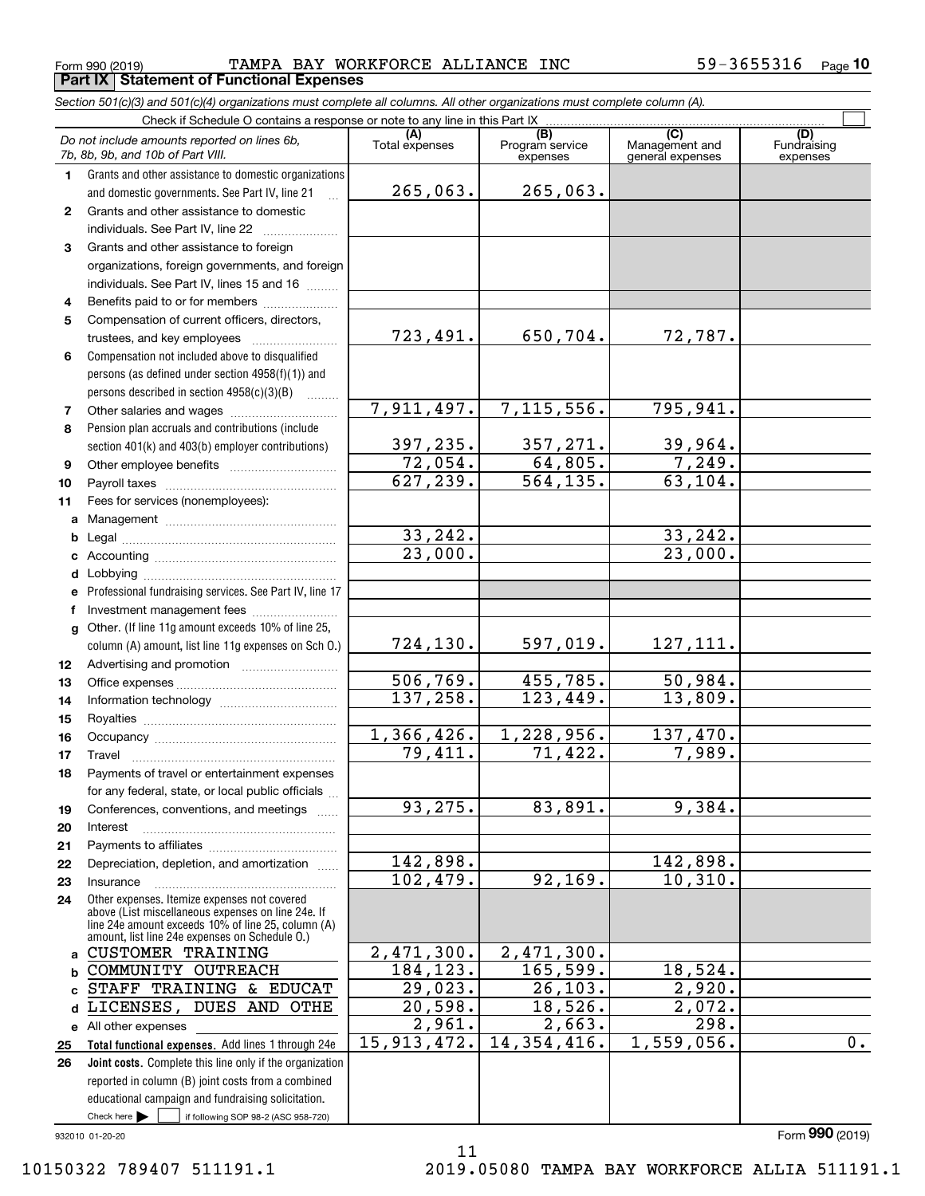Form 990 (2019) **TAMPA** BAY WORKFORCE ALLIANCE INC 59-3655316 page **Part IX Statement of Functional Expenses**

*Section 501(c)(3) and 501(c)(4) organizations must complete all columns. All other organizations must complete column (A).*

Check if Schedule O contains a response or note to any line in this Part IX

 $\mathcal{L}^{\text{max}}$ 

|              | Do not include amounts reported on lines 6b,<br>7b, 8b, 9b, and 10b of Part VIII.                    | (A)<br>Total expenses    | (B)<br>Program service<br>expenses | (C)<br>Management and<br>general expenses | (D)<br>Fundraising<br>expenses |
|--------------|------------------------------------------------------------------------------------------------------|--------------------------|------------------------------------|-------------------------------------------|--------------------------------|
| 1.           | Grants and other assistance to domestic organizations                                                |                          |                                    |                                           |                                |
|              | and domestic governments. See Part IV, line 21                                                       | 265,063.                 | 265,063.                           |                                           |                                |
| $\mathbf{2}$ | Grants and other assistance to domestic                                                              |                          |                                    |                                           |                                |
|              | individuals. See Part IV, line 22                                                                    |                          |                                    |                                           |                                |
| 3            | Grants and other assistance to foreign                                                               |                          |                                    |                                           |                                |
|              | organizations, foreign governments, and foreign                                                      |                          |                                    |                                           |                                |
|              | individuals. See Part IV, lines 15 and 16                                                            |                          |                                    |                                           |                                |
| 4            | Benefits paid to or for members                                                                      |                          |                                    |                                           |                                |
| 5            | Compensation of current officers, directors,                                                         |                          |                                    |                                           |                                |
|              | trustees, and key employees                                                                          | 723,491.                 | 650,704.                           | 72,787.                                   |                                |
| 6            | Compensation not included above to disqualified                                                      |                          |                                    |                                           |                                |
|              | persons (as defined under section 4958(f)(1)) and                                                    |                          |                                    |                                           |                                |
|              | persons described in section 4958(c)(3)(B)                                                           |                          |                                    |                                           |                                |
| 7            | Other salaries and wages                                                                             | 7,911,497.               | 7, 115, 556.                       | 795,941.                                  |                                |
| 8            | Pension plan accruals and contributions (include                                                     |                          |                                    |                                           |                                |
|              | section 401(k) and 403(b) employer contributions)                                                    | $\frac{397,235}{72,054}$ | $\frac{357,271.}{64,805.}$         | <u>39,964.</u>                            |                                |
| 9            |                                                                                                      |                          |                                    | 7,249.                                    |                                |
| 10           |                                                                                                      | 627, 239.                | $\overline{564,135}$ .             | 63, 104.                                  |                                |
| 11           | Fees for services (nonemployees):                                                                    |                          |                                    |                                           |                                |
| a            |                                                                                                      |                          |                                    |                                           |                                |
| b            |                                                                                                      | 33, 242.                 |                                    | 33, 242.                                  |                                |
| c            |                                                                                                      | 23,000.                  |                                    | 23,000.                                   |                                |
| d            |                                                                                                      |                          |                                    |                                           |                                |
| е            | Professional fundraising services. See Part IV, line 17                                              |                          |                                    |                                           |                                |
| f            | Investment management fees                                                                           |                          |                                    |                                           |                                |
| g            | Other. (If line 11g amount exceeds 10% of line 25,                                                   |                          |                                    |                                           |                                |
|              | column (A) amount, list line 11g expenses on Sch O.)                                                 | 724, 130.                | 597,019.                           | 127, 111.                                 |                                |
| 12           |                                                                                                      |                          |                                    |                                           |                                |
| 13           |                                                                                                      | 506, 769.                | 455,785.                           | 50,984.                                   |                                |
| 14           |                                                                                                      | 137, 258.                | 123,449.                           | 13,809.                                   |                                |
| 15           |                                                                                                      |                          |                                    |                                           |                                |
| 16           |                                                                                                      | 1,366,426.               | 1,228,956.<br>71,422.              | 137,470.                                  |                                |
| 17           | Travel                                                                                               | 79,411.                  |                                    | 7,989.                                    |                                |
| 18           | Payments of travel or entertainment expenses                                                         |                          |                                    |                                           |                                |
|              | for any federal, state, or local public officials                                                    | 93,275.                  |                                    | 9,384.                                    |                                |
| 19           | Conferences, conventions, and meetings                                                               |                          | 83,891.                            |                                           |                                |
| 20           | Interest                                                                                             |                          |                                    |                                           |                                |
| 21           | Depreciation, depletion, and amortization                                                            | 142,898.                 |                                    | 142,898.                                  |                                |
| 22<br>23     | Insurance                                                                                            | 102,479.                 | 92,169.                            | 10, 310.                                  |                                |
| 24           | Other expenses. Itemize expenses not covered                                                         |                          |                                    |                                           |                                |
|              | above (List miscellaneous expenses on line 24e. If                                                   |                          |                                    |                                           |                                |
|              | line 24e amount exceeds 10% of line 25, column (A)<br>amount, list line 24e expenses on Schedule O.) |                          |                                    |                                           |                                |
| a            | <b>CUSTOMER TRAINING</b>                                                                             | $\overline{2,471,300}$ . | 2,471,300.                         |                                           |                                |
| b            | COMMUNITY OUTREACH                                                                                   | 184, 123.                | 165, 599.                          | 18,524.                                   |                                |
| C            | STAFF TRAINING & EDUCAT                                                                              | 29,023.                  | 26, 103.                           | 2,920.                                    |                                |
| d            | LICENSES, DUES AND OTHE                                                                              | 20,598.                  | 18,526.                            | $\overline{2,072}$ .                      |                                |
|              | e All other expenses                                                                                 | $\overline{2,961}$ .     | 2,663.                             | $\overline{298}$ .                        |                                |
| 25           | Total functional expenses. Add lines 1 through 24e                                                   | 15, 913, 472.            | 14,354,416.                        | 1,559,056.                                | 0.                             |
| 26           | Joint costs. Complete this line only if the organization                                             |                          |                                    |                                           |                                |
|              | reported in column (B) joint costs from a combined                                                   |                          |                                    |                                           |                                |
|              | educational campaign and fundraising solicitation.                                                   |                          |                                    |                                           |                                |
|              | Check here $\blacktriangleright$<br>if following SOP 98-2 (ASC 958-720)                              |                          |                                    |                                           |                                |
|              | 932010 01-20-20                                                                                      |                          |                                    |                                           | Form 990 (2019)                |

11

932010 01-20-20

10150322 789407 511191.1 2019.05080 TAMPA BAY WORKFORCE ALLIA 511191.1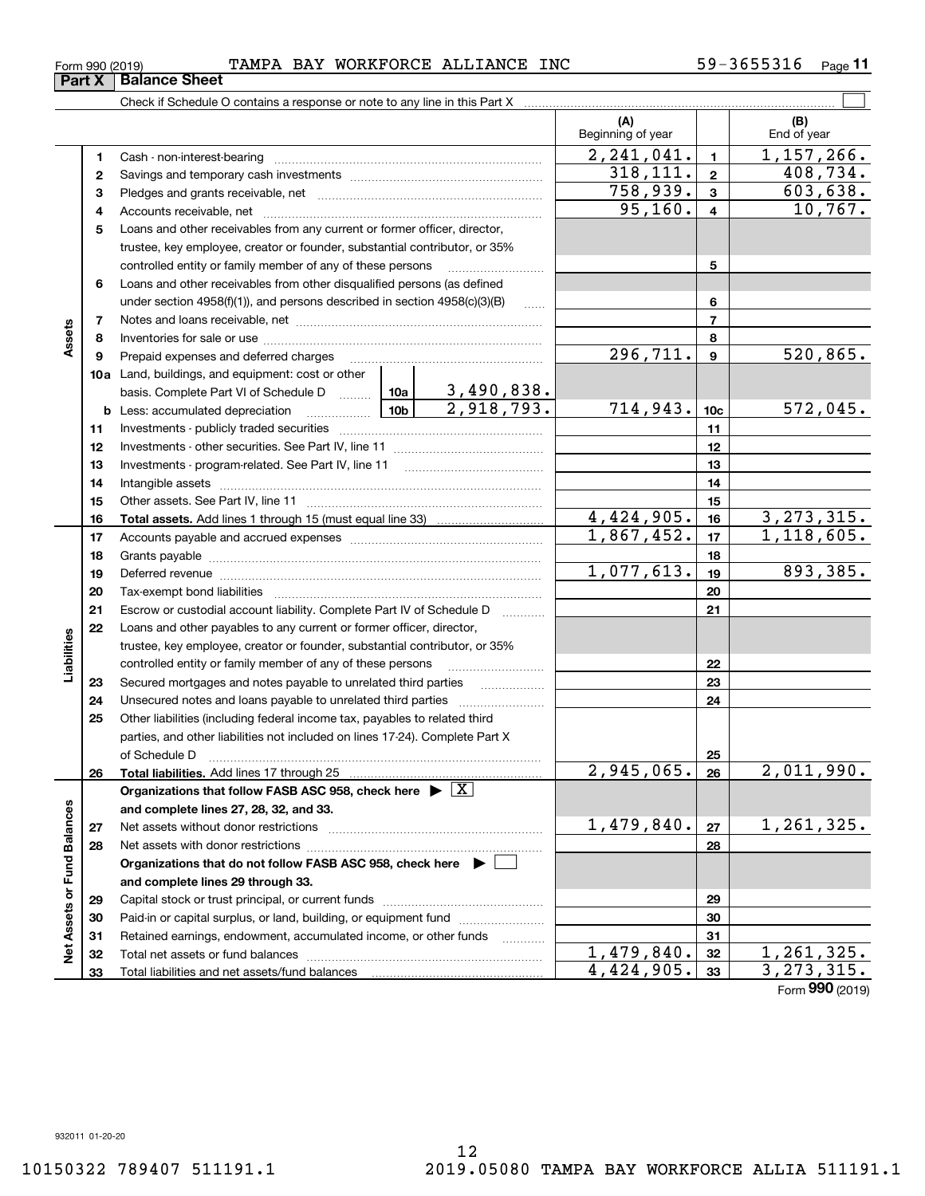Form (2019) **990**

|  | Form 990 (2019) |  | TAMPA BAY WORKFORCE ALLIANCE INC |  | 59-3655316 | Page |
|--|-----------------|--|----------------------------------|--|------------|------|
|--|-----------------|--|----------------------------------|--|------------|------|

|                             |    |                                                                                                                                                                                                                                                                                                                                                                                                                                                |                                 | (A)<br>Beginning of year |                  | (B)<br>End of year       |
|-----------------------------|----|------------------------------------------------------------------------------------------------------------------------------------------------------------------------------------------------------------------------------------------------------------------------------------------------------------------------------------------------------------------------------------------------------------------------------------------------|---------------------------------|--------------------------|------------------|--------------------------|
|                             | 1  |                                                                                                                                                                                                                                                                                                                                                                                                                                                |                                 | 2, 241, 041.             | $\blacksquare$   | $\overline{1,157,266}$ . |
|                             | 2  |                                                                                                                                                                                                                                                                                                                                                                                                                                                |                                 | 318, 111.                | $\mathbf 2$      | 408,734.                 |
|                             | з  |                                                                                                                                                                                                                                                                                                                                                                                                                                                |                                 | 758,939.                 | $\mathbf{3}$     | 603,638.                 |
|                             | 4  |                                                                                                                                                                                                                                                                                                                                                                                                                                                |                                 | 95, 160.                 | $\overline{4}$   | 10,767.                  |
|                             | 5  | Loans and other receivables from any current or former officer, director,                                                                                                                                                                                                                                                                                                                                                                      |                                 |                          |                  |                          |
|                             |    | trustee, key employee, creator or founder, substantial contributor, or 35%                                                                                                                                                                                                                                                                                                                                                                     |                                 |                          |                  |                          |
|                             |    | controlled entity or family member of any of these persons                                                                                                                                                                                                                                                                                                                                                                                     |                                 |                          | 5                |                          |
|                             | 6  | Loans and other receivables from other disqualified persons (as defined                                                                                                                                                                                                                                                                                                                                                                        |                                 |                          |                  |                          |
| Assets                      |    | under section 4958(f)(1)), and persons described in section 4958(c)(3)(B)                                                                                                                                                                                                                                                                                                                                                                      | $\ldots$                        |                          | 6                |                          |
|                             | 7  |                                                                                                                                                                                                                                                                                                                                                                                                                                                |                                 |                          | $\overline{7}$   |                          |
|                             | 8  |                                                                                                                                                                                                                                                                                                                                                                                                                                                |                                 |                          | 8                |                          |
|                             | 9  | Prepaid expenses and deferred charges                                                                                                                                                                                                                                                                                                                                                                                                          |                                 | 296,711.                 | $\boldsymbol{9}$ | 520,865.                 |
|                             |    | <b>10a</b> Land, buildings, and equipment: cost or other                                                                                                                                                                                                                                                                                                                                                                                       |                                 |                          |                  |                          |
|                             |    | basis. Complete Part VI of Schedule D  10a                                                                                                                                                                                                                                                                                                                                                                                                     | $\frac{3,490,838.}{2,918,793.}$ |                          |                  |                          |
|                             |    | $\frac{1}{10b}$<br><b>b</b> Less: accumulated depreciation                                                                                                                                                                                                                                                                                                                                                                                     |                                 | 714,943.                 | 10 <sub>c</sub>  | 572,045.                 |
|                             | 11 |                                                                                                                                                                                                                                                                                                                                                                                                                                                |                                 |                          | 11               |                          |
|                             | 12 |                                                                                                                                                                                                                                                                                                                                                                                                                                                |                                 |                          | 12               |                          |
|                             | 13 |                                                                                                                                                                                                                                                                                                                                                                                                                                                |                                 |                          | 13               |                          |
|                             | 14 |                                                                                                                                                                                                                                                                                                                                                                                                                                                |                                 |                          | 14               |                          |
|                             | 15 |                                                                                                                                                                                                                                                                                                                                                                                                                                                |                                 |                          | 15               |                          |
|                             | 16 |                                                                                                                                                                                                                                                                                                                                                                                                                                                |                                 | $\overline{4,424,905}$ . | 16               | 3, 273, 315.             |
|                             | 17 |                                                                                                                                                                                                                                                                                                                                                                                                                                                |                                 | 1,867,452.               | 17               | $\overline{1,118,605}$ . |
|                             | 18 |                                                                                                                                                                                                                                                                                                                                                                                                                                                |                                 | 18                       |                  |                          |
|                             | 19 |                                                                                                                                                                                                                                                                                                                                                                                                                                                | 1,077,613.                      | 19                       | 893,385.         |                          |
|                             | 20 |                                                                                                                                                                                                                                                                                                                                                                                                                                                |                                 | 20                       |                  |                          |
|                             | 21 | Escrow or custodial account liability. Complete Part IV of Schedule D                                                                                                                                                                                                                                                                                                                                                                          |                                 |                          | 21               |                          |
|                             | 22 | Loans and other payables to any current or former officer, director,                                                                                                                                                                                                                                                                                                                                                                           |                                 |                          |                  |                          |
| Liabilities                 |    | trustee, key employee, creator or founder, substantial contributor, or 35%                                                                                                                                                                                                                                                                                                                                                                     |                                 |                          |                  |                          |
|                             |    | controlled entity or family member of any of these persons                                                                                                                                                                                                                                                                                                                                                                                     |                                 | 22                       |                  |                          |
|                             | 23 | Secured mortgages and notes payable to unrelated third parties                                                                                                                                                                                                                                                                                                                                                                                 |                                 |                          | 23               |                          |
|                             | 24 |                                                                                                                                                                                                                                                                                                                                                                                                                                                |                                 |                          | 24               |                          |
|                             | 25 | Other liabilities (including federal income tax, payables to related third<br>parties, and other liabilities not included on lines 17-24). Complete Part X                                                                                                                                                                                                                                                                                     |                                 |                          |                  |                          |
|                             |    | of Schedule D                                                                                                                                                                                                                                                                                                                                                                                                                                  |                                 |                          | 25               |                          |
|                             | 26 | $\begin{minipage}{0.5\textwidth} \begin{tabular}{ c c c c } \hline \multicolumn{1}{ c }{0.5\textwidth} \begin{tabular}{ c c c } \hline \multicolumn{1}{ c }{0.5\textwidth} \begin{tabular}{ c c c } \hline \multicolumn{1}{ c }{0.5\textwidth} \begin{tabular}{ c c c } \hline \multicolumn{1}{ c }{0.5\textwidth} \begin{tabular}{ c c c } \hline \multicolumn{1}{ c }{0.5\textwidth} \begin{tabular}{ c c c } \hline \multicolumn{1}{ c }{0$ |                                 | $\overline{2,945,065.}$  | 26               | 2,011,990.               |
|                             |    | Organizations that follow FASB ASC 958, check here $\blacktriangleright \lfloor X \rfloor$                                                                                                                                                                                                                                                                                                                                                     |                                 |                          |                  |                          |
|                             |    | and complete lines 27, 28, 32, and 33.                                                                                                                                                                                                                                                                                                                                                                                                         |                                 |                          |                  |                          |
|                             | 27 |                                                                                                                                                                                                                                                                                                                                                                                                                                                |                                 | 1,479,840.               | 27               | 1,261,325.               |
|                             | 28 |                                                                                                                                                                                                                                                                                                                                                                                                                                                |                                 |                          | 28               |                          |
|                             |    | Organizations that do not follow FASB ASC 958, check here $\blacktriangleright$                                                                                                                                                                                                                                                                                                                                                                |                                 |                          |                  |                          |
|                             |    | and complete lines 29 through 33.                                                                                                                                                                                                                                                                                                                                                                                                              |                                 |                          |                  |                          |
|                             | 29 |                                                                                                                                                                                                                                                                                                                                                                                                                                                |                                 |                          | 29               |                          |
|                             | 30 | Paid-in or capital surplus, or land, building, or equipment fund                                                                                                                                                                                                                                                                                                                                                                               |                                 |                          | 30               |                          |
|                             | 31 | Retained earnings, endowment, accumulated income, or other funds                                                                                                                                                                                                                                                                                                                                                                               | .                               |                          | 31               |                          |
| Net Assets or Fund Balances | 32 |                                                                                                                                                                                                                                                                                                                                                                                                                                                |                                 | 1,479,840.               | 32               | 1,261,325.               |
|                             | 33 | Total liabilities and net assets/fund balances                                                                                                                                                                                                                                                                                                                                                                                                 |                                 | 4,424,905.               | 33               | 3, 273, 315.             |

**33**Total liabilities and net assets/fund balances

**Part X Balance Sheet**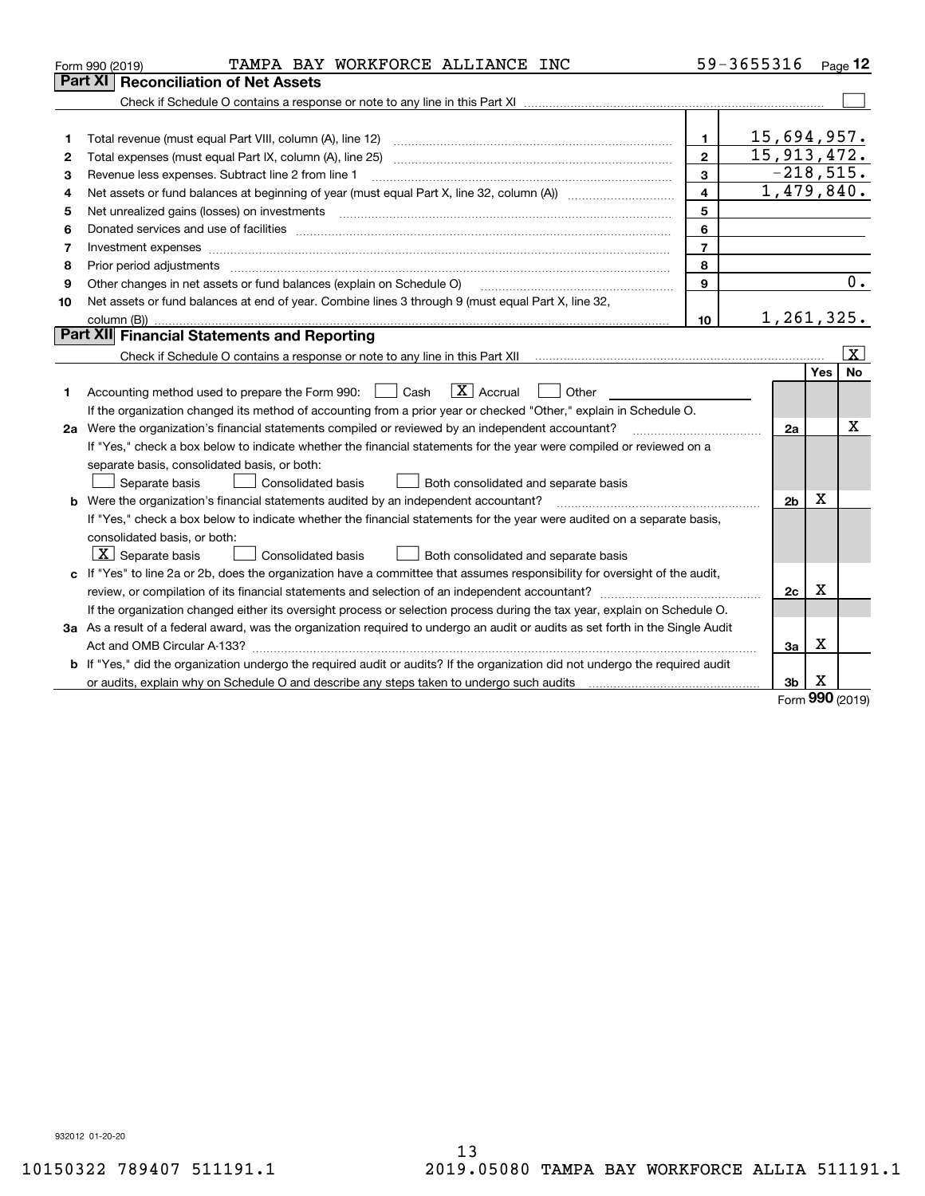|         | TAMPA BAY WORKFORCE ALLIANCE INC<br>Form 990 (2019)                                                                             |                         | 59-3655316     |     | Page 12           |  |  |
|---------|---------------------------------------------------------------------------------------------------------------------------------|-------------------------|----------------|-----|-------------------|--|--|
| Part XI | <b>Reconciliation of Net Assets</b>                                                                                             |                         |                |     |                   |  |  |
|         |                                                                                                                                 |                         |                |     |                   |  |  |
|         |                                                                                                                                 |                         |                |     |                   |  |  |
| 1       |                                                                                                                                 | 1                       | 15,694,957.    |     |                   |  |  |
| 2       | Total expenses (must equal Part IX, column (A), line 25)                                                                        | $\mathbf{2}$            | 15,913,472.    |     |                   |  |  |
| З       | Revenue less expenses. Subtract line 2 from line 1                                                                              | 3                       | $-218,515.$    |     |                   |  |  |
| 4       |                                                                                                                                 | $\overline{\mathbf{4}}$ | 1,479,840.     |     |                   |  |  |
| 5       | Net unrealized gains (losses) on investments                                                                                    | 5                       |                |     |                   |  |  |
| 6       | 6                                                                                                                               |                         |                |     |                   |  |  |
| 7       |                                                                                                                                 | $\overline{7}$          |                |     |                   |  |  |
| 8       |                                                                                                                                 | 8                       |                |     |                   |  |  |
| 9       | Other changes in net assets or fund balances (explain on Schedule O)                                                            | 9                       |                |     | 0.                |  |  |
| 10      | Net assets or fund balances at end of year. Combine lines 3 through 9 (must equal Part X, line 32,                              |                         |                |     |                   |  |  |
|         | 1, 261, 325.<br>10                                                                                                              |                         |                |     |                   |  |  |
|         | <b>Part XII Financial Statements and Reporting</b>                                                                              |                         |                |     |                   |  |  |
|         |                                                                                                                                 |                         |                |     | $\vert$ X $\vert$ |  |  |
|         |                                                                                                                                 |                         |                | Yes | <b>No</b>         |  |  |
| 1       | $\boxed{\mathbf{X}}$ Accrual<br>Accounting method used to prepare the Form 990: <u>I</u> Cash<br>Other                          |                         |                |     |                   |  |  |
|         | If the organization changed its method of accounting from a prior year or checked "Other," explain in Schedule O.               |                         |                |     |                   |  |  |
|         | 2a Were the organization's financial statements compiled or reviewed by an independent accountant?                              |                         |                |     |                   |  |  |
|         | If "Yes," check a box below to indicate whether the financial statements for the year were compiled or reviewed on a            |                         |                |     |                   |  |  |
|         | separate basis, consolidated basis, or both:                                                                                    |                         |                |     |                   |  |  |
|         | Separate basis<br>Both consolidated and separate basis<br>Consolidated basis                                                    |                         |                |     |                   |  |  |
|         | <b>b</b> Were the organization's financial statements audited by an independent accountant?                                     |                         | 2 <sub>b</sub> | X   |                   |  |  |
|         | If "Yes," check a box below to indicate whether the financial statements for the year were audited on a separate basis,         |                         |                |     |                   |  |  |
|         | consolidated basis, or both:                                                                                                    |                         |                |     |                   |  |  |
|         | $X$ Separate basis<br>Consolidated basis<br>Both consolidated and separate basis                                                |                         |                |     |                   |  |  |
|         | c If "Yes" to line 2a or 2b, does the organization have a committee that assumes responsibility for oversight of the audit,     |                         |                |     |                   |  |  |
|         |                                                                                                                                 |                         | 2c             | X   |                   |  |  |
|         | If the organization changed either its oversight process or selection process during the tax year, explain on Schedule O.       |                         |                |     |                   |  |  |
|         | 3a As a result of a federal award, was the organization required to undergo an audit or audits as set forth in the Single Audit |                         |                |     |                   |  |  |
|         |                                                                                                                                 |                         | За             | Х   |                   |  |  |
| b       | If "Yes," did the organization undergo the required audit or audits? If the organization did not undergo the required audit     |                         |                |     |                   |  |  |
|         |                                                                                                                                 |                         | Зb             | х   |                   |  |  |

Form (2019) **990**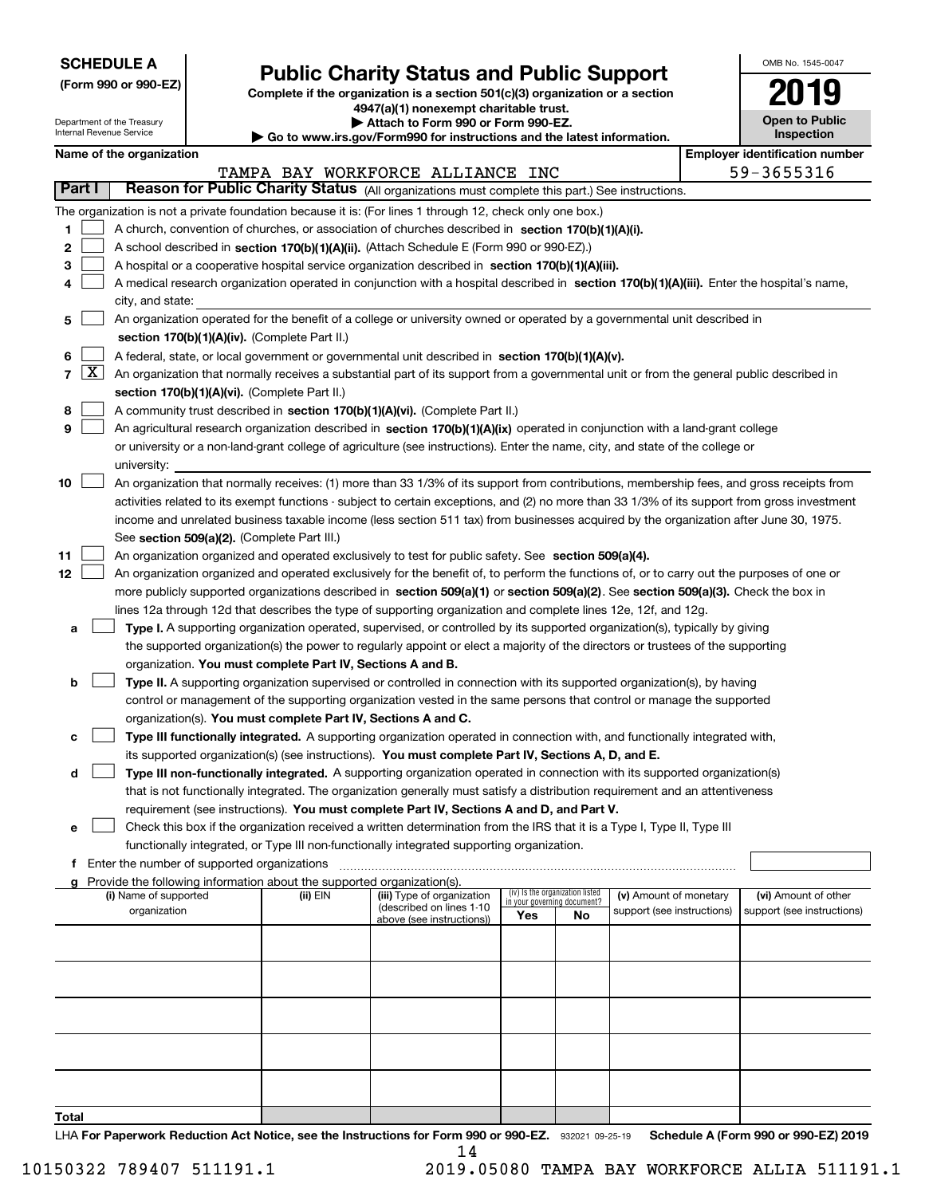| <b>SCHEDULE A</b> |
|-------------------|
|-------------------|

**(Form 990 or 990-EZ)**

### **Public Charity Status and Public Support**

**Complete if the organization is a section 501(c)(3) organization or a section 4947(a)(1) nonexempt charitable trust. | Attach to Form 990 or Form 990-EZ.** 

| OMB No. 1545-0047     |
|-----------------------|
| '019                  |
| <b>Open to Public</b> |

|    | Department of the Treasury<br>Internal Revenue Service                                                                                     |                                                                                                                                               |  |                                                                          | Attach to Form 990 or Form 990-EZ.<br>Go to www.irs.gov/Form990 for instructions and the latest information.                               |     |                                                                | <b>Open to Public</b><br>Inspection |  |                                       |  |
|----|--------------------------------------------------------------------------------------------------------------------------------------------|-----------------------------------------------------------------------------------------------------------------------------------------------|--|--------------------------------------------------------------------------|--------------------------------------------------------------------------------------------------------------------------------------------|-----|----------------------------------------------------------------|-------------------------------------|--|---------------------------------------|--|
|    |                                                                                                                                            | Name of the organization                                                                                                                      |  |                                                                          |                                                                                                                                            |     |                                                                |                                     |  | <b>Employer identification number</b> |  |
|    |                                                                                                                                            |                                                                                                                                               |  |                                                                          | TAMPA BAY WORKFORCE ALLIANCE INC                                                                                                           |     |                                                                |                                     |  | 59-3655316                            |  |
|    | Part I                                                                                                                                     |                                                                                                                                               |  |                                                                          | Reason for Public Charity Status (All organizations must complete this part.) See instructions.                                            |     |                                                                |                                     |  |                                       |  |
|    |                                                                                                                                            |                                                                                                                                               |  |                                                                          | The organization is not a private foundation because it is: (For lines 1 through 12, check only one box.)                                  |     |                                                                |                                     |  |                                       |  |
| 1  |                                                                                                                                            |                                                                                                                                               |  |                                                                          | A church, convention of churches, or association of churches described in section 170(b)(1)(A)(i).                                         |     |                                                                |                                     |  |                                       |  |
| 2  |                                                                                                                                            |                                                                                                                                               |  |                                                                          | A school described in section 170(b)(1)(A)(ii). (Attach Schedule E (Form 990 or 990-EZ).)                                                  |     |                                                                |                                     |  |                                       |  |
|    |                                                                                                                                            |                                                                                                                                               |  |                                                                          |                                                                                                                                            |     |                                                                |                                     |  |                                       |  |
| з  |                                                                                                                                            |                                                                                                                                               |  |                                                                          | A hospital or a cooperative hospital service organization described in section 170(b)(1)(A)(iii).                                          |     |                                                                |                                     |  |                                       |  |
| 4  |                                                                                                                                            |                                                                                                                                               |  |                                                                          | A medical research organization operated in conjunction with a hospital described in section 170(b)(1)(A)(iii). Enter the hospital's name, |     |                                                                |                                     |  |                                       |  |
|    |                                                                                                                                            | city, and state:                                                                                                                              |  |                                                                          |                                                                                                                                            |     |                                                                |                                     |  |                                       |  |
| 5  |                                                                                                                                            |                                                                                                                                               |  |                                                                          | An organization operated for the benefit of a college or university owned or operated by a governmental unit described in                  |     |                                                                |                                     |  |                                       |  |
|    |                                                                                                                                            |                                                                                                                                               |  | section 170(b)(1)(A)(iv). (Complete Part II.)                            |                                                                                                                                            |     |                                                                |                                     |  |                                       |  |
| 6  |                                                                                                                                            |                                                                                                                                               |  |                                                                          | A federal, state, or local government or governmental unit described in section 170(b)(1)(A)(v).                                           |     |                                                                |                                     |  |                                       |  |
|    | 7   X                                                                                                                                      |                                                                                                                                               |  |                                                                          | An organization that normally receives a substantial part of its support from a governmental unit or from the general public described in  |     |                                                                |                                     |  |                                       |  |
|    |                                                                                                                                            | section 170(b)(1)(A)(vi). (Complete Part II.)                                                                                                 |  |                                                                          |                                                                                                                                            |     |                                                                |                                     |  |                                       |  |
| 8  |                                                                                                                                            | A community trust described in section 170(b)(1)(A)(vi). (Complete Part II.)                                                                  |  |                                                                          |                                                                                                                                            |     |                                                                |                                     |  |                                       |  |
| 9  |                                                                                                                                            | An agricultural research organization described in section 170(b)(1)(A)(ix) operated in conjunction with a land-grant college                 |  |                                                                          |                                                                                                                                            |     |                                                                |                                     |  |                                       |  |
|    |                                                                                                                                            | or university or a non-land-grant college of agriculture (see instructions). Enter the name, city, and state of the college or                |  |                                                                          |                                                                                                                                            |     |                                                                |                                     |  |                                       |  |
|    |                                                                                                                                            | university:                                                                                                                                   |  |                                                                          |                                                                                                                                            |     |                                                                |                                     |  |                                       |  |
| 10 |                                                                                                                                            | An organization that normally receives: (1) more than 33 1/3% of its support from contributions, membership fees, and gross receipts from     |  |                                                                          |                                                                                                                                            |     |                                                                |                                     |  |                                       |  |
|    |                                                                                                                                            | activities related to its exempt functions - subject to certain exceptions, and (2) no more than 33 1/3% of its support from gross investment |  |                                                                          |                                                                                                                                            |     |                                                                |                                     |  |                                       |  |
|    | income and unrelated business taxable income (less section 511 tax) from businesses acquired by the organization after June 30, 1975.      |                                                                                                                                               |  |                                                                          |                                                                                                                                            |     |                                                                |                                     |  |                                       |  |
|    | See section 509(a)(2). (Complete Part III.)                                                                                                |                                                                                                                                               |  |                                                                          |                                                                                                                                            |     |                                                                |                                     |  |                                       |  |
| 11 | An organization organized and operated exclusively to test for public safety. See section 509(a)(4).                                       |                                                                                                                                               |  |                                                                          |                                                                                                                                            |     |                                                                |                                     |  |                                       |  |
| 12 | An organization organized and operated exclusively for the benefit of, to perform the functions of, or to carry out the purposes of one or |                                                                                                                                               |  |                                                                          |                                                                                                                                            |     |                                                                |                                     |  |                                       |  |
|    | more publicly supported organizations described in section 509(a)(1) or section 509(a)(2). See section 509(a)(3). Check the box in         |                                                                                                                                               |  |                                                                          |                                                                                                                                            |     |                                                                |                                     |  |                                       |  |
|    | lines 12a through 12d that describes the type of supporting organization and complete lines 12e, 12f, and 12g.                             |                                                                                                                                               |  |                                                                          |                                                                                                                                            |     |                                                                |                                     |  |                                       |  |
| а  |                                                                                                                                            |                                                                                                                                               |  |                                                                          | Type I. A supporting organization operated, supervised, or controlled by its supported organization(s), typically by giving                |     |                                                                |                                     |  |                                       |  |
|    |                                                                                                                                            |                                                                                                                                               |  |                                                                          | the supported organization(s) the power to regularly appoint or elect a majority of the directors or trustees of the supporting            |     |                                                                |                                     |  |                                       |  |
|    |                                                                                                                                            |                                                                                                                                               |  | organization. You must complete Part IV, Sections A and B.               |                                                                                                                                            |     |                                                                |                                     |  |                                       |  |
| b  |                                                                                                                                            |                                                                                                                                               |  |                                                                          | Type II. A supporting organization supervised or controlled in connection with its supported organization(s), by having                    |     |                                                                |                                     |  |                                       |  |
|    |                                                                                                                                            |                                                                                                                                               |  |                                                                          | control or management of the supporting organization vested in the same persons that control or manage the supported                       |     |                                                                |                                     |  |                                       |  |
|    |                                                                                                                                            |                                                                                                                                               |  | organization(s). You must complete Part IV, Sections A and C.            |                                                                                                                                            |     |                                                                |                                     |  |                                       |  |
| с  |                                                                                                                                            |                                                                                                                                               |  |                                                                          | Type III functionally integrated. A supporting organization operated in connection with, and functionally integrated with,                 |     |                                                                |                                     |  |                                       |  |
|    |                                                                                                                                            |                                                                                                                                               |  |                                                                          | its supported organization(s) (see instructions). You must complete Part IV, Sections A, D, and E.                                         |     |                                                                |                                     |  |                                       |  |
| d  |                                                                                                                                            |                                                                                                                                               |  |                                                                          | Type III non-functionally integrated. A supporting organization operated in connection with its supported organization(s)                  |     |                                                                |                                     |  |                                       |  |
|    |                                                                                                                                            |                                                                                                                                               |  |                                                                          | that is not functionally integrated. The organization generally must satisfy a distribution requirement and an attentiveness               |     |                                                                |                                     |  |                                       |  |
|    |                                                                                                                                            |                                                                                                                                               |  |                                                                          | requirement (see instructions). You must complete Part IV, Sections A and D, and Part V.                                                   |     |                                                                |                                     |  |                                       |  |
| е  |                                                                                                                                            |                                                                                                                                               |  |                                                                          | Check this box if the organization received a written determination from the IRS that it is a Type I, Type II, Type III                    |     |                                                                |                                     |  |                                       |  |
|    |                                                                                                                                            |                                                                                                                                               |  |                                                                          | functionally integrated, or Type III non-functionally integrated supporting organization.                                                  |     |                                                                |                                     |  |                                       |  |
|    |                                                                                                                                            | f Enter the number of supported organizations                                                                                                 |  |                                                                          |                                                                                                                                            |     |                                                                |                                     |  |                                       |  |
|    |                                                                                                                                            |                                                                                                                                               |  | g Provide the following information about the supported organization(s). |                                                                                                                                            |     |                                                                |                                     |  |                                       |  |
|    |                                                                                                                                            | (i) Name of supported                                                                                                                         |  | (ii) EIN                                                                 | (iii) Type of organization                                                                                                                 |     | (iv) Is the organization listed<br>in your governing document? | (v) Amount of monetary              |  | (vi) Amount of other                  |  |
|    |                                                                                                                                            | organization                                                                                                                                  |  |                                                                          | (described on lines 1-10<br>above (see instructions))                                                                                      | Yes | No                                                             | support (see instructions)          |  | support (see instructions)            |  |
|    |                                                                                                                                            |                                                                                                                                               |  |                                                                          |                                                                                                                                            |     |                                                                |                                     |  |                                       |  |
|    |                                                                                                                                            |                                                                                                                                               |  |                                                                          |                                                                                                                                            |     |                                                                |                                     |  |                                       |  |
|    |                                                                                                                                            |                                                                                                                                               |  |                                                                          |                                                                                                                                            |     |                                                                |                                     |  |                                       |  |
|    |                                                                                                                                            |                                                                                                                                               |  |                                                                          |                                                                                                                                            |     |                                                                |                                     |  |                                       |  |
|    |                                                                                                                                            |                                                                                                                                               |  |                                                                          |                                                                                                                                            |     |                                                                |                                     |  |                                       |  |
|    |                                                                                                                                            |                                                                                                                                               |  |                                                                          |                                                                                                                                            |     |                                                                |                                     |  |                                       |  |
|    |                                                                                                                                            |                                                                                                                                               |  |                                                                          |                                                                                                                                            |     |                                                                |                                     |  |                                       |  |
|    |                                                                                                                                            |                                                                                                                                               |  |                                                                          |                                                                                                                                            |     |                                                                |                                     |  |                                       |  |
|    |                                                                                                                                            |                                                                                                                                               |  |                                                                          |                                                                                                                                            |     |                                                                |                                     |  |                                       |  |
|    |                                                                                                                                            |                                                                                                                                               |  |                                                                          |                                                                                                                                            |     |                                                                |                                     |  |                                       |  |
|    |                                                                                                                                            |                                                                                                                                               |  |                                                                          |                                                                                                                                            |     |                                                                |                                     |  |                                       |  |

**Total**

LHA For Paperwork Reduction Act Notice, see the Instructions for Form 990 or 990-EZ. 932021 09-25-19 Schedule A (Form 990 or 990-EZ) 2019 14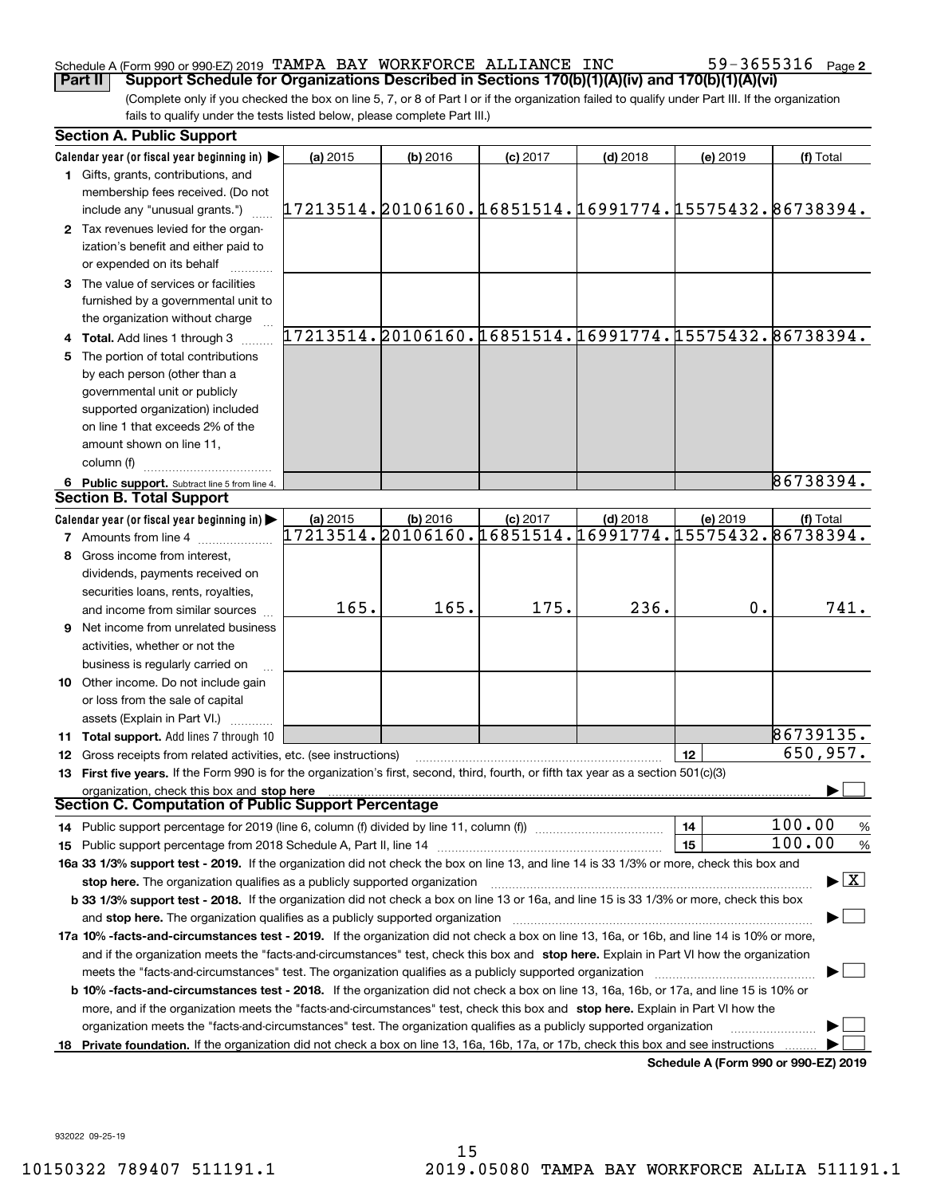#### Schedule A (Form 990 or 990-EZ) 2019 Page TAMPA BAY WORKFORCE ALLIANCE INC 59-3655316

(Complete only if you checked the box on line 5, 7, or 8 of Part I or if the organization failed to qualify under Part III. If the organization fails to qualify under the tests listed below, please complete Part III.) **Part II Support Schedule for Organizations Described in Sections 170(b)(1)(A)(iv) and 170(b)(1)(A)(vi)**

| <b>Section A. Public Support</b>                                                                                                               |                                                        |            |            |            |          |                                                                               |
|------------------------------------------------------------------------------------------------------------------------------------------------|--------------------------------------------------------|------------|------------|------------|----------|-------------------------------------------------------------------------------|
| Calendar year (or fiscal year beginning in)                                                                                                    | (a) 2015                                               | $(b)$ 2016 | $(c)$ 2017 | $(d)$ 2018 | (e) 2019 | (f) Total                                                                     |
| 1 Gifts, grants, contributions, and                                                                                                            |                                                        |            |            |            |          |                                                                               |
| membership fees received. (Do not                                                                                                              |                                                        |            |            |            |          |                                                                               |
| include any "unusual grants.")                                                                                                                 | 17213514.20106160.16851514.16991774.15575432.86738394. |            |            |            |          |                                                                               |
| 2 Tax revenues levied for the organ-                                                                                                           |                                                        |            |            |            |          |                                                                               |
| ization's benefit and either paid to                                                                                                           |                                                        |            |            |            |          |                                                                               |
| or expended on its behalf                                                                                                                      |                                                        |            |            |            |          |                                                                               |
| 3 The value of services or facilities                                                                                                          |                                                        |            |            |            |          |                                                                               |
| furnished by a governmental unit to                                                                                                            |                                                        |            |            |            |          |                                                                               |
| the organization without charge                                                                                                                |                                                        |            |            |            |          |                                                                               |
| 4 Total. Add lines 1 through 3                                                                                                                 |                                                        |            |            |            |          | 17213514.20106160.16851514.16991774.15575432.86738394.                        |
| 5 The portion of total contributions                                                                                                           |                                                        |            |            |            |          |                                                                               |
| by each person (other than a                                                                                                                   |                                                        |            |            |            |          |                                                                               |
| governmental unit or publicly                                                                                                                  |                                                        |            |            |            |          |                                                                               |
| supported organization) included                                                                                                               |                                                        |            |            |            |          |                                                                               |
| on line 1 that exceeds 2% of the                                                                                                               |                                                        |            |            |            |          |                                                                               |
| amount shown on line 11,                                                                                                                       |                                                        |            |            |            |          |                                                                               |
| column (f)                                                                                                                                     |                                                        |            |            |            |          |                                                                               |
| 6 Public support. Subtract line 5 from line 4.                                                                                                 |                                                        |            |            |            |          | 86738394.                                                                     |
| <b>Section B. Total Support</b>                                                                                                                |                                                        |            |            |            |          |                                                                               |
| Calendar year (or fiscal year beginning in)                                                                                                    | (a) 2015                                               | $(b)$ 2016 | $(c)$ 2017 | $(d)$ 2018 | (e) 2019 | (f) Total                                                                     |
| <b>7</b> Amounts from line 4                                                                                                                   |                                                        |            |            |            |          | $17213514$ , $20106160$ , $16851514$ , $16991774$ , $15575432$ , $86738394$ , |
| 8 Gross income from interest,                                                                                                                  |                                                        |            |            |            |          |                                                                               |
| dividends, payments received on                                                                                                                |                                                        |            |            |            |          |                                                                               |
| securities loans, rents, royalties,                                                                                                            |                                                        |            |            |            |          |                                                                               |
| and income from similar sources                                                                                                                | 165.                                                   | 165.       | 175.       | 236.       | 0.       | 741.                                                                          |
| <b>9</b> Net income from unrelated business                                                                                                    |                                                        |            |            |            |          |                                                                               |
| activities, whether or not the                                                                                                                 |                                                        |            |            |            |          |                                                                               |
| business is regularly carried on                                                                                                               |                                                        |            |            |            |          |                                                                               |
| <b>10</b> Other income. Do not include gain                                                                                                    |                                                        |            |            |            |          |                                                                               |
| or loss from the sale of capital                                                                                                               |                                                        |            |            |            |          |                                                                               |
| assets (Explain in Part VI.)                                                                                                                   |                                                        |            |            |            |          |                                                                               |
| 11 Total support. Add lines 7 through 10                                                                                                       |                                                        |            |            |            |          | 86739135.                                                                     |
| 12 Gross receipts from related activities, etc. (see instructions)                                                                             |                                                        |            |            |            | 12       | 650,957.                                                                      |
| 13 First five years. If the Form 990 is for the organization's first, second, third, fourth, or fifth tax year as a section 501(c)(3)          |                                                        |            |            |            |          |                                                                               |
| organization, check this box and stop here                                                                                                     |                                                        |            |            |            |          |                                                                               |
| Section C. Computation of Public Support Percentage                                                                                            |                                                        |            |            |            |          |                                                                               |
| 14 Public support percentage for 2019 (line 6, column (f) divided by line 11, column (f) <i>manumeronominimi</i> ng.                           |                                                        |            |            |            | 14       | 100.00<br>$\frac{9}{6}$                                                       |
|                                                                                                                                                |                                                        |            |            |            | 15       | 100.00<br>%                                                                   |
| 16a 33 1/3% support test - 2019. If the organization did not check the box on line 13, and line 14 is 33 1/3% or more, check this box and      |                                                        |            |            |            |          |                                                                               |
| stop here. The organization qualifies as a publicly supported organization                                                                     |                                                        |            |            |            |          | $\blacktriangleright$ $\vert$ X $\vert$                                       |
| b 33 1/3% support test - 2018. If the organization did not check a box on line 13 or 16a, and line 15 is 33 1/3% or more, check this box       |                                                        |            |            |            |          |                                                                               |
| and stop here. The organization qualifies as a publicly supported organization                                                                 |                                                        |            |            |            |          |                                                                               |
| 17a 10% -facts-and-circumstances test - 2019. If the organization did not check a box on line 13, 16a, or 16b, and line 14 is 10% or more,     |                                                        |            |            |            |          |                                                                               |
| and if the organization meets the "facts-and-circumstances" test, check this box and stop here. Explain in Part VI how the organization        |                                                        |            |            |            |          |                                                                               |
| meets the "facts-and-circumstances" test. The organization qualifies as a publicly supported organization                                      |                                                        |            |            |            |          |                                                                               |
| <b>b 10% -facts-and-circumstances test - 2018.</b> If the organization did not check a box on line 13, 16a, 16b, or 17a, and line 15 is 10% or |                                                        |            |            |            |          |                                                                               |
| more, and if the organization meets the "facts-and-circumstances" test, check this box and stop here. Explain in Part VI how the               |                                                        |            |            |            |          |                                                                               |
| organization meets the "facts-and-circumstances" test. The organization qualifies as a publicly supported organization                         |                                                        |            |            |            |          |                                                                               |
| 18 Private foundation. If the organization did not check a box on line 13, 16a, 16b, 17a, or 17b, check this box and see instructions          |                                                        |            |            |            |          |                                                                               |
|                                                                                                                                                |                                                        |            |            |            |          | Schedule A (Form 990 or 990-F7) 2019                                          |

**Schedule A (Form 990 or 990-EZ) 2019**

932022 09-25-19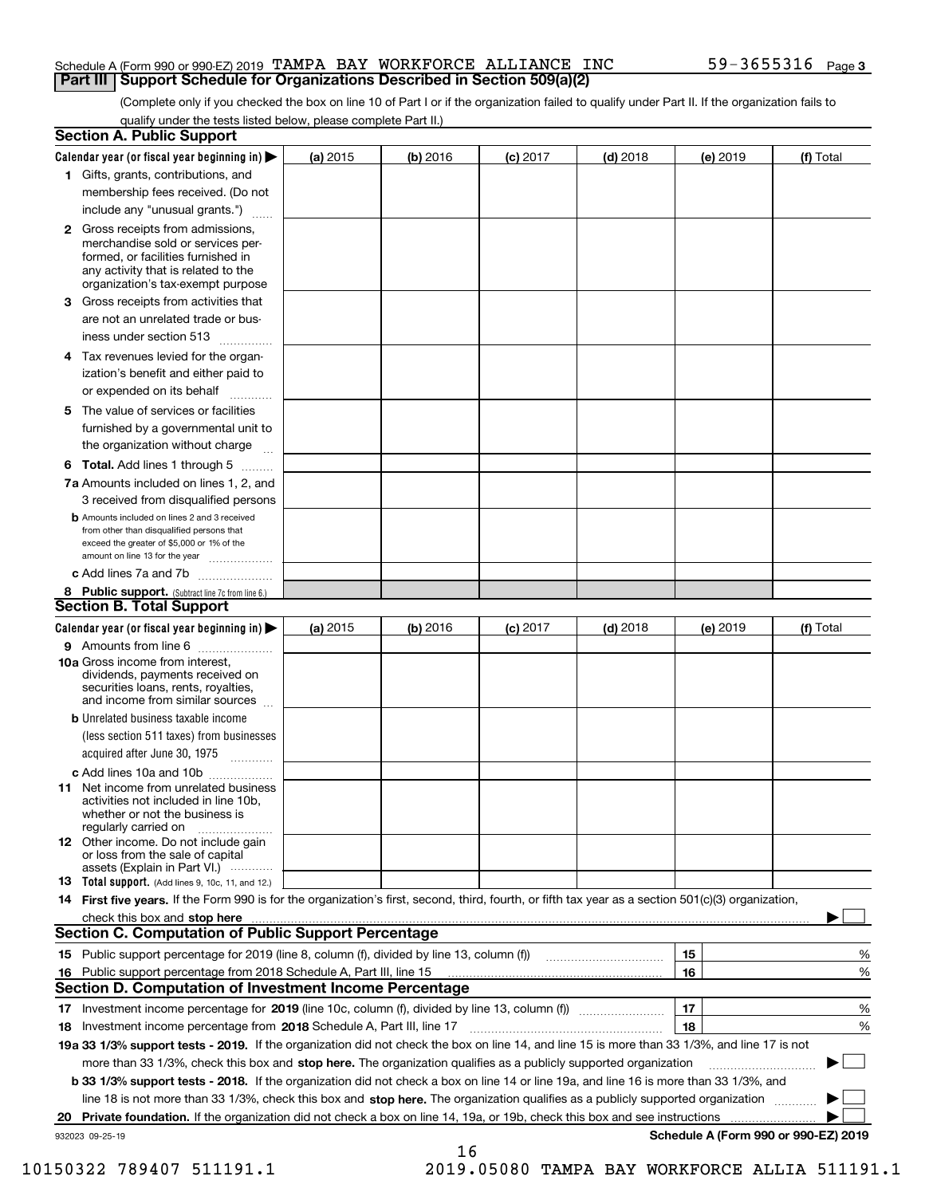#### Schedule A (Form 990 or 990-EZ) 2019 Page TAMPA BAY WORKFORCE ALLIANCE INC 59-3655316 **Part III Support Schedule for Organizations Described in Section 509(a)(2)**

(Complete only if you checked the box on line 10 of Part I or if the organization failed to qualify under Part II. If the organization fails to qualify under the tests listed below, please complete Part II.)

| <b>Section A. Public Support</b>                                                                                                                                                                                         |            |          |            |            |          |                                      |
|--------------------------------------------------------------------------------------------------------------------------------------------------------------------------------------------------------------------------|------------|----------|------------|------------|----------|--------------------------------------|
| Calendar year (or fiscal year beginning in) $\blacktriangleright$                                                                                                                                                        | (a) 2015   | (b) 2016 | $(c)$ 2017 | $(d)$ 2018 | (e) 2019 | (f) Total                            |
| 1 Gifts, grants, contributions, and                                                                                                                                                                                      |            |          |            |            |          |                                      |
| membership fees received. (Do not                                                                                                                                                                                        |            |          |            |            |          |                                      |
| include any "unusual grants.")                                                                                                                                                                                           |            |          |            |            |          |                                      |
| 2 Gross receipts from admissions,<br>merchandise sold or services per-<br>formed, or facilities furnished in<br>any activity that is related to the<br>organization's tax-exempt purpose                                 |            |          |            |            |          |                                      |
| 3 Gross receipts from activities that<br>are not an unrelated trade or bus-                                                                                                                                              |            |          |            |            |          |                                      |
| iness under section 513                                                                                                                                                                                                  |            |          |            |            |          |                                      |
| 4 Tax revenues levied for the organ-<br>ization's benefit and either paid to                                                                                                                                             |            |          |            |            |          |                                      |
| or expended on its behalf<br>.                                                                                                                                                                                           |            |          |            |            |          |                                      |
| 5 The value of services or facilities<br>furnished by a governmental unit to<br>the organization without charge                                                                                                          |            |          |            |            |          |                                      |
| <b>6 Total.</b> Add lines 1 through 5                                                                                                                                                                                    |            |          |            |            |          |                                      |
| 7a Amounts included on lines 1, 2, and                                                                                                                                                                                   |            |          |            |            |          |                                      |
| 3 received from disqualified persons<br><b>b</b> Amounts included on lines 2 and 3 received<br>from other than disqualified persons that<br>exceed the greater of \$5,000 or 1% of the<br>amount on line 13 for the year |            |          |            |            |          |                                      |
| c Add lines 7a and 7b                                                                                                                                                                                                    |            |          |            |            |          |                                      |
| 8 Public support. (Subtract line 7c from line 6.)                                                                                                                                                                        |            |          |            |            |          |                                      |
| <b>Section B. Total Support</b>                                                                                                                                                                                          |            |          |            |            |          |                                      |
| Calendar year (or fiscal year beginning in)                                                                                                                                                                              | (a) $2015$ | (b) 2016 | $(c)$ 2017 | $(d)$ 2018 | (e) 2019 | (f) Total                            |
| 9 Amounts from line 6                                                                                                                                                                                                    |            |          |            |            |          |                                      |
| 10a Gross income from interest,<br>dividends, payments received on<br>securities loans, rents, royalties,<br>and income from similar sources                                                                             |            |          |            |            |          |                                      |
| <b>b</b> Unrelated business taxable income<br>(less section 511 taxes) from businesses<br>acquired after June 30, 1975                                                                                                   |            |          |            |            |          |                                      |
| c Add lines 10a and 10b                                                                                                                                                                                                  |            |          |            |            |          |                                      |
| <b>11</b> Net income from unrelated business<br>activities not included in line 10b,<br>whether or not the business is<br>regularly carried on                                                                           |            |          |            |            |          |                                      |
| <b>12</b> Other income. Do not include gain<br>or loss from the sale of capital<br>assets (Explain in Part VI.)                                                                                                          |            |          |            |            |          |                                      |
| <b>13 Total support.</b> (Add lines 9, 10c, 11, and 12.)                                                                                                                                                                 |            |          |            |            |          |                                      |
| 14 First five years. If the Form 990 is for the organization's first, second, third, fourth, or fifth tax year as a section 501(c)(3) organization,                                                                      |            |          |            |            |          |                                      |
| check this box and stop here measurements and stop here are constructed and the measurement of the state of the                                                                                                          |            |          |            |            |          |                                      |
| <b>Section C. Computation of Public Support Percentage</b>                                                                                                                                                               |            |          |            |            |          |                                      |
| 15 Public support percentage for 2019 (line 8, column (f), divided by line 13, column (f))                                                                                                                               |            |          |            |            | 15       | %                                    |
| 16 Public support percentage from 2018 Schedule A, Part III, line 15                                                                                                                                                     |            |          |            |            | 16       | %                                    |
| <b>Section D. Computation of Investment Income Percentage</b>                                                                                                                                                            |            |          |            |            |          |                                      |
| 17 Investment income percentage for 2019 (line 10c, column (f), divided by line 13, column (f))                                                                                                                          |            |          |            |            | 17       | %                                    |
| 18 Investment income percentage from 2018 Schedule A, Part III, line 17                                                                                                                                                  |            |          |            |            | 18       | %                                    |
| 19a 33 1/3% support tests - 2019. If the organization did not check the box on line 14, and line 15 is more than 33 1/3%, and line 17 is not                                                                             |            |          |            |            |          |                                      |
| more than 33 1/3%, check this box and stop here. The organization qualifies as a publicly supported organization                                                                                                         |            |          |            |            |          | ▶                                    |
| b 33 1/3% support tests - 2018. If the organization did not check a box on line 14 or line 19a, and line 16 is more than 33 1/3%, and                                                                                    |            |          |            |            |          |                                      |
| line 18 is not more than 33 1/3%, check this box and stop here. The organization qualifies as a publicly supported organization                                                                                          |            |          |            |            |          |                                      |
| 20 Private foundation. If the organization did not check a box on line 14, 19a, or 19b, check this box and see instructions                                                                                              |            |          |            |            |          |                                      |
| 932023 09-25-19                                                                                                                                                                                                          |            | 16       |            |            |          | Schedule A (Form 990 or 990-EZ) 2019 |

10150322 789407 511191.1 2019.05080 TAMPA BAY WORKFORCE ALLIA 511191.1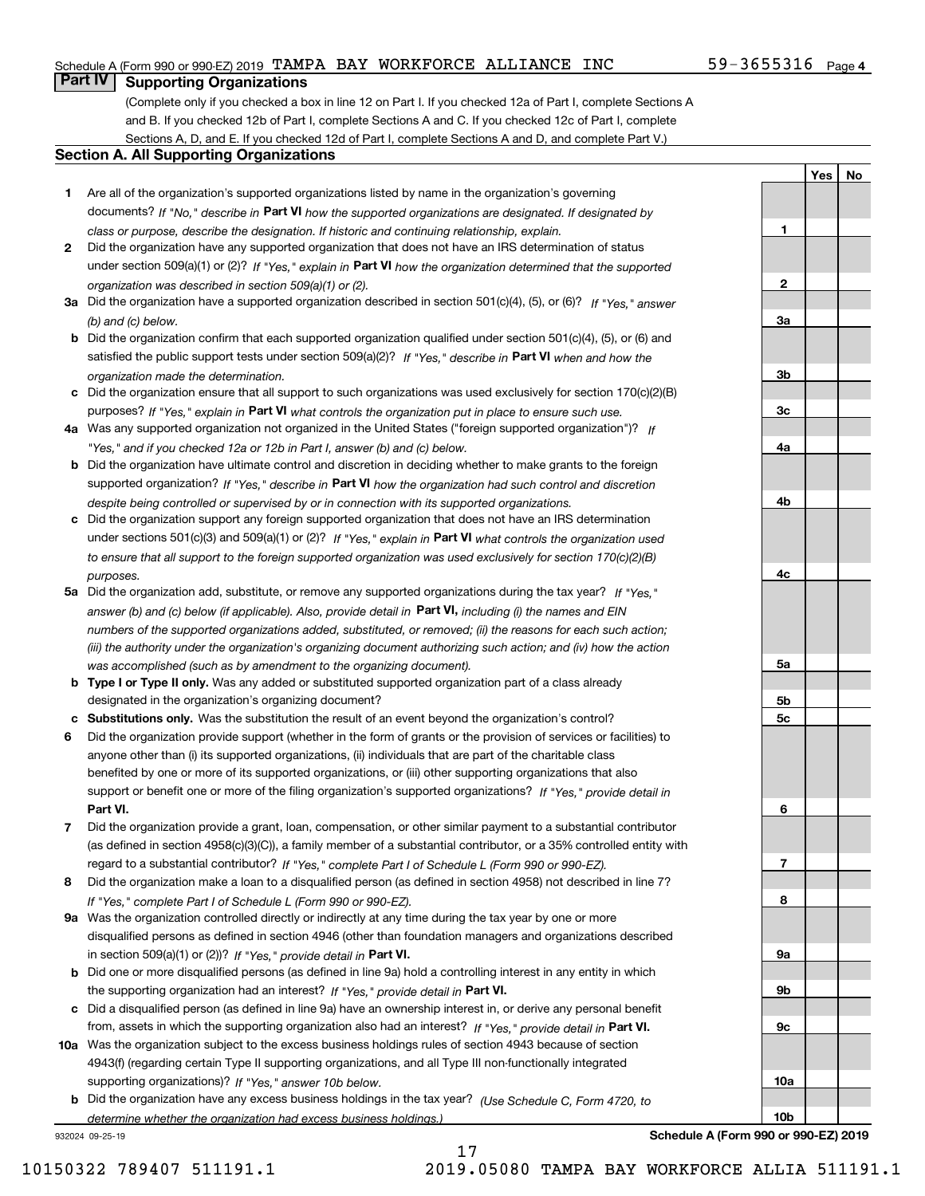#### Schedule A (Form 990 or 990-EZ) 2019 Page TAMPA BAY WORKFORCE ALLIANCE INC 59-3655316

#### $59 - 3655316$  Page 4

**1**

**2**

**3a**

**3b**

**3c**

**4a**

**4b**

**4c**

**5a**

**5b5c**

**6**

**7**

**8**

**9a**

**9b**

**9c**

**10a**

**10b**

**YesNo**

#### **Part IV Supporting Organizations**

(Complete only if you checked a box in line 12 on Part I. If you checked 12a of Part I, complete Sections A and B. If you checked 12b of Part I, complete Sections A and C. If you checked 12c of Part I, complete Sections A, D, and E. If you checked 12d of Part I, complete Sections A and D, and complete Part V.)

#### **Section A. All Supporting Organizations**

- **1** Are all of the organization's supported organizations listed by name in the organization's governing documents? If "No," describe in **Part VI** how the supported organizations are designated. If designated by *class or purpose, describe the designation. If historic and continuing relationship, explain.*
- **2** Did the organization have any supported organization that does not have an IRS determination of status under section 509(a)(1) or (2)? If "Yes," explain in Part VI how the organization determined that the supported *organization was described in section 509(a)(1) or (2).*
- **3a** Did the organization have a supported organization described in section 501(c)(4), (5), or (6)? If "Yes," answer *(b) and (c) below.*
- **b** Did the organization confirm that each supported organization qualified under section 501(c)(4), (5), or (6) and satisfied the public support tests under section 509(a)(2)? If "Yes," describe in **Part VI** when and how the *organization made the determination.*
- **c**Did the organization ensure that all support to such organizations was used exclusively for section 170(c)(2)(B) purposes? If "Yes," explain in **Part VI** what controls the organization put in place to ensure such use.
- **4a***If* Was any supported organization not organized in the United States ("foreign supported organization")? *"Yes," and if you checked 12a or 12b in Part I, answer (b) and (c) below.*
- **b** Did the organization have ultimate control and discretion in deciding whether to make grants to the foreign supported organization? If "Yes," describe in **Part VI** how the organization had such control and discretion *despite being controlled or supervised by or in connection with its supported organizations.*
- **c** Did the organization support any foreign supported organization that does not have an IRS determination under sections 501(c)(3) and 509(a)(1) or (2)? If "Yes," explain in **Part VI** what controls the organization used *to ensure that all support to the foreign supported organization was used exclusively for section 170(c)(2)(B) purposes.*
- **5a** Did the organization add, substitute, or remove any supported organizations during the tax year? If "Yes," answer (b) and (c) below (if applicable). Also, provide detail in **Part VI,** including (i) the names and EIN *numbers of the supported organizations added, substituted, or removed; (ii) the reasons for each such action; (iii) the authority under the organization's organizing document authorizing such action; and (iv) how the action was accomplished (such as by amendment to the organizing document).*
- **b** Type I or Type II only. Was any added or substituted supported organization part of a class already designated in the organization's organizing document?
- **cSubstitutions only.**  Was the substitution the result of an event beyond the organization's control?
- **6** Did the organization provide support (whether in the form of grants or the provision of services or facilities) to **Part VI.** *If "Yes," provide detail in* support or benefit one or more of the filing organization's supported organizations? anyone other than (i) its supported organizations, (ii) individuals that are part of the charitable class benefited by one or more of its supported organizations, or (iii) other supporting organizations that also
- **7**Did the organization provide a grant, loan, compensation, or other similar payment to a substantial contributor *If "Yes," complete Part I of Schedule L (Form 990 or 990-EZ).* regard to a substantial contributor? (as defined in section 4958(c)(3)(C)), a family member of a substantial contributor, or a 35% controlled entity with
- **8** Did the organization make a loan to a disqualified person (as defined in section 4958) not described in line 7? *If "Yes," complete Part I of Schedule L (Form 990 or 990-EZ).*
- **9a** Was the organization controlled directly or indirectly at any time during the tax year by one or more in section 509(a)(1) or (2))? If "Yes," *provide detail in* <code>Part VI.</code> disqualified persons as defined in section 4946 (other than foundation managers and organizations described
- **b** Did one or more disqualified persons (as defined in line 9a) hold a controlling interest in any entity in which the supporting organization had an interest? If "Yes," provide detail in P**art VI**.
- **c**Did a disqualified person (as defined in line 9a) have an ownership interest in, or derive any personal benefit from, assets in which the supporting organization also had an interest? If "Yes," provide detail in P**art VI.**
- **10a** Was the organization subject to the excess business holdings rules of section 4943 because of section supporting organizations)? If "Yes," answer 10b below. 4943(f) (regarding certain Type II supporting organizations, and all Type III non-functionally integrated
- **b** Did the organization have any excess business holdings in the tax year? (Use Schedule C, Form 4720, to *determine whether the organization had excess business holdings.)*

17

932024 09-25-19

**Schedule A (Form 990 or 990-EZ) 2019**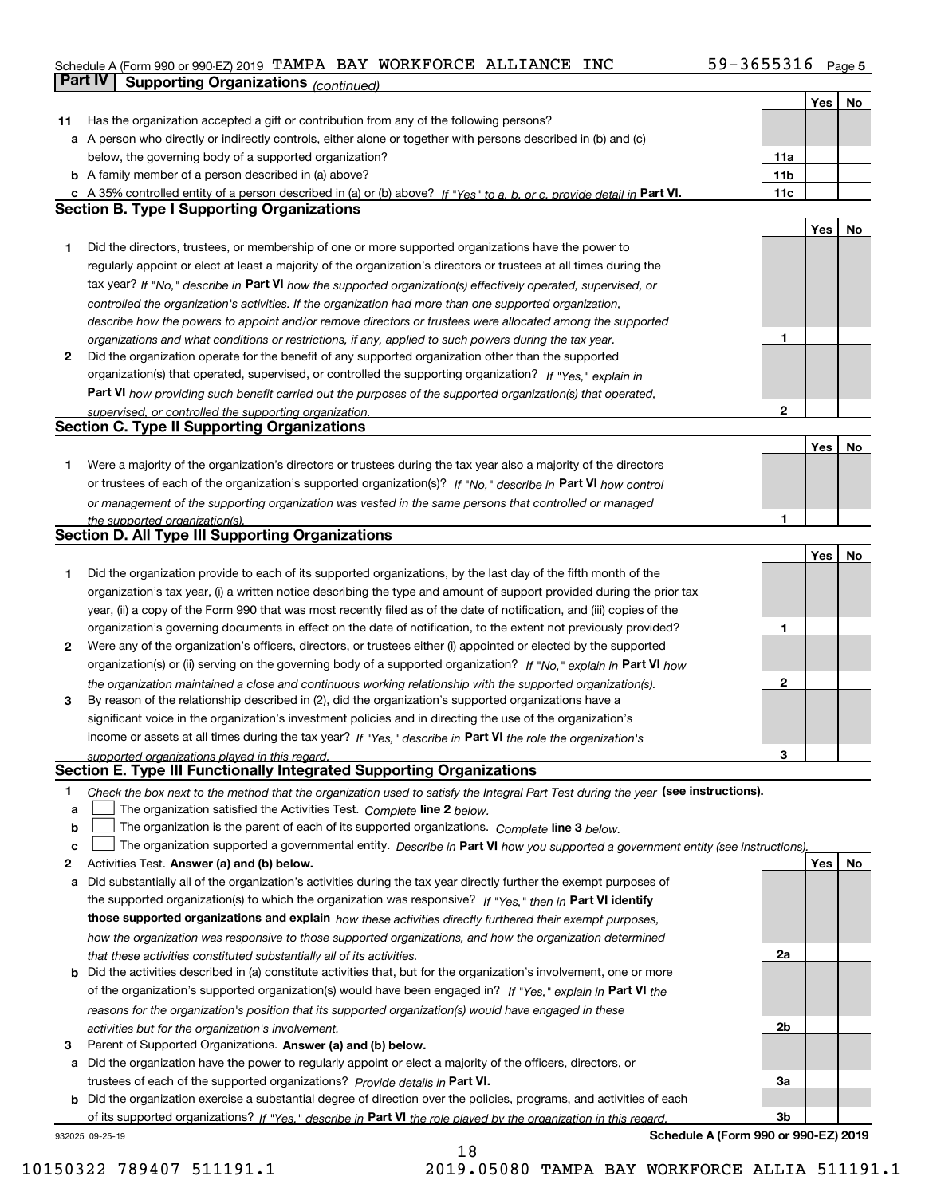#### Schedule A (Form 990 or 990-EZ) 2019 Page TAMPA BAY WORKFORCE ALLIANCE INC 59-3655316 **Part IV Supporting Organizations** *(continued)*

|    |                                                                                                                                                                                                                      |                 | Yes        | No |
|----|----------------------------------------------------------------------------------------------------------------------------------------------------------------------------------------------------------------------|-----------------|------------|----|
| 11 | Has the organization accepted a gift or contribution from any of the following persons?                                                                                                                              |                 |            |    |
|    | a A person who directly or indirectly controls, either alone or together with persons described in (b) and (c)                                                                                                       |                 |            |    |
|    | below, the governing body of a supported organization?                                                                                                                                                               | 11a             |            |    |
|    | <b>b</b> A family member of a person described in (a) above?                                                                                                                                                         | 11 <sub>b</sub> |            |    |
|    |                                                                                                                                                                                                                      |                 |            |    |
|    | c A 35% controlled entity of a person described in (a) or (b) above? If "Yes" to a, b, or c, provide detail in Part VI.<br><b>Section B. Type I Supporting Organizations</b>                                         | 11c             |            |    |
|    |                                                                                                                                                                                                                      |                 |            |    |
|    |                                                                                                                                                                                                                      |                 | Yes        | No |
| 1  | Did the directors, trustees, or membership of one or more supported organizations have the power to                                                                                                                  |                 |            |    |
|    | regularly appoint or elect at least a majority of the organization's directors or trustees at all times during the                                                                                                   |                 |            |    |
|    | tax year? If "No," describe in Part VI how the supported organization(s) effectively operated, supervised, or                                                                                                        |                 |            |    |
|    | controlled the organization's activities. If the organization had more than one supported organization,                                                                                                              |                 |            |    |
|    | describe how the powers to appoint and/or remove directors or trustees were allocated among the supported                                                                                                            |                 |            |    |
|    | organizations and what conditions or restrictions, if any, applied to such powers during the tax year.                                                                                                               | 1               |            |    |
| 2  | Did the organization operate for the benefit of any supported organization other than the supported                                                                                                                  |                 |            |    |
|    | organization(s) that operated, supervised, or controlled the supporting organization? If "Yes," explain in                                                                                                           |                 |            |    |
|    | Part VI how providing such benefit carried out the purposes of the supported organization(s) that operated,                                                                                                          |                 |            |    |
|    | supervised, or controlled the supporting organization.                                                                                                                                                               | $\mathbf{2}$    |            |    |
|    | <b>Section C. Type II Supporting Organizations</b>                                                                                                                                                                   |                 |            |    |
|    |                                                                                                                                                                                                                      |                 | Yes        | No |
| 1  | Were a majority of the organization's directors or trustees during the tax year also a majority of the directors                                                                                                     |                 |            |    |
|    | or trustees of each of the organization's supported organization(s)? If "No." describe in Part VI how control                                                                                                        |                 |            |    |
|    | or management of the supporting organization was vested in the same persons that controlled or managed                                                                                                               |                 |            |    |
|    | the supported organization(s).                                                                                                                                                                                       | 1               |            |    |
|    | Section D. All Type III Supporting Organizations                                                                                                                                                                     |                 |            |    |
|    |                                                                                                                                                                                                                      |                 | Yes        | No |
| 1  | Did the organization provide to each of its supported organizations, by the last day of the fifth month of the                                                                                                       |                 |            |    |
|    | organization's tax year, (i) a written notice describing the type and amount of support provided during the prior tax                                                                                                |                 |            |    |
|    | year, (ii) a copy of the Form 990 that was most recently filed as of the date of notification, and (iii) copies of the                                                                                               |                 |            |    |
|    |                                                                                                                                                                                                                      | 1               |            |    |
|    | organization's governing documents in effect on the date of notification, to the extent not previously provided?                                                                                                     |                 |            |    |
| 2  | Were any of the organization's officers, directors, or trustees either (i) appointed or elected by the supported                                                                                                     |                 |            |    |
|    | organization(s) or (ii) serving on the governing body of a supported organization? If "No," explain in Part VI how                                                                                                   |                 |            |    |
| 3  | the organization maintained a close and continuous working relationship with the supported organization(s).<br>By reason of the relationship described in (2), did the organization's supported organizations have a | 2               |            |    |
|    | significant voice in the organization's investment policies and in directing the use of the organization's                                                                                                           |                 |            |    |
|    | income or assets at all times during the tax year? If "Yes," describe in Part VI the role the organization's                                                                                                         |                 |            |    |
|    | supported organizations played in this regard.                                                                                                                                                                       | 3               |            |    |
|    | Section E. Type III Functionally Integrated Supporting Organizations                                                                                                                                                 |                 |            |    |
| 1  | Check the box next to the method that the organization used to satisfy the Integral Part Test during the year (see instructions).                                                                                    |                 |            |    |
| a  | The organization satisfied the Activities Test. Complete line 2 below.                                                                                                                                               |                 |            |    |
| b  | The organization is the parent of each of its supported organizations. Complete line 3 below.                                                                                                                        |                 |            |    |
| C  | The organization supported a governmental entity. Describe in Part VI how you supported a government entity (see instructions),                                                                                      |                 |            |    |
| 2  | Activities Test. Answer (a) and (b) below.                                                                                                                                                                           |                 | <b>Yes</b> | No |
| а  | Did substantially all of the organization's activities during the tax year directly further the exempt purposes of                                                                                                   |                 |            |    |
|    | the supported organization(s) to which the organization was responsive? If "Yes," then in Part VI identify                                                                                                           |                 |            |    |
|    | those supported organizations and explain how these activities directly furthered their exempt purposes,                                                                                                             |                 |            |    |
|    | how the organization was responsive to those supported organizations, and how the organization determined                                                                                                            |                 |            |    |
|    |                                                                                                                                                                                                                      | 2a              |            |    |
|    | that these activities constituted substantially all of its activities.<br><b>b</b> Did the activities described in (a) constitute activities that, but for the organization's involvement, one or more               |                 |            |    |
|    |                                                                                                                                                                                                                      |                 |            |    |
|    | of the organization's supported organization(s) would have been engaged in? If "Yes," explain in Part VI the                                                                                                         |                 |            |    |
|    | reasons for the organization's position that its supported organization(s) would have engaged in these                                                                                                               |                 |            |    |
|    | activities but for the organization's involvement.                                                                                                                                                                   | 2b              |            |    |
| 3  | Parent of Supported Organizations. Answer (a) and (b) below.                                                                                                                                                         |                 |            |    |
|    | a Did the organization have the power to regularly appoint or elect a majority of the officers, directors, or                                                                                                        |                 |            |    |
|    | trustees of each of the supported organizations? Provide details in Part VI.                                                                                                                                         | За              |            |    |
|    | <b>b</b> Did the organization exercise a substantial degree of direction over the policies, programs, and activities of each                                                                                         |                 |            |    |
|    | of its supported organizations? If "Yes." describe in Part VI the role played by the organization in this regard.                                                                                                    | 3b              |            |    |
|    | Schedule A (Form 990 or 990-EZ) 2019<br>932025 09-25-19                                                                                                                                                              |                 |            |    |

18

**Schedule A (Form 990 or 990-EZ) 2019**

10150322 789407 511191.1 2019.05080 TAMPA BAY WORKFORCE ALLIA 511191.1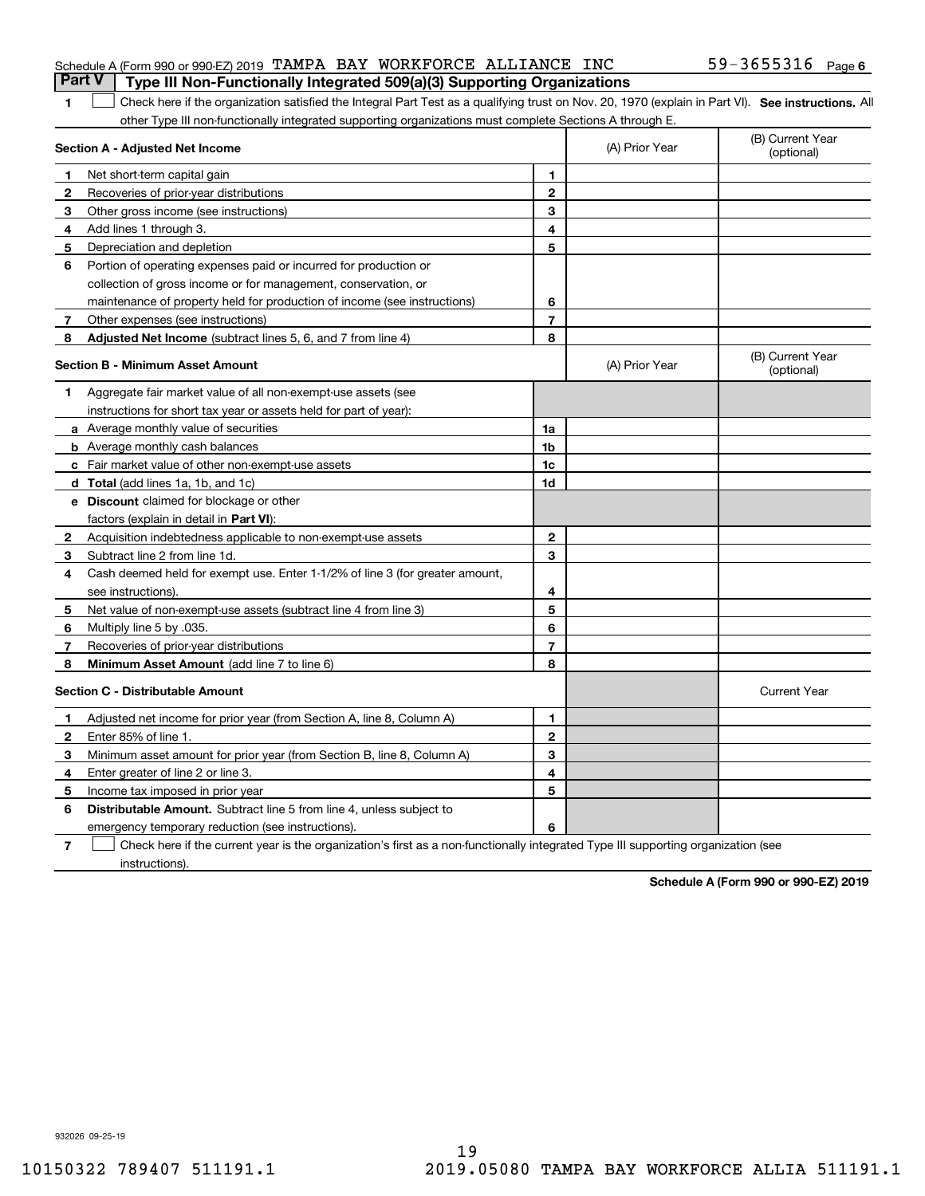| <b>Part V</b> Type III Non-Functionally Integrated 509(a)(3) Supporting Organizations |  |  |                   |  |
|---------------------------------------------------------------------------------------|--|--|-------------------|--|
| Schedule A (Form 990 or 990-EZ) 2019 TAMPA BAY WORKFORCE ALLIANCE INC                 |  |  | 59-3655316 Page 6 |  |

#### 1 Check here if the organization satisfied the Integral Part Test as a qualifying trust on Nov. 20, 1970 (explain in Part VI). See instructions. All other Type III non-functionally integrated supporting organizations must complete Sections A through E.

|              | Section A - Adjusted Net Income                                                                                                   |                | (A) Prior Year | (B) Current Year<br>(optional) |
|--------------|-----------------------------------------------------------------------------------------------------------------------------------|----------------|----------------|--------------------------------|
| 1            | Net short-term capital gain                                                                                                       | 1              |                |                                |
| 2            | Recoveries of prior-year distributions                                                                                            | $\mathbf{2}$   |                |                                |
| 3            | Other gross income (see instructions)                                                                                             | 3              |                |                                |
| 4            | Add lines 1 through 3.                                                                                                            | 4              |                |                                |
| 5            | Depreciation and depletion                                                                                                        | 5              |                |                                |
| 6            | Portion of operating expenses paid or incurred for production or                                                                  |                |                |                                |
|              | collection of gross income or for management, conservation, or                                                                    |                |                |                                |
|              | maintenance of property held for production of income (see instructions)                                                          | 6              |                |                                |
| 7            | Other expenses (see instructions)                                                                                                 | $\overline{7}$ |                |                                |
| 8            | Adjusted Net Income (subtract lines 5, 6, and 7 from line 4)                                                                      | 8              |                |                                |
|              | <b>Section B - Minimum Asset Amount</b>                                                                                           |                | (A) Prior Year | (B) Current Year<br>(optional) |
| 1.           | Aggregate fair market value of all non-exempt-use assets (see                                                                     |                |                |                                |
|              | instructions for short tax year or assets held for part of year):                                                                 |                |                |                                |
|              | a Average monthly value of securities                                                                                             | 1a             |                |                                |
|              | <b>b</b> Average monthly cash balances                                                                                            | 1 <sub>b</sub> |                |                                |
|              | c Fair market value of other non-exempt-use assets                                                                                | 1c             |                |                                |
|              | d Total (add lines 1a, 1b, and 1c)                                                                                                | 1d             |                |                                |
|              | e Discount claimed for blockage or other                                                                                          |                |                |                                |
|              | factors (explain in detail in Part VI):                                                                                           |                |                |                                |
| $\mathbf{2}$ | Acquisition indebtedness applicable to non-exempt-use assets                                                                      | $\mathbf{2}$   |                |                                |
| 3            | Subtract line 2 from line 1d.                                                                                                     | 3              |                |                                |
| 4            | Cash deemed held for exempt use. Enter 1-1/2% of line 3 (for greater amount,                                                      |                |                |                                |
|              | see instructions).                                                                                                                | 4              |                |                                |
| 5            | Net value of non-exempt-use assets (subtract line 4 from line 3)                                                                  | 5              |                |                                |
| 6            | Multiply line 5 by .035.                                                                                                          | 6              |                |                                |
| 7            | Recoveries of prior-year distributions                                                                                            | $\overline{7}$ |                |                                |
| 8            | Minimum Asset Amount (add line 7 to line 6)                                                                                       | 8              |                |                                |
|              | <b>Section C - Distributable Amount</b>                                                                                           |                |                | <b>Current Year</b>            |
| 1            | Adjusted net income for prior year (from Section A, line 8, Column A)                                                             | 1              |                |                                |
| 2            | Enter 85% of line 1.                                                                                                              | $\mathbf{2}$   |                |                                |
| 3            | Minimum asset amount for prior year (from Section B, line 8, Column A)                                                            | 3              |                |                                |
| 4            | Enter greater of line 2 or line 3.                                                                                                | 4              |                |                                |
| 5            | Income tax imposed in prior year                                                                                                  | 5              |                |                                |
| 6            | <b>Distributable Amount.</b> Subtract line 5 from line 4, unless subject to                                                       |                |                |                                |
|              | emergency temporary reduction (see instructions).                                                                                 | 6              |                |                                |
| 7            | Check here if the current year is the organization's first as a non-functionally integrated Type III supporting organization (see |                |                |                                |

instructions).

**1**

**Schedule A (Form 990 or 990-EZ) 2019**

932026 09-25-19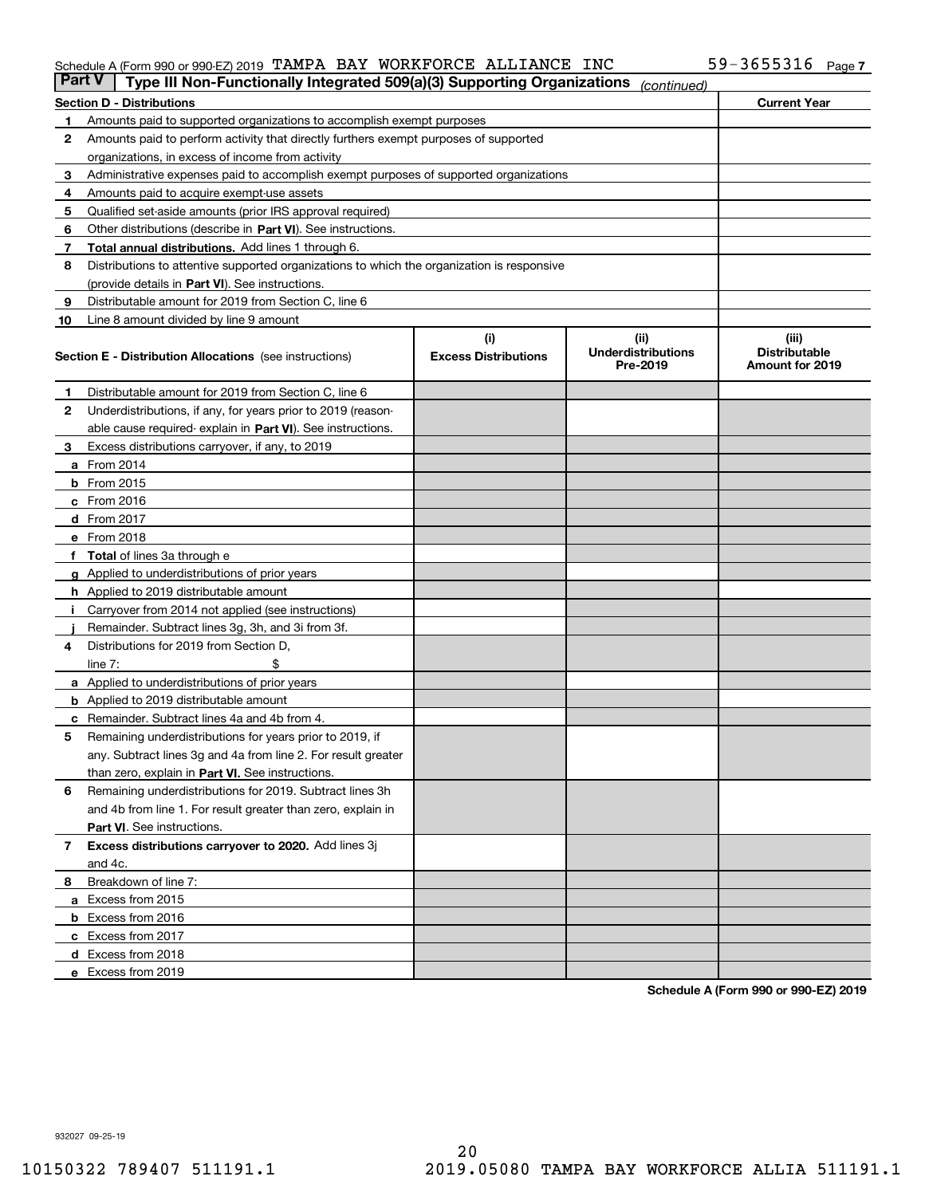#### Schedule A (Form 990 or 990-EZ) 2019 Page TAMPA BAY WORKFORCE ALLIANCE INC 59-3655316

| Part V | Type III Non-Functionally Integrated 509(a)(3) Supporting Organizations                    |                             | (continued)                           |                                         |
|--------|--------------------------------------------------------------------------------------------|-----------------------------|---------------------------------------|-----------------------------------------|
|        | <b>Section D - Distributions</b>                                                           |                             |                                       | <b>Current Year</b>                     |
| 1      | Amounts paid to supported organizations to accomplish exempt purposes                      |                             |                                       |                                         |
| 2      | Amounts paid to perform activity that directly furthers exempt purposes of supported       |                             |                                       |                                         |
|        | organizations, in excess of income from activity                                           |                             |                                       |                                         |
| з      | Administrative expenses paid to accomplish exempt purposes of supported organizations      |                             |                                       |                                         |
| 4      | Amounts paid to acquire exempt-use assets                                                  |                             |                                       |                                         |
| 5      | Qualified set-aside amounts (prior IRS approval required)                                  |                             |                                       |                                         |
| 6      | Other distributions (describe in Part VI). See instructions.                               |                             |                                       |                                         |
| 7      | <b>Total annual distributions.</b> Add lines 1 through 6.                                  |                             |                                       |                                         |
| 8      | Distributions to attentive supported organizations to which the organization is responsive |                             |                                       |                                         |
|        | (provide details in Part VI). See instructions.                                            |                             |                                       |                                         |
| 9      | Distributable amount for 2019 from Section C, line 6                                       |                             |                                       |                                         |
| 10     | Line 8 amount divided by line 9 amount                                                     |                             |                                       |                                         |
|        |                                                                                            | (i)                         | (iii)                                 | (iii)                                   |
|        | <b>Section E - Distribution Allocations</b> (see instructions)                             | <b>Excess Distributions</b> | <b>Underdistributions</b><br>Pre-2019 | <b>Distributable</b><br>Amount for 2019 |
| 1      | Distributable amount for 2019 from Section C, line 6                                       |                             |                                       |                                         |
| 2      | Underdistributions, if any, for years prior to 2019 (reason-                               |                             |                                       |                                         |
|        | able cause required- explain in <b>Part VI</b> ). See instructions.                        |                             |                                       |                                         |
| з      | Excess distributions carryover, if any, to 2019                                            |                             |                                       |                                         |
|        | <b>a</b> From 2014                                                                         |                             |                                       |                                         |
|        | <b>b</b> From 2015                                                                         |                             |                                       |                                         |
|        | $c$ From 2016                                                                              |                             |                                       |                                         |
|        | d From 2017                                                                                |                             |                                       |                                         |
|        | e From 2018                                                                                |                             |                                       |                                         |
|        | Total of lines 3a through e                                                                |                             |                                       |                                         |
|        | <b>g</b> Applied to underdistributions of prior years                                      |                             |                                       |                                         |
|        | <b>h</b> Applied to 2019 distributable amount                                              |                             |                                       |                                         |
|        | Carryover from 2014 not applied (see instructions)                                         |                             |                                       |                                         |
|        | Remainder. Subtract lines 3g, 3h, and 3i from 3f.                                          |                             |                                       |                                         |
| 4      | Distributions for 2019 from Section D,                                                     |                             |                                       |                                         |
|        | line $7:$                                                                                  |                             |                                       |                                         |
|        | <b>a</b> Applied to underdistributions of prior years                                      |                             |                                       |                                         |
|        | <b>b</b> Applied to 2019 distributable amount                                              |                             |                                       |                                         |
| с      | Remainder. Subtract lines 4a and 4b from 4.                                                |                             |                                       |                                         |
| 5      | Remaining underdistributions for years prior to 2019, if                                   |                             |                                       |                                         |
|        | any. Subtract lines 3g and 4a from line 2. For result greater                              |                             |                                       |                                         |
|        | than zero, explain in Part VI. See instructions.                                           |                             |                                       |                                         |
| 6      | Remaining underdistributions for 2019. Subtract lines 3h                                   |                             |                                       |                                         |
|        | and 4b from line 1. For result greater than zero, explain in                               |                             |                                       |                                         |
|        | Part VI. See instructions.                                                                 |                             |                                       |                                         |
| 7      | Excess distributions carryover to 2020. Add lines 3j                                       |                             |                                       |                                         |
|        | and 4c.                                                                                    |                             |                                       |                                         |
| 8      | Breakdown of line 7:                                                                       |                             |                                       |                                         |
|        | a Excess from 2015                                                                         |                             |                                       |                                         |
|        | <b>b</b> Excess from 2016                                                                  |                             |                                       |                                         |
|        | c Excess from 2017                                                                         |                             |                                       |                                         |
|        | d Excess from 2018                                                                         |                             |                                       |                                         |
|        | e Excess from 2019                                                                         |                             |                                       |                                         |
|        |                                                                                            |                             |                                       |                                         |

**Schedule A (Form 990 or 990-EZ) 2019**

932027 09-25-19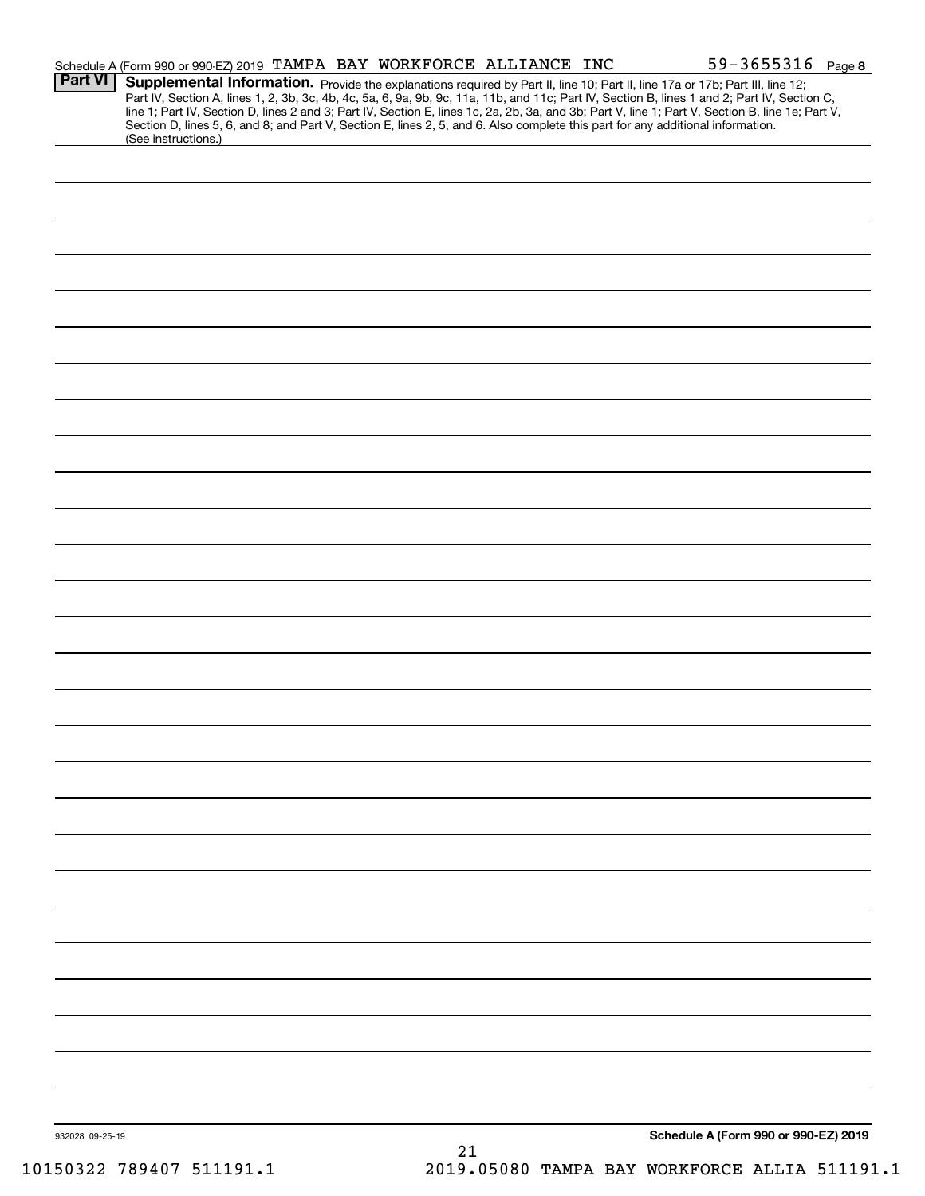| <b>Part VI</b>  | Schedule A (Form 990 or 990-EZ) 2019 TAMPA BAY WORKFORCE ALLIANCE INC                                                                                  |  |    | $59 - 3655316$ Page 8<br><b>Supplemental Information.</b> Provide the explanations required by Part II, line 10; Part II, line 17a or 17b; Part III, line 12;<br>Part IV, Section A, lines 1, 2, 3b, 3c, 4b, 4c, 5a, 6, 9a, 9b, 9c, 11a, 11b, and 11c; Part IV, |
|-----------------|--------------------------------------------------------------------------------------------------------------------------------------------------------|--|----|-----------------------------------------------------------------------------------------------------------------------------------------------------------------------------------------------------------------------------------------------------------------|
|                 | Section D, lines 5, 6, and 8; and Part V, Section E, lines 2, 5, and 6. Also complete this part for any additional information.<br>(See instructions.) |  |    | line 1; Part IV, Section D, lines 2 and 3; Part IV, Section E, lines 1c, 2a, 2b, 3a, and 3b; Part V, line 1; Part V, Section B, line 1e; Part V,                                                                                                                |
|                 |                                                                                                                                                        |  |    |                                                                                                                                                                                                                                                                 |
|                 |                                                                                                                                                        |  |    |                                                                                                                                                                                                                                                                 |
|                 |                                                                                                                                                        |  |    |                                                                                                                                                                                                                                                                 |
|                 |                                                                                                                                                        |  |    |                                                                                                                                                                                                                                                                 |
|                 |                                                                                                                                                        |  |    |                                                                                                                                                                                                                                                                 |
|                 |                                                                                                                                                        |  |    |                                                                                                                                                                                                                                                                 |
|                 |                                                                                                                                                        |  |    |                                                                                                                                                                                                                                                                 |
|                 |                                                                                                                                                        |  |    |                                                                                                                                                                                                                                                                 |
|                 |                                                                                                                                                        |  |    |                                                                                                                                                                                                                                                                 |
|                 |                                                                                                                                                        |  |    |                                                                                                                                                                                                                                                                 |
|                 |                                                                                                                                                        |  |    |                                                                                                                                                                                                                                                                 |
|                 |                                                                                                                                                        |  |    |                                                                                                                                                                                                                                                                 |
|                 |                                                                                                                                                        |  |    |                                                                                                                                                                                                                                                                 |
|                 |                                                                                                                                                        |  |    |                                                                                                                                                                                                                                                                 |
|                 |                                                                                                                                                        |  |    |                                                                                                                                                                                                                                                                 |
|                 |                                                                                                                                                        |  |    |                                                                                                                                                                                                                                                                 |
|                 |                                                                                                                                                        |  |    |                                                                                                                                                                                                                                                                 |
|                 |                                                                                                                                                        |  |    |                                                                                                                                                                                                                                                                 |
|                 |                                                                                                                                                        |  |    |                                                                                                                                                                                                                                                                 |
|                 |                                                                                                                                                        |  |    |                                                                                                                                                                                                                                                                 |
|                 |                                                                                                                                                        |  |    |                                                                                                                                                                                                                                                                 |
|                 |                                                                                                                                                        |  |    |                                                                                                                                                                                                                                                                 |
|                 |                                                                                                                                                        |  |    |                                                                                                                                                                                                                                                                 |
|                 |                                                                                                                                                        |  |    |                                                                                                                                                                                                                                                                 |
|                 |                                                                                                                                                        |  |    |                                                                                                                                                                                                                                                                 |
|                 |                                                                                                                                                        |  |    |                                                                                                                                                                                                                                                                 |
|                 |                                                                                                                                                        |  |    |                                                                                                                                                                                                                                                                 |
|                 |                                                                                                                                                        |  |    |                                                                                                                                                                                                                                                                 |
|                 |                                                                                                                                                        |  |    |                                                                                                                                                                                                                                                                 |
|                 |                                                                                                                                                        |  |    |                                                                                                                                                                                                                                                                 |
|                 |                                                                                                                                                        |  |    |                                                                                                                                                                                                                                                                 |
|                 |                                                                                                                                                        |  |    |                                                                                                                                                                                                                                                                 |
| 932028 09-25-19 |                                                                                                                                                        |  | 21 | Schedule A (Form 990 or 990-EZ) 2019                                                                                                                                                                                                                            |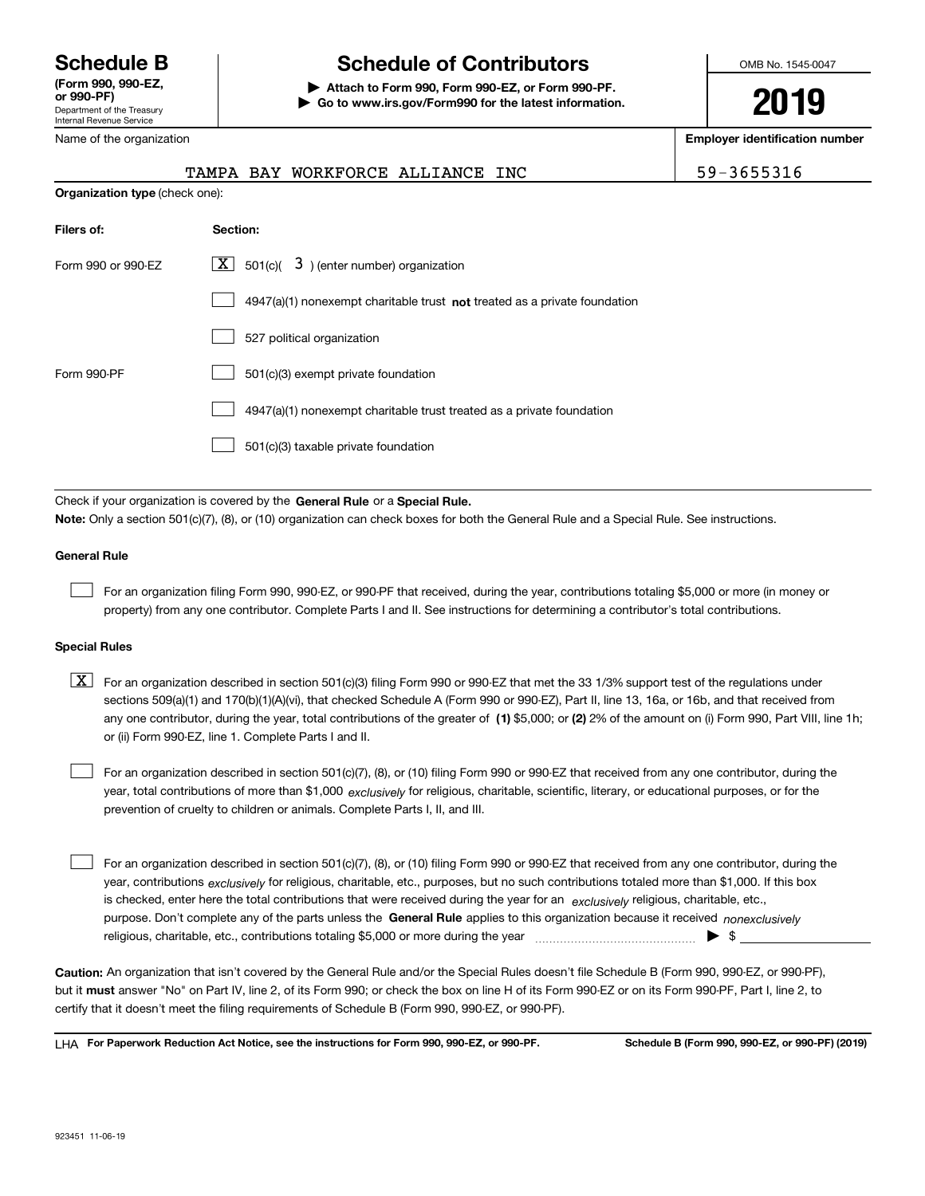Department of the Treasury Internal Revenue Service **(Form 990, 990-EZ, or 990-PF)**

Name of the organization

## **Schedule B Schedule of Contributors**

**| Attach to Form 990, Form 990-EZ, or Form 990-PF. | Go to www.irs.gov/Form990 for the latest information.** OMB No. 1545-0047

**2019**

**Employer identification number**

|                                       | TAMPA BAY WORKFORCE ALLIANCE INC |  |  |
|---------------------------------------|----------------------------------|--|--|
| <b>Organization type</b> (check one): |                                  |  |  |

59-3655316

| Filers of:         | Section:                                                                    |
|--------------------|-----------------------------------------------------------------------------|
| Form 990 or 990-EZ | X  <br>$3$ ) (enter number) organization<br>501(c)                          |
|                    | $4947(a)(1)$ nonexempt charitable trust not treated as a private foundation |
|                    | 527 political organization                                                  |
| Form 990-PF        | 501(c)(3) exempt private foundation                                         |
|                    | 4947(a)(1) nonexempt charitable trust treated as a private foundation       |
|                    | 501(c)(3) taxable private foundation                                        |

Check if your organization is covered by the **General Rule** or a **Special Rule. Note:**  Only a section 501(c)(7), (8), or (10) organization can check boxes for both the General Rule and a Special Rule. See instructions.

#### **General Rule**

 $\mathcal{L}^{\text{max}}$ 

For an organization filing Form 990, 990-EZ, or 990-PF that received, during the year, contributions totaling \$5,000 or more (in money or property) from any one contributor. Complete Parts I and II. See instructions for determining a contributor's total contributions.

#### **Special Rules**

any one contributor, during the year, total contributions of the greater of  $\,$  (1) \$5,000; or **(2)** 2% of the amount on (i) Form 990, Part VIII, line 1h;  $\boxed{\textbf{X}}$  For an organization described in section 501(c)(3) filing Form 990 or 990-EZ that met the 33 1/3% support test of the regulations under sections 509(a)(1) and 170(b)(1)(A)(vi), that checked Schedule A (Form 990 or 990-EZ), Part II, line 13, 16a, or 16b, and that received from or (ii) Form 990-EZ, line 1. Complete Parts I and II.

year, total contributions of more than \$1,000 *exclusively* for religious, charitable, scientific, literary, or educational purposes, or for the For an organization described in section 501(c)(7), (8), or (10) filing Form 990 or 990-EZ that received from any one contributor, during the prevention of cruelty to children or animals. Complete Parts I, II, and III.  $\mathcal{L}^{\text{max}}$ 

purpose. Don't complete any of the parts unless the **General Rule** applies to this organization because it received *nonexclusively* year, contributions <sub>exclusively</sub> for religious, charitable, etc., purposes, but no such contributions totaled more than \$1,000. If this box is checked, enter here the total contributions that were received during the year for an  $\;$ exclusively religious, charitable, etc., For an organization described in section 501(c)(7), (8), or (10) filing Form 990 or 990-EZ that received from any one contributor, during the religious, charitable, etc., contributions totaling \$5,000 or more during the year  $\Box$ — $\Box$   $\Box$  $\mathcal{L}^{\text{max}}$ 

**Caution:**  An organization that isn't covered by the General Rule and/or the Special Rules doesn't file Schedule B (Form 990, 990-EZ, or 990-PF),  **must** but it answer "No" on Part IV, line 2, of its Form 990; or check the box on line H of its Form 990-EZ or on its Form 990-PF, Part I, line 2, to certify that it doesn't meet the filing requirements of Schedule B (Form 990, 990-EZ, or 990-PF).

**For Paperwork Reduction Act Notice, see the instructions for Form 990, 990-EZ, or 990-PF. Schedule B (Form 990, 990-EZ, or 990-PF) (2019)** LHA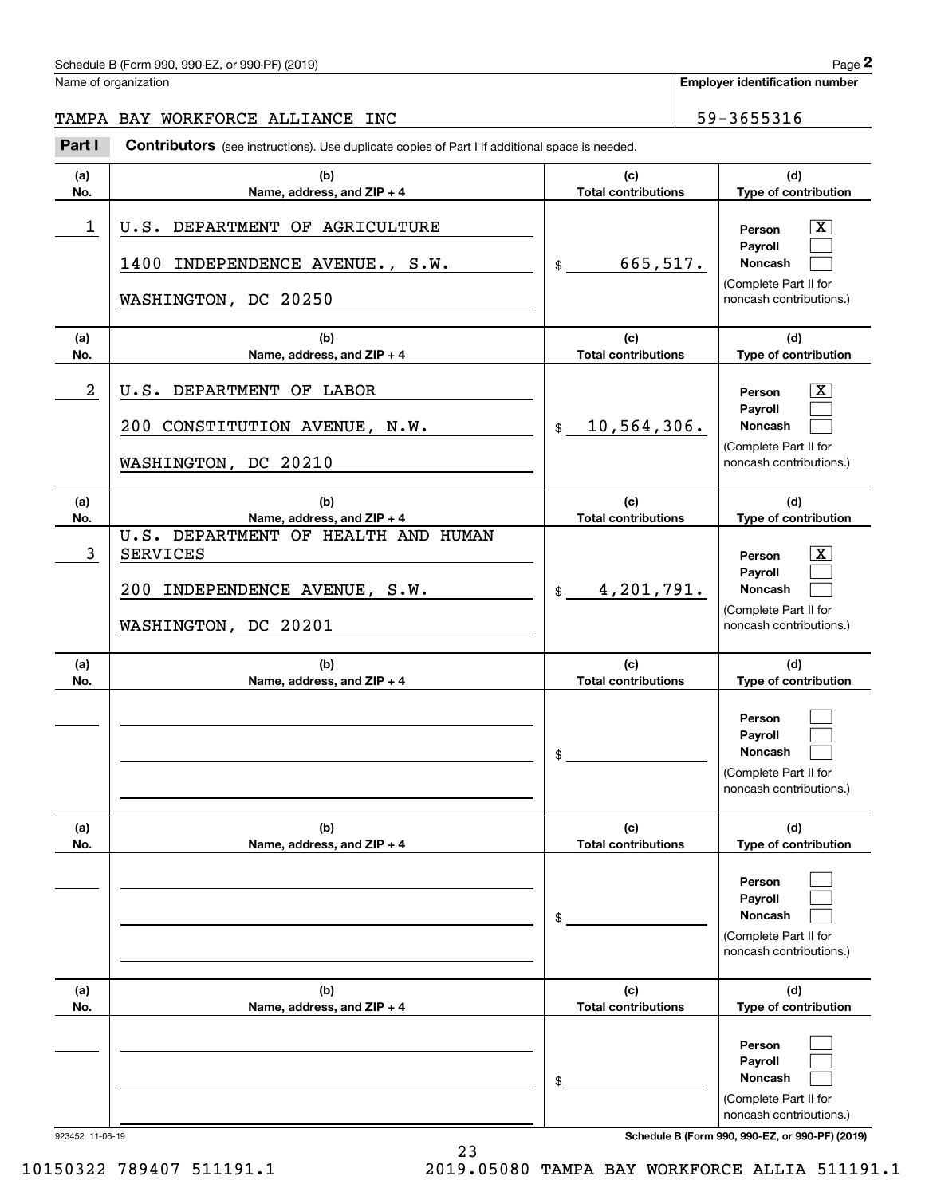| Schedule B (Form 990, 990-EZ, or 990-PF) (2019) | Page |
|-------------------------------------------------|------|
|-------------------------------------------------|------|

Name of organization

**Employer identification number**

#### TAMPA BAY WORKFORCE ALLIANCE INC<br>
59-3655316

(schedule B (Form 990, 990-EZ, or 990-PF) (2019)<br> **2Part I Contributors** (see instructions). Use duplicate copies of Part I if additional space is needed.<br> **2Part I Contributors** (see instructions). Use duplicate copies of

| (a)        | (b)                                                                                                             | (c)                               | (d)                                                                                          |
|------------|-----------------------------------------------------------------------------------------------------------------|-----------------------------------|----------------------------------------------------------------------------------------------|
| No.        | Name, address, and ZIP + 4                                                                                      | <b>Total contributions</b>        | Type of contribution                                                                         |
| 1          | U.S. DEPARTMENT OF AGRICULTURE<br>1400 INDEPENDENCE AVENUE., S.W.<br>WASHINGTON, DC 20250                       | 665,517.<br>$\frac{1}{2}$         | X<br>Person<br>Payroll<br><b>Noncash</b><br>(Complete Part II for<br>noncash contributions.) |
| (a)<br>No. | (b)<br>Name, address, and $ZIP + 4$                                                                             | (c)<br><b>Total contributions</b> | (d)<br>Type of contribution                                                                  |
| 2          | U.S. DEPARTMENT OF LABOR<br>200 CONSTITUTION AVENUE, N.W.<br>WASHINGTON, DC 20210                               | 10,564,306.<br>$\mathsf{\$}$      | х<br>Person<br>Payroll<br><b>Noncash</b><br>(Complete Part II for<br>noncash contributions.) |
| (a)<br>No. | (b)<br>Name, address, and ZIP + 4                                                                               | (c)<br><b>Total contributions</b> | (d)<br>Type of contribution                                                                  |
| 3          | U.S. DEPARTMENT OF HEALTH AND HUMAN<br><b>SERVICES</b><br>200 INDEPENDENCE AVENUE, S.W.<br>WASHINGTON, DC 20201 | 4,201,791.<br>$\frac{1}{2}$       | X<br>Person<br>Pavroll<br><b>Noncash</b><br>(Complete Part II for<br>noncash contributions.) |
| (a)<br>No. | (b)<br>Name, address, and ZIP + 4                                                                               | (c)<br><b>Total contributions</b> | (d)<br>Type of contribution                                                                  |
|            |                                                                                                                 | \$                                | Person<br>Payroll<br><b>Noncash</b><br>(Complete Part II for<br>noncash contributions.)      |
| (a)<br>No. | (b)<br>Name, address, and $ZIP + 4$                                                                             | (c)<br><b>Total contributions</b> | (d)<br>Type of contribution                                                                  |
|            |                                                                                                                 | \$                                | Person<br>Payroll<br>Noncash<br>(Complete Part II for<br>noncash contributions.)             |
| (a)<br>No. | (b)<br>Name, address, and ZIP + 4                                                                               | (c)<br><b>Total contributions</b> | (d)<br>Type of contribution                                                                  |
|            |                                                                                                                 | \$                                | Person<br>Payroll<br>Noncash<br>(Complete Part II for<br>noncash contributions.)             |

923452 11-06-19 **Schedule B (Form 990, 990-EZ, or 990-PF) (2019)**

10150322 789407 511191.1 2019.05080 TAMPA BAY WORKFORCE ALLIA 511191.1

23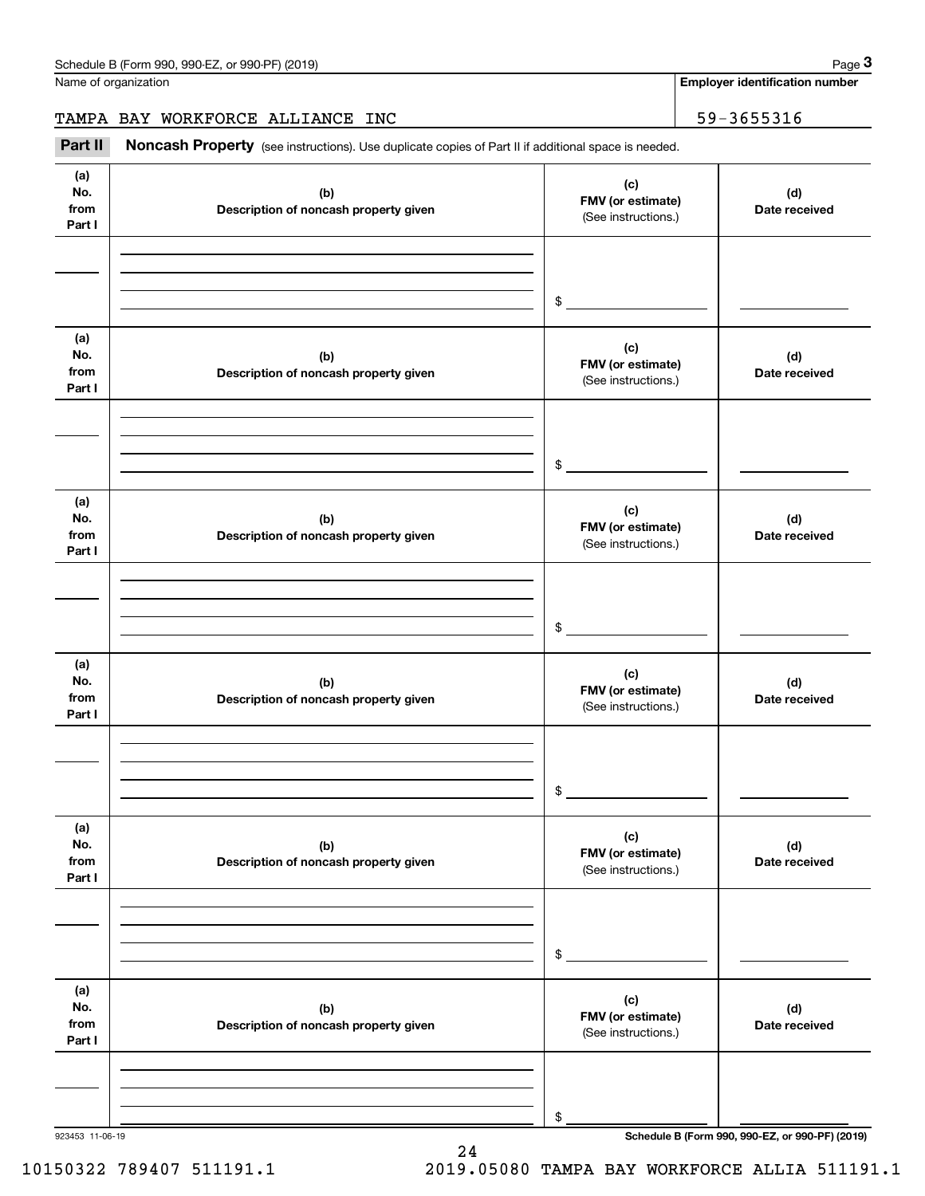Name of organization

**Employer identification number**

#### TAMPA BAY WORKFORCE ALLIANCE INC<br>
59-3655316

(see instructions). Use duplicate copies of Part II if additional space is needed.<br> **2Part II Noncash Property** (see instructions). Use duplicate copies of Part II if additional space is needed.<br> **2Part II Noncash Prop** 

| (a)<br>(c)<br>No.<br>(b)<br>(d)<br>FMV (or estimate)<br>from<br>Description of noncash property given<br>Date received<br>(See instructions.)<br>Part I<br>\$<br>(a)<br>(c)<br>No.<br>(d)<br>(b)<br>FMV (or estimate)<br>from<br>Description of noncash property given<br>Date received<br>(See instructions.)<br>Part I<br>$\sim$<br>(a)<br>(c)<br>No.<br>(d)<br>(b)<br>FMV (or estimate)<br>from<br>Description of noncash property given<br>Date received<br>(See instructions.)<br>Part I<br>$\sim$<br>(a)<br>(c)<br>No.<br>(d)<br>(b)<br>FMV (or estimate)<br>from<br>Description of noncash property given<br>Date received<br>(See instructions.)<br>Part I<br>\$<br>(a)<br>(c)<br>No.<br>(d)<br>(b)<br>FMV (or estimate)<br>from<br>Description of noncash property given<br>Date received<br>(See instructions.)<br>Part I<br>\$<br>(a)<br>(c)<br>No.<br>(b)<br>(d)<br>FMV (or estimate)<br>from<br>Description of noncash property given<br>Date received<br>(See instructions.)<br>Part I<br>\$ |  |  |
|------------------------------------------------------------------------------------------------------------------------------------------------------------------------------------------------------------------------------------------------------------------------------------------------------------------------------------------------------------------------------------------------------------------------------------------------------------------------------------------------------------------------------------------------------------------------------------------------------------------------------------------------------------------------------------------------------------------------------------------------------------------------------------------------------------------------------------------------------------------------------------------------------------------------------------------------------------------------------------------------------------|--|--|
|                                                                                                                                                                                                                                                                                                                                                                                                                                                                                                                                                                                                                                                                                                                                                                                                                                                                                                                                                                                                            |  |  |
|                                                                                                                                                                                                                                                                                                                                                                                                                                                                                                                                                                                                                                                                                                                                                                                                                                                                                                                                                                                                            |  |  |
|                                                                                                                                                                                                                                                                                                                                                                                                                                                                                                                                                                                                                                                                                                                                                                                                                                                                                                                                                                                                            |  |  |
|                                                                                                                                                                                                                                                                                                                                                                                                                                                                                                                                                                                                                                                                                                                                                                                                                                                                                                                                                                                                            |  |  |
|                                                                                                                                                                                                                                                                                                                                                                                                                                                                                                                                                                                                                                                                                                                                                                                                                                                                                                                                                                                                            |  |  |
|                                                                                                                                                                                                                                                                                                                                                                                                                                                                                                                                                                                                                                                                                                                                                                                                                                                                                                                                                                                                            |  |  |
|                                                                                                                                                                                                                                                                                                                                                                                                                                                                                                                                                                                                                                                                                                                                                                                                                                                                                                                                                                                                            |  |  |
|                                                                                                                                                                                                                                                                                                                                                                                                                                                                                                                                                                                                                                                                                                                                                                                                                                                                                                                                                                                                            |  |  |
|                                                                                                                                                                                                                                                                                                                                                                                                                                                                                                                                                                                                                                                                                                                                                                                                                                                                                                                                                                                                            |  |  |
|                                                                                                                                                                                                                                                                                                                                                                                                                                                                                                                                                                                                                                                                                                                                                                                                                                                                                                                                                                                                            |  |  |
|                                                                                                                                                                                                                                                                                                                                                                                                                                                                                                                                                                                                                                                                                                                                                                                                                                                                                                                                                                                                            |  |  |
| Schedule B (Form 990, 990-EZ, or 990-PF) (2019)<br>923453 11-06-19                                                                                                                                                                                                                                                                                                                                                                                                                                                                                                                                                                                                                                                                                                                                                                                                                                                                                                                                         |  |  |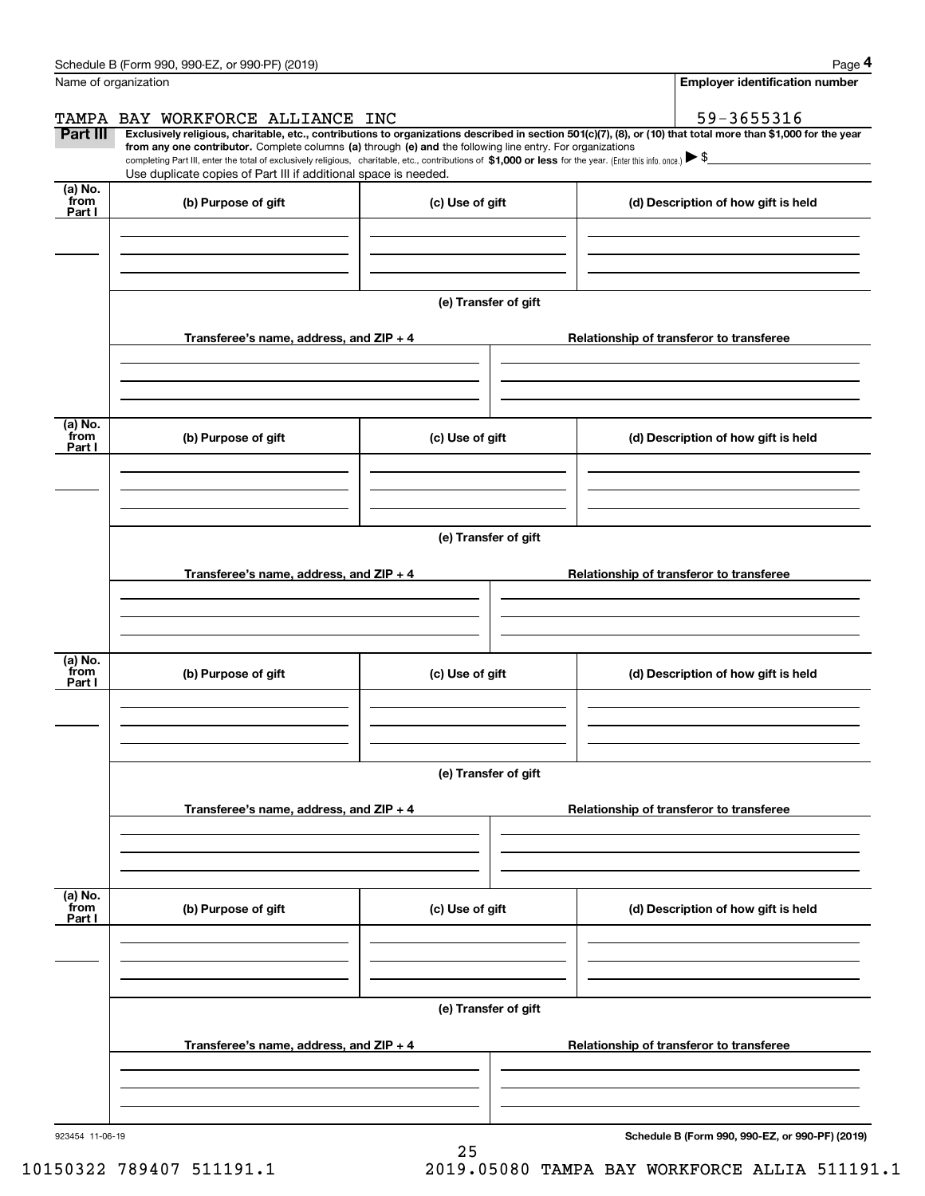| Schedule B (Form 990, 990-EZ, or 990-PF) (2019) | Page |
|-------------------------------------------------|------|
|-------------------------------------------------|------|

|--|--|--|

|                           | Schedule B (Form 990, 990-EZ, or 990-PF) (2019)                                                                                                                                                                                                                              |                      | Page 4                                          |
|---------------------------|------------------------------------------------------------------------------------------------------------------------------------------------------------------------------------------------------------------------------------------------------------------------------|----------------------|-------------------------------------------------|
| Name of organization      |                                                                                                                                                                                                                                                                              |                      | Employer identification number                  |
|                           | TAMPA BAY WORKFORCE ALLIANCE INC                                                                                                                                                                                                                                             |                      | 59-3655316                                      |
| Part III                  | Exclusively religious, charitable, etc., contributions to organizations described in section 501(c)(7), (8), or (10) that total more than \$1,000 for the year<br>from any one contributor. Complete columns (a) through (e) and the following line entry. For organizations |                      |                                                 |
|                           | completing Part III, enter the total of exclusively religious, charitable, etc., contributions of \$1,000 or less for the year. (Enter this info. once.) $\blacktriangleright$ \$<br>Use duplicate copies of Part III if additional space is needed.                         |                      |                                                 |
| (a) No.                   |                                                                                                                                                                                                                                                                              |                      |                                                 |
| from<br>Part I            | (b) Purpose of gift                                                                                                                                                                                                                                                          | (c) Use of gift      | (d) Description of how gift is held             |
|                           |                                                                                                                                                                                                                                                                              | (e) Transfer of gift |                                                 |
|                           | Transferee's name, address, and ZIP + 4                                                                                                                                                                                                                                      |                      | Relationship of transferor to transferee        |
|                           |                                                                                                                                                                                                                                                                              |                      |                                                 |
| (a) No.<br>from<br>Part I | (b) Purpose of gift                                                                                                                                                                                                                                                          | (c) Use of gift      | (d) Description of how gift is held             |
|                           |                                                                                                                                                                                                                                                                              | (e) Transfer of gift |                                                 |
|                           | Transferee's name, address, and ZIP + 4                                                                                                                                                                                                                                      |                      | Relationship of transferor to transferee        |
|                           |                                                                                                                                                                                                                                                                              |                      |                                                 |
| (a) No.<br>from<br>Part I | (b) Purpose of gift                                                                                                                                                                                                                                                          | (c) Use of gift      | (d) Description of how gift is held             |
|                           |                                                                                                                                                                                                                                                                              | (e) Transfer of gift |                                                 |
|                           | Transferee's name, address, and $ZIP + 4$                                                                                                                                                                                                                                    |                      | Relationship of transferor to transferee        |
|                           |                                                                                                                                                                                                                                                                              |                      |                                                 |
| (a) No.<br>from<br>Part I | (b) Purpose of gift                                                                                                                                                                                                                                                          | (c) Use of gift      | (d) Description of how gift is held             |
|                           |                                                                                                                                                                                                                                                                              |                      |                                                 |
|                           |                                                                                                                                                                                                                                                                              | (e) Transfer of gift |                                                 |
|                           | Transferee's name, address, and $ZIP + 4$                                                                                                                                                                                                                                    |                      | Relationship of transferor to transferee        |
|                           |                                                                                                                                                                                                                                                                              |                      |                                                 |
| 923454 11-06-19           |                                                                                                                                                                                                                                                                              |                      | Schedule B (Form 990, 990-EZ, or 990-PF) (2019) |

25

10150322 789407 511191.1 2019.05080 TAMPA BAY WORKFORCE ALLIA 511191.1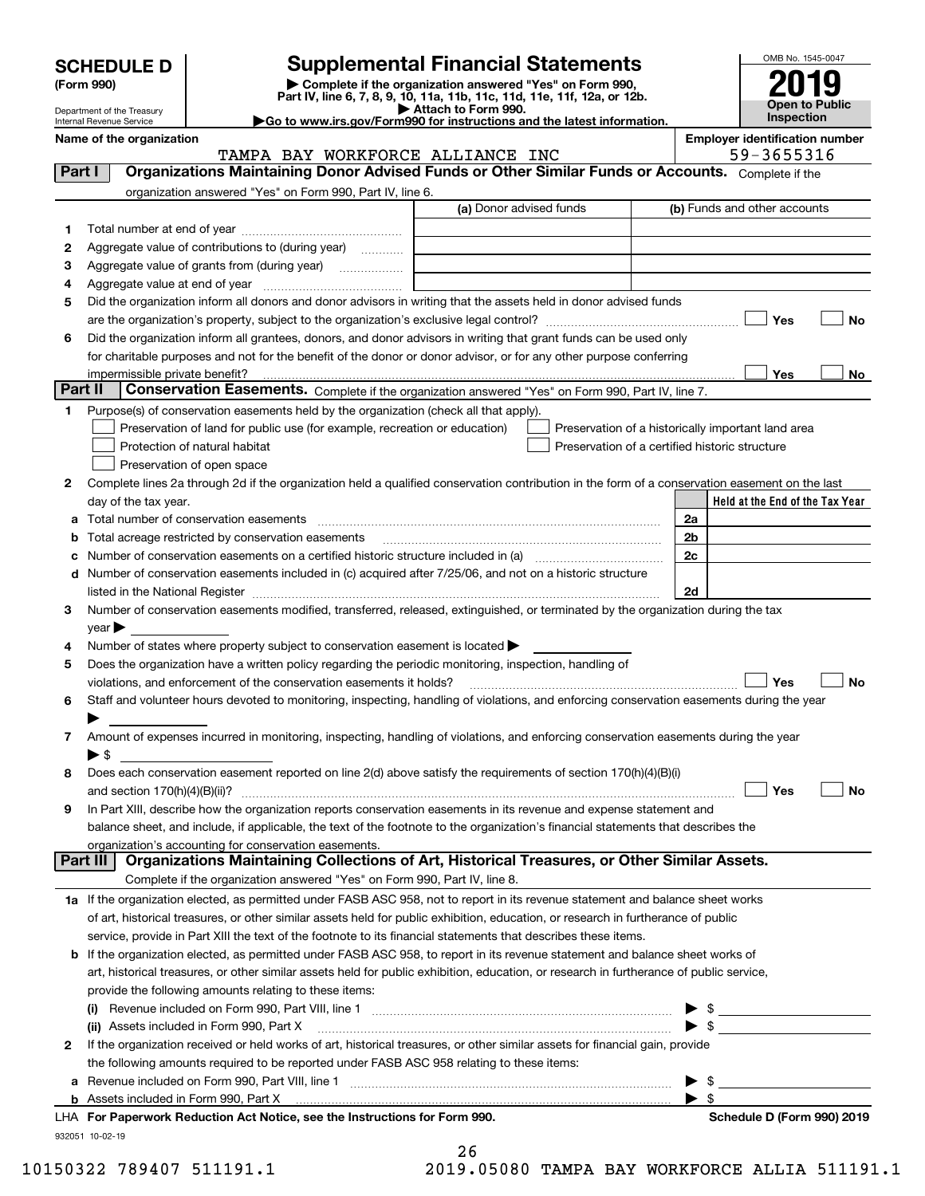| <b>SCHEDULE D</b> |  |
|-------------------|--|
|-------------------|--|

| (Form 990) |  |
|------------|--|
|------------|--|

### **SCHEDULE D Supplemental Financial Statements**

(Form 990)<br>
Pepartment of the Treasury<br>
Department of the Treasury<br>
Department of the Treasury<br>
Department of the Treasury<br> **Co to www.irs.gov/Form990 for instructions and the latest information.**<br> **Co to www.irs.gov/Form9** 



Department of the Treasury Internal Revenue Service

**Name of the organization Employer identification number**

|              | TAMPA BAY WORKFORCE ALLIANCE INC                                                                                                               |                                                | 59-3655316               |                                                    |
|--------------|------------------------------------------------------------------------------------------------------------------------------------------------|------------------------------------------------|--------------------------|----------------------------------------------------|
| Part I       | Organizations Maintaining Donor Advised Funds or Other Similar Funds or Accounts. Complete if the                                              |                                                |                          |                                                    |
|              | organization answered "Yes" on Form 990, Part IV, line 6.                                                                                      |                                                |                          |                                                    |
|              |                                                                                                                                                | (a) Donor advised funds                        |                          | (b) Funds and other accounts                       |
| 1            |                                                                                                                                                |                                                |                          |                                                    |
| 2            | Aggregate value of contributions to (during year)                                                                                              |                                                |                          |                                                    |
| з            | Aggregate value of grants from (during year)                                                                                                   |                                                |                          |                                                    |
| 4            |                                                                                                                                                |                                                |                          |                                                    |
| 5            | Did the organization inform all donors and donor advisors in writing that the assets held in donor advised funds                               |                                                |                          |                                                    |
|              |                                                                                                                                                |                                                |                          | Yes<br>No                                          |
| 6            | Did the organization inform all grantees, donors, and donor advisors in writing that grant funds can be used only                              |                                                |                          |                                                    |
|              | for charitable purposes and not for the benefit of the donor or donor advisor, or for any other purpose conferring                             |                                                |                          |                                                    |
|              | impermissible private benefit? использовании положительно положительно положительно положительно положительно                                  |                                                |                          | Yes<br>No                                          |
| Part II      | Conservation Easements. Complete if the organization answered "Yes" on Form 990, Part IV, line 7.                                              |                                                |                          |                                                    |
| 1.           | Purpose(s) of conservation easements held by the organization (check all that apply).                                                          |                                                |                          |                                                    |
|              |                                                                                                                                                |                                                |                          |                                                    |
|              | Preservation of land for public use (for example, recreation or education)                                                                     |                                                |                          | Preservation of a historically important land area |
|              | Protection of natural habitat                                                                                                                  | Preservation of a certified historic structure |                          |                                                    |
|              | Preservation of open space                                                                                                                     |                                                |                          |                                                    |
| 2            | Complete lines 2a through 2d if the organization held a qualified conservation contribution in the form of a conservation easement on the last |                                                |                          |                                                    |
|              | day of the tax year.                                                                                                                           |                                                |                          | Held at the End of the Tax Year                    |
| а            |                                                                                                                                                |                                                | 2a                       |                                                    |
| b            | Total acreage restricted by conservation easements                                                                                             |                                                | 2 <sub>b</sub>           |                                                    |
|              |                                                                                                                                                |                                                | 2c                       |                                                    |
| d            | Number of conservation easements included in (c) acquired after 7/25/06, and not on a historic structure                                       |                                                |                          |                                                    |
|              |                                                                                                                                                |                                                | 2d                       |                                                    |
| 3            | Number of conservation easements modified, transferred, released, extinguished, or terminated by the organization during the tax               |                                                |                          |                                                    |
|              | year                                                                                                                                           |                                                |                          |                                                    |
| 4            | Number of states where property subject to conservation easement is located >                                                                  |                                                |                          |                                                    |
| 5            | Does the organization have a written policy regarding the periodic monitoring, inspection, handling of                                         |                                                |                          |                                                    |
|              | violations, and enforcement of the conservation easements it holds?                                                                            |                                                |                          | Yes<br>No                                          |
| 6            | Staff and volunteer hours devoted to monitoring, inspecting, handling of violations, and enforcing conservation easements during the year      |                                                |                          |                                                    |
|              |                                                                                                                                                |                                                |                          |                                                    |
| 7            | Amount of expenses incurred in monitoring, inspecting, handling of violations, and enforcing conservation easements during the year            |                                                |                          |                                                    |
|              | $\blacktriangleright$ S                                                                                                                        |                                                |                          |                                                    |
| 8            | Does each conservation easement reported on line 2(d) above satisfy the requirements of section 170(h)(4)(B)(i)                                |                                                |                          |                                                    |
|              |                                                                                                                                                |                                                |                          | Yes<br>No                                          |
| 9            | In Part XIII, describe how the organization reports conservation easements in its revenue and expense statement and                            |                                                |                          |                                                    |
|              | balance sheet, and include, if applicable, the text of the footnote to the organization's financial statements that describes the              |                                                |                          |                                                    |
|              | organization's accounting for conservation easements.                                                                                          |                                                |                          |                                                    |
| Part III     | Organizations Maintaining Collections of Art, Historical Treasures, or Other Similar Assets.                                                   |                                                |                          |                                                    |
|              | Complete if the organization answered "Yes" on Form 990, Part IV, line 8.                                                                      |                                                |                          |                                                    |
|              | 1a If the organization elected, as permitted under FASB ASC 958, not to report in its revenue statement and balance sheet works                |                                                |                          |                                                    |
|              | of art, historical treasures, or other similar assets held for public exhibition, education, or research in furtherance of public              |                                                |                          |                                                    |
|              | service, provide in Part XIII the text of the footnote to its financial statements that describes these items.                                 |                                                |                          |                                                    |
| b            | If the organization elected, as permitted under FASB ASC 958, to report in its revenue statement and balance sheet works of                    |                                                |                          |                                                    |
|              | art, historical treasures, or other similar assets held for public exhibition, education, or research in furtherance of public service,        |                                                |                          |                                                    |
|              | provide the following amounts relating to these items:                                                                                         |                                                |                          |                                                    |
|              | (i)                                                                                                                                            |                                                | \$<br>▶                  |                                                    |
|              | (ii) Assets included in Form 990, Part X                                                                                                       |                                                | $\blacktriangleright$ \$ |                                                    |
| $\mathbf{2}$ | If the organization received or held works of art, historical treasures, or other similar assets for financial gain, provide                   |                                                |                          |                                                    |
|              | the following amounts required to be reported under FASB ASC 958 relating to these items:                                                      |                                                |                          |                                                    |
| а            |                                                                                                                                                |                                                | -\$<br>▶                 |                                                    |
|              |                                                                                                                                                |                                                | $\blacktriangleright$ s  |                                                    |
|              | LHA For Paperwork Reduction Act Notice, see the Instructions for Form 990.                                                                     |                                                |                          | Schedule D (Form 990) 2019                         |

932051 10-02-19

|     | 26     |   |         |  |
|-----|--------|---|---------|--|
| ົ - | $\sim$ | ⌒ | $-$ 0 0 |  |

 $\sim$ 

10150322 789407 511191.1 2019.05080 TAMPA BAY WORKFORCE ALLIA 511191.1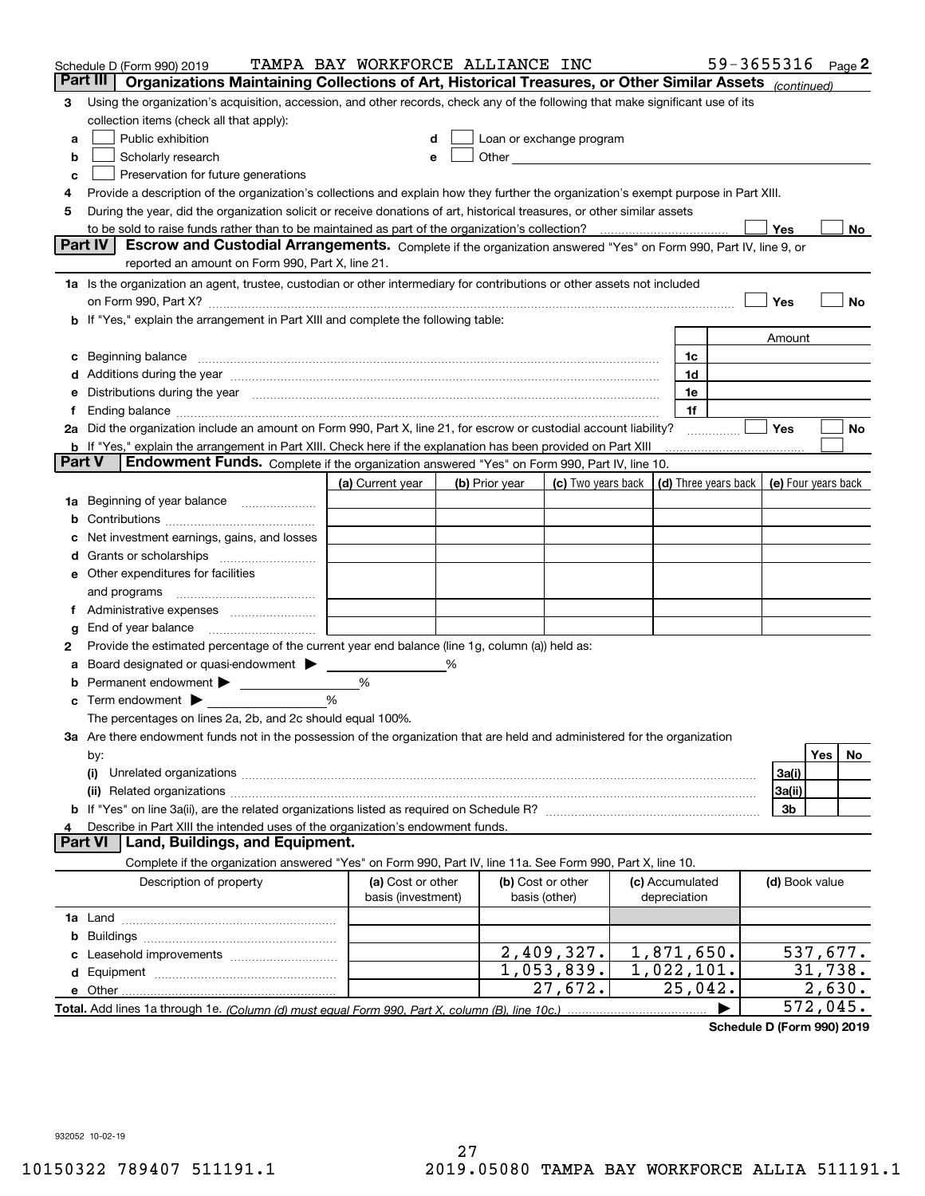|        | Schedule D (Form 990) 2019                                                                                                                                                                                                     | TAMPA BAY WORKFORCE ALLIANCE INC |   |                |                                                                                                                                                                                                                               |  |                      |  |                | 59-3655316 Page 2   |
|--------|--------------------------------------------------------------------------------------------------------------------------------------------------------------------------------------------------------------------------------|----------------------------------|---|----------------|-------------------------------------------------------------------------------------------------------------------------------------------------------------------------------------------------------------------------------|--|----------------------|--|----------------|---------------------|
|        | Part III<br>Organizations Maintaining Collections of Art, Historical Treasures, or Other Similar Assets (continued)                                                                                                            |                                  |   |                |                                                                                                                                                                                                                               |  |                      |  |                |                     |
| 3      | Using the organization's acquisition, accession, and other records, check any of the following that make significant use of its                                                                                                |                                  |   |                |                                                                                                                                                                                                                               |  |                      |  |                |                     |
|        | collection items (check all that apply):                                                                                                                                                                                       |                                  |   |                |                                                                                                                                                                                                                               |  |                      |  |                |                     |
| a      | Public exhibition                                                                                                                                                                                                              |                                  |   |                | Loan or exchange program                                                                                                                                                                                                      |  |                      |  |                |                     |
| b      | Scholarly research                                                                                                                                                                                                             |                                  | е |                | Other and the contract of the contract of the contract of the contract of the contract of the contract of the contract of the contract of the contract of the contract of the contract of the contract of the contract of the |  |                      |  |                |                     |
| с      | Preservation for future generations                                                                                                                                                                                            |                                  |   |                |                                                                                                                                                                                                                               |  |                      |  |                |                     |
| 4      | Provide a description of the organization's collections and explain how they further the organization's exempt purpose in Part XIII.                                                                                           |                                  |   |                |                                                                                                                                                                                                                               |  |                      |  |                |                     |
| 5      | During the year, did the organization solicit or receive donations of art, historical treasures, or other similar assets                                                                                                       |                                  |   |                |                                                                                                                                                                                                                               |  |                      |  |                |                     |
|        | to be sold to raise funds rather than to be maintained as part of the organization's collection?                                                                                                                               |                                  |   |                |                                                                                                                                                                                                                               |  |                      |  | Yes            | No                  |
|        | <b>Part IV</b><br>Escrow and Custodial Arrangements. Complete if the organization answered "Yes" on Form 990, Part IV, line 9, or                                                                                              |                                  |   |                |                                                                                                                                                                                                                               |  |                      |  |                |                     |
|        | reported an amount on Form 990, Part X, line 21.                                                                                                                                                                               |                                  |   |                |                                                                                                                                                                                                                               |  |                      |  |                |                     |
|        | 1a Is the organization an agent, trustee, custodian or other intermediary for contributions or other assets not included                                                                                                       |                                  |   |                |                                                                                                                                                                                                                               |  |                      |  |                |                     |
|        | on Form 990, Part X? [11] matter contracts and contracts and contracts are contracted and contracts are contracted and contract and contract of the contract of the contract of the contract of the contract of the contract o |                                  |   |                |                                                                                                                                                                                                                               |  |                      |  | Yes            | No                  |
|        | b If "Yes," explain the arrangement in Part XIII and complete the following table:                                                                                                                                             |                                  |   |                |                                                                                                                                                                                                                               |  |                      |  |                |                     |
|        |                                                                                                                                                                                                                                |                                  |   |                |                                                                                                                                                                                                                               |  |                      |  | Amount         |                     |
| c      | Beginning balance measurements and the contract measurement of the contract measurement of the contract measurement                                                                                                            |                                  |   |                |                                                                                                                                                                                                                               |  | 1c                   |  |                |                     |
|        | Additions during the year manufactured and an annual contract of the year manufactured and all the year manufactured and all the year manufactured and all the year manufactured and all the year manufactured and all the yea |                                  |   |                |                                                                                                                                                                                                                               |  | 1d                   |  |                |                     |
|        | Distributions during the year manufactured and an account of the year manufactured and the year manufactured and the year manufactured and the year manufactured and the year manufactured and the year manufactured and the y |                                  |   |                |                                                                                                                                                                                                                               |  | 1e                   |  |                |                     |
| Ť.,    |                                                                                                                                                                                                                                |                                  |   |                |                                                                                                                                                                                                                               |  | 1f                   |  |                |                     |
|        | 2a Did the organization include an amount on Form 990, Part X, line 21, for escrow or custodial account liability?                                                                                                             |                                  |   |                |                                                                                                                                                                                                                               |  | .                    |  | Yes            | No                  |
|        | <b>b</b> If "Yes," explain the arrangement in Part XIII. Check here if the explanation has been provided on Part XIII                                                                                                          |                                  |   |                |                                                                                                                                                                                                                               |  |                      |  |                |                     |
| Part V | Endowment Funds. Complete if the organization answered "Yes" on Form 990, Part IV, line 10.                                                                                                                                    |                                  |   |                |                                                                                                                                                                                                                               |  |                      |  |                |                     |
|        |                                                                                                                                                                                                                                | (a) Current year                 |   | (b) Prior year | (c) Two years back                                                                                                                                                                                                            |  | (d) Three years back |  |                | (e) Four years back |
| 1a     | Beginning of year balance                                                                                                                                                                                                      |                                  |   |                |                                                                                                                                                                                                                               |  |                      |  |                |                     |
|        |                                                                                                                                                                                                                                |                                  |   |                |                                                                                                                                                                                                                               |  |                      |  |                |                     |
|        | Net investment earnings, gains, and losses                                                                                                                                                                                     |                                  |   |                |                                                                                                                                                                                                                               |  |                      |  |                |                     |
| d      |                                                                                                                                                                                                                                |                                  |   |                |                                                                                                                                                                                                                               |  |                      |  |                |                     |
|        | e Other expenditures for facilities                                                                                                                                                                                            |                                  |   |                |                                                                                                                                                                                                                               |  |                      |  |                |                     |
|        | and programs                                                                                                                                                                                                                   |                                  |   |                |                                                                                                                                                                                                                               |  |                      |  |                |                     |
|        |                                                                                                                                                                                                                                |                                  |   |                |                                                                                                                                                                                                                               |  |                      |  |                |                     |
| g      | End of year balance                                                                                                                                                                                                            |                                  |   |                |                                                                                                                                                                                                                               |  |                      |  |                |                     |
| 2      | Provide the estimated percentage of the current year end balance (line 1g, column (a)) held as:                                                                                                                                |                                  |   |                |                                                                                                                                                                                                                               |  |                      |  |                |                     |
| а      | Board designated or quasi-endowment                                                                                                                                                                                            |                                  | ℅ |                |                                                                                                                                                                                                                               |  |                      |  |                |                     |
|        | Permanent endowment > <u>example</u>                                                                                                                                                                                           | %                                |   |                |                                                                                                                                                                                                                               |  |                      |  |                |                     |
|        | Term endowment $\blacktriangleright$                                                                                                                                                                                           | %                                |   |                |                                                                                                                                                                                                                               |  |                      |  |                |                     |
|        | The percentages on lines 2a, 2b, and 2c should equal 100%.                                                                                                                                                                     |                                  |   |                |                                                                                                                                                                                                                               |  |                      |  |                |                     |
|        | 3a Are there endowment funds not in the possession of the organization that are held and administered for the organization                                                                                                     |                                  |   |                |                                                                                                                                                                                                                               |  |                      |  |                |                     |
|        | by:                                                                                                                                                                                                                            |                                  |   |                |                                                                                                                                                                                                                               |  |                      |  |                | Yes<br>No.          |
|        | (i)                                                                                                                                                                                                                            |                                  |   |                |                                                                                                                                                                                                                               |  |                      |  | 3a(i)          |                     |
|        |                                                                                                                                                                                                                                |                                  |   |                |                                                                                                                                                                                                                               |  |                      |  | 3a(ii)         |                     |
|        |                                                                                                                                                                                                                                |                                  |   |                |                                                                                                                                                                                                                               |  |                      |  | 3b             |                     |
| 4      | Describe in Part XIII the intended uses of the organization's endowment funds.<br>Land, Buildings, and Equipment.<br>Part VI                                                                                                   |                                  |   |                |                                                                                                                                                                                                                               |  |                      |  |                |                     |
|        | Complete if the organization answered "Yes" on Form 990, Part IV, line 11a. See Form 990, Part X, line 10.                                                                                                                     |                                  |   |                |                                                                                                                                                                                                                               |  |                      |  |                |                     |
|        | Description of property                                                                                                                                                                                                        | (a) Cost or other                |   |                | (b) Cost or other                                                                                                                                                                                                             |  | (c) Accumulated      |  |                |                     |
|        |                                                                                                                                                                                                                                | basis (investment)               |   |                | basis (other)                                                                                                                                                                                                                 |  | depreciation         |  | (d) Book value |                     |
|        |                                                                                                                                                                                                                                |                                  |   |                |                                                                                                                                                                                                                               |  |                      |  |                |                     |
|        |                                                                                                                                                                                                                                |                                  |   |                |                                                                                                                                                                                                                               |  |                      |  |                |                     |
| b      |                                                                                                                                                                                                                                |                                  |   |                | 2,409,327.                                                                                                                                                                                                                    |  | 1,871,650.           |  |                | 537,677.            |
|        |                                                                                                                                                                                                                                |                                  |   |                | 1,053,839.                                                                                                                                                                                                                    |  | 1,022,101.           |  |                | 31,738.             |
|        |                                                                                                                                                                                                                                |                                  |   |                | 27,672.                                                                                                                                                                                                                       |  | 25,042.              |  |                | 2,630.              |
|        |                                                                                                                                                                                                                                |                                  |   |                |                                                                                                                                                                                                                               |  |                      |  |                | 572,045.            |
|        |                                                                                                                                                                                                                                |                                  |   |                |                                                                                                                                                                                                                               |  |                      |  |                |                     |

**Schedule D (Form 990) 2019**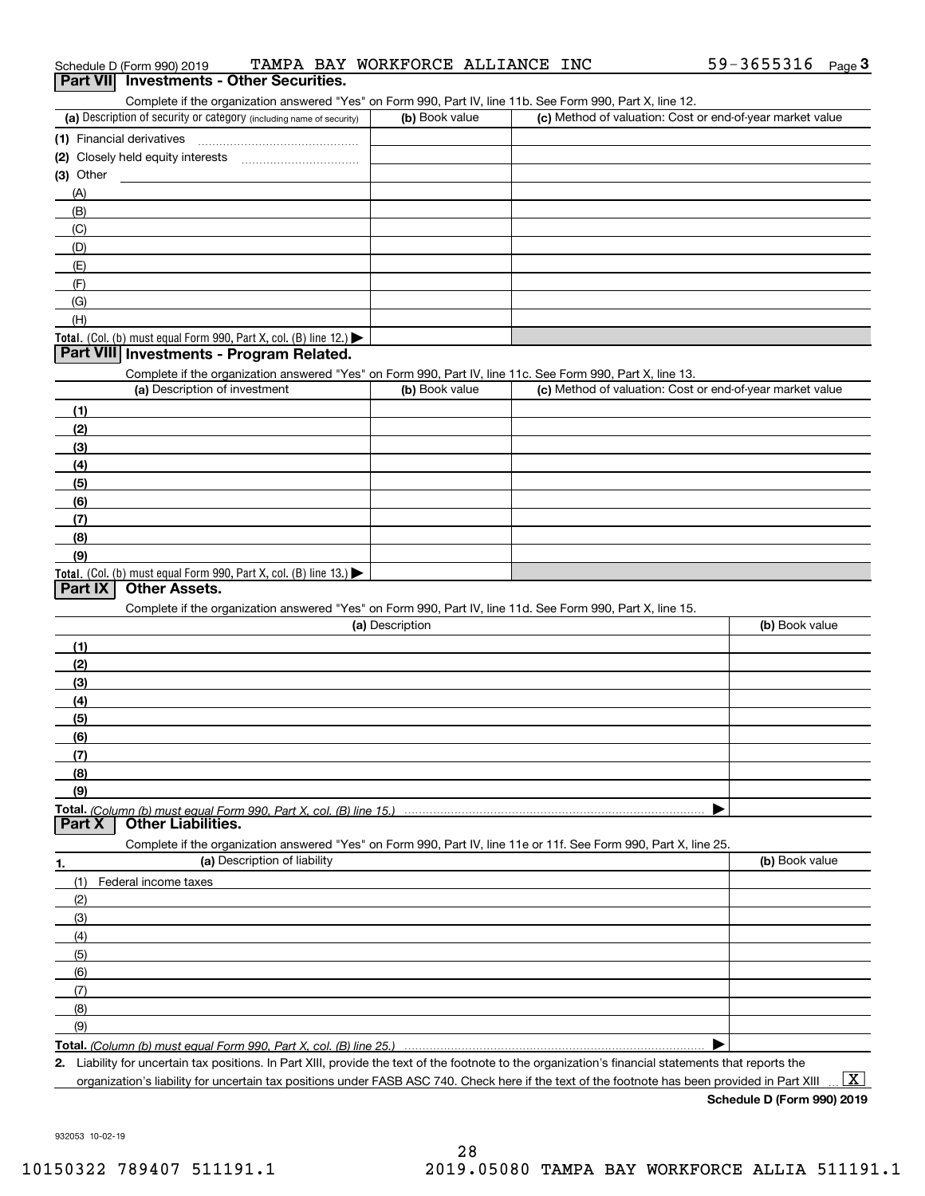| (a) Description of security or category (including name of security)                                                                                 | (b) Book value  | (c) Method of valuation: Cost or end-of-year market value |                |
|------------------------------------------------------------------------------------------------------------------------------------------------------|-----------------|-----------------------------------------------------------|----------------|
| (1) Financial derivatives                                                                                                                            |                 |                                                           |                |
|                                                                                                                                                      |                 |                                                           |                |
| (3) Other                                                                                                                                            |                 |                                                           |                |
| (A)                                                                                                                                                  |                 |                                                           |                |
| (B)                                                                                                                                                  |                 |                                                           |                |
| (C)                                                                                                                                                  |                 |                                                           |                |
| (D)                                                                                                                                                  |                 |                                                           |                |
| (E)                                                                                                                                                  |                 |                                                           |                |
|                                                                                                                                                      |                 |                                                           |                |
| (F)                                                                                                                                                  |                 |                                                           |                |
| (G)                                                                                                                                                  |                 |                                                           |                |
| (H)                                                                                                                                                  |                 |                                                           |                |
| <b>Total.</b> (Col. (b) must equal Form 990, Part X, col. (B) line $12$ .)<br>Part VIII Investments - Program Related.                               |                 |                                                           |                |
|                                                                                                                                                      |                 |                                                           |                |
| Complete if the organization answered "Yes" on Form 990, Part IV, line 11c. See Form 990, Part X, line 13.                                           |                 |                                                           |                |
| (a) Description of investment                                                                                                                        | (b) Book value  | (c) Method of valuation: Cost or end-of-year market value |                |
| (1)                                                                                                                                                  |                 |                                                           |                |
| (2)                                                                                                                                                  |                 |                                                           |                |
| (3)                                                                                                                                                  |                 |                                                           |                |
| (4)                                                                                                                                                  |                 |                                                           |                |
| (5)                                                                                                                                                  |                 |                                                           |                |
| (6)                                                                                                                                                  |                 |                                                           |                |
| (7)                                                                                                                                                  |                 |                                                           |                |
| (8)                                                                                                                                                  |                 |                                                           |                |
| (9)                                                                                                                                                  |                 |                                                           |                |
| <b>Total.</b> (Col. (b) must equal Form 990, Part X, col. (B) line $13.$                                                                             |                 |                                                           |                |
| <b>Other Assets.</b><br>Part IX                                                                                                                      |                 |                                                           |                |
| Complete if the organization answered "Yes" on Form 990, Part IV, line 11d. See Form 990, Part X, line 15.                                           |                 |                                                           |                |
|                                                                                                                                                      | (a) Description |                                                           | (b) Book value |
| (1)                                                                                                                                                  |                 |                                                           |                |
| (2)                                                                                                                                                  |                 |                                                           |                |
| (3)                                                                                                                                                  |                 |                                                           |                |
| (4)                                                                                                                                                  |                 |                                                           |                |
| (5)                                                                                                                                                  |                 |                                                           |                |
| (6)                                                                                                                                                  |                 |                                                           |                |
| (7)                                                                                                                                                  |                 |                                                           |                |
| (8)                                                                                                                                                  |                 |                                                           |                |
|                                                                                                                                                      |                 |                                                           |                |
| (9)                                                                                                                                                  |                 |                                                           |                |
| Part X<br><b>Other Liabilities.</b>                                                                                                                  |                 |                                                           |                |
| Complete if the organization answered "Yes" on Form 990, Part IV, line 11e or 11f. See Form 990, Part X, line 25.                                    |                 |                                                           |                |
| (a) Description of liability<br>1.                                                                                                                   |                 |                                                           | (b) Book value |
| (1)<br>Federal income taxes                                                                                                                          |                 |                                                           |                |
| (2)                                                                                                                                                  |                 |                                                           |                |
| (3)                                                                                                                                                  |                 |                                                           |                |
| (4)                                                                                                                                                  |                 |                                                           |                |
| (5)                                                                                                                                                  |                 |                                                           |                |
| (6)                                                                                                                                                  |                 |                                                           |                |
| (7)                                                                                                                                                  |                 |                                                           |                |
| (8)                                                                                                                                                  |                 |                                                           |                |
| (9)                                                                                                                                                  |                 |                                                           |                |
|                                                                                                                                                      |                 |                                                           |                |
|                                                                                                                                                      |                 |                                                           |                |
| 2. Liability for uncertain tax positions. In Part XIII, provide the text of the footnote to the organization's financial statements that reports the |                 |                                                           |                |

organization's liability for uncertain tax positions under FASB ASC 740. Check here if the text of the footnote has been provided in Part XIII  $\,$  ...  $\overline{\rm X}$ 

**Schedule D (Form 990) 2019**

932053 10-02-19

# Schedule D (Form 990) 2019 TAMPA BAY WORKFORCE ALLIANCE INC 59-3655316 <sub>Page</sub> 3<br>| **Part VII** | Investments - Other Securities.

Complete if the organization answered "Yes" on Form 990, Part IV, line 11b. See Form 990, Part X, line 12.

# 28 10150322 789407 511191.1 2019.05080 TAMPA BAY WORKFORCE ALLIA 511191.1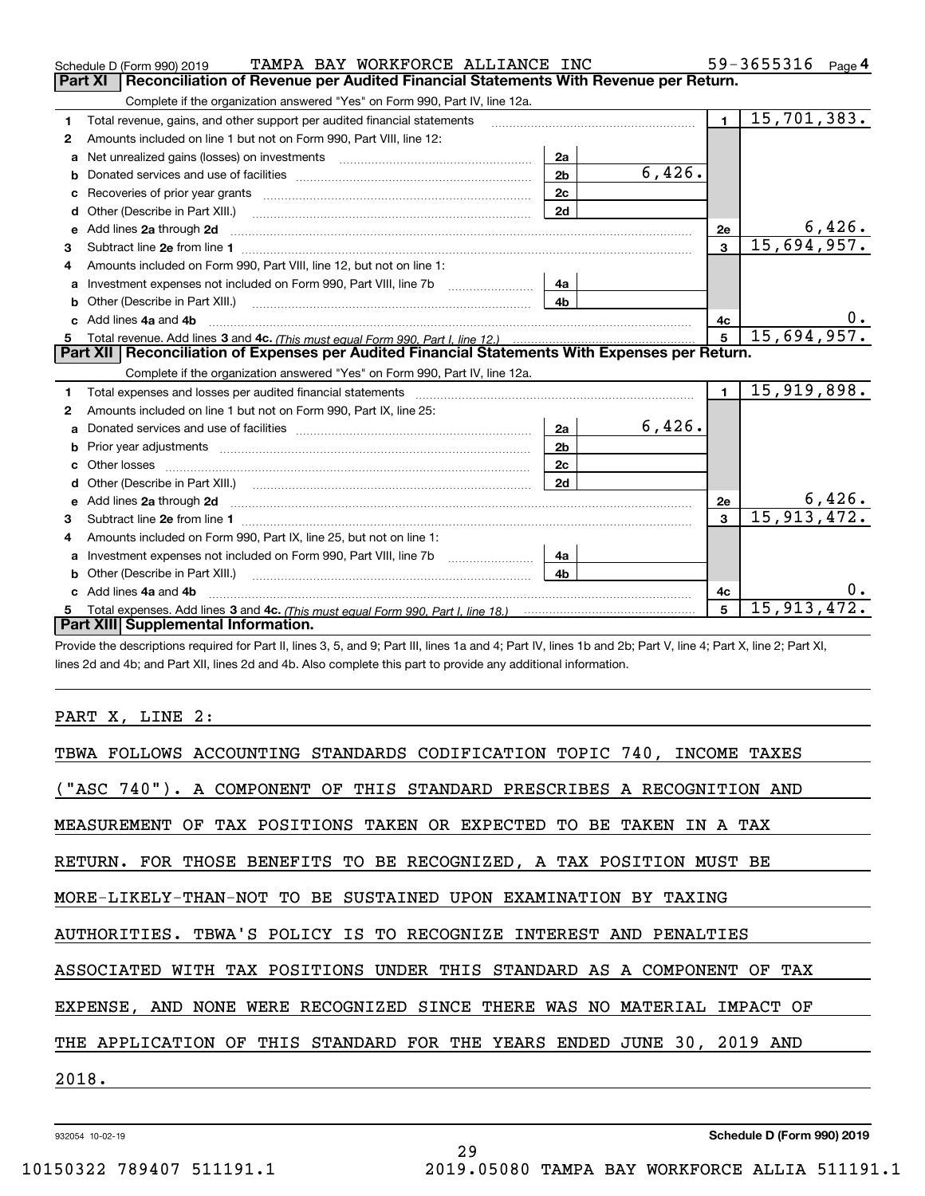|   | TAMPA BAY WORKFORCE ALLIANCE INC<br>Schedule D (Form 990) 2019                                                                                                                                                                      |                |        |                | 59-3655316 $_{Page}$ 4 |  |  |  |
|---|-------------------------------------------------------------------------------------------------------------------------------------------------------------------------------------------------------------------------------------|----------------|--------|----------------|------------------------|--|--|--|
|   | Reconciliation of Revenue per Audited Financial Statements With Revenue per Return.<br>Part XI                                                                                                                                      |                |        |                |                        |  |  |  |
|   | Complete if the organization answered "Yes" on Form 990, Part IV, line 12a.                                                                                                                                                         |                |        |                |                        |  |  |  |
| 1 | Total revenue, gains, and other support per audited financial statements                                                                                                                                                            |                |        | $\mathbf{1}$   | 15,701,383.            |  |  |  |
| 2 | Amounts included on line 1 but not on Form 990, Part VIII, line 12:                                                                                                                                                                 |                |        |                |                        |  |  |  |
| a | Net unrealized gains (losses) on investments [11] matter contracts and the unrealized gains (losses) on investments                                                                                                                 | 2a             |        |                |                        |  |  |  |
| b |                                                                                                                                                                                                                                     | 2 <sub>b</sub> | 6,426. |                |                        |  |  |  |
|   |                                                                                                                                                                                                                                     | 2c             |        |                |                        |  |  |  |
| d | Other (Describe in Part XIII.) <b>Construction Construction</b> Chern Construction Chern Chern Chern Chern Chern Chern                                                                                                              | 2d             |        |                |                        |  |  |  |
| е | Add lines 2a through 2d                                                                                                                                                                                                             |                |        | <b>2e</b>      | 6,426.                 |  |  |  |
| 3 |                                                                                                                                                                                                                                     |                |        | 3              | 15,694,957.            |  |  |  |
| 4 | Amounts included on Form 990, Part VIII, line 12, but not on line 1:                                                                                                                                                                |                |        |                |                        |  |  |  |
| a |                                                                                                                                                                                                                                     | 4а             |        |                |                        |  |  |  |
|   |                                                                                                                                                                                                                                     | 4 <sub>b</sub> |        |                |                        |  |  |  |
|   | c Add lines 4a and 4b                                                                                                                                                                                                               |                |        | 4c             |                        |  |  |  |
|   |                                                                                                                                                                                                                                     |                |        | $5^{\circ}$    | 15,694,957.            |  |  |  |
|   |                                                                                                                                                                                                                                     |                |        |                |                        |  |  |  |
|   | Part XII   Reconciliation of Expenses per Audited Financial Statements With Expenses per Return.                                                                                                                                    |                |        |                |                        |  |  |  |
|   | Complete if the organization answered "Yes" on Form 990, Part IV, line 12a.                                                                                                                                                         |                |        |                |                        |  |  |  |
| 1 |                                                                                                                                                                                                                                     |                |        | $\blacksquare$ | 15,919,898.            |  |  |  |
| 2 | Amounts included on line 1 but not on Form 990, Part IX, line 25:                                                                                                                                                                   |                |        |                |                        |  |  |  |
| a |                                                                                                                                                                                                                                     | 2a             | 6,426. |                |                        |  |  |  |
| b |                                                                                                                                                                                                                                     | 2 <sub>b</sub> |        |                |                        |  |  |  |
|   |                                                                                                                                                                                                                                     | 2c             |        |                |                        |  |  |  |
| d |                                                                                                                                                                                                                                     | 2d             |        |                |                        |  |  |  |
| е | Add lines 2a through 2d <b>contained a contained a contained a contained a</b> contained a contact the state of the state of the state of the state of the state of the state of the state of the state of the state of the state o |                |        | <b>2e</b>      | <u>6,426.</u>          |  |  |  |
| 3 | Subtract line 2e from line 1 <b>manufacture in the contract of the 2e</b> from line 1                                                                                                                                               |                |        | $\mathbf{3}$   | 15, 913, 472.          |  |  |  |
| 4 | Amounts included on Form 990, Part IX, line 25, but not on line 1:                                                                                                                                                                  |                |        |                |                        |  |  |  |
| a |                                                                                                                                                                                                                                     | 4a             |        |                |                        |  |  |  |
|   | Other (Describe in Part XIII.)                                                                                                                                                                                                      | 4 <sub>b</sub> |        |                |                        |  |  |  |
|   | c Add lines 4a and 4b                                                                                                                                                                                                               |                |        | 4с             |                        |  |  |  |
|   | Part XIII Supplemental Information.                                                                                                                                                                                                 |                |        | 5              | 15, 913, 472.          |  |  |  |

Provide the descriptions required for Part II, lines 3, 5, and 9; Part III, lines 1a and 4; Part IV, lines 1b and 2b; Part V, line 4; Part X, line 2; Part XI, lines 2d and 4b; and Part XII, lines 2d and 4b. Also complete this part to provide any additional information.

#### PART X, LINE 2:

| TBWA FOLLOWS ACCOUNTING STANDARDS CODIFICATION TOPIC 740, INCOME TAXES  |
|-------------------------------------------------------------------------|
| ("ASC 740"). A COMPONENT OF THIS STANDARD PRESCRIBES A RECOGNITION AND  |
| MEASUREMENT OF TAX POSITIONS TAKEN OR EXPECTED TO BE TAKEN IN A TAX     |
| RETURN. FOR THOSE BENEFITS TO BE RECOGNIZED, A TAX POSITION MUST BE     |
| MORE-LIKELY-THAN-NOT TO BE SUSTAINED UPON EXAMINATION BY TAXING         |
| AUTHORITIES. TBWA'S POLICY IS TO RECOGNIZE INTEREST AND PENALTIES       |
| ASSOCIATED WITH TAX POSITIONS UNDER THIS STANDARD AS A COMPONENT OF TAX |
| EXPENSE, AND NONE WERE RECOGNIZED SINCE THERE WAS NO MATERIAL IMPACT OF |
| THE APPLICATION OF THIS STANDARD FOR THE YEARS ENDED JUNE 30, 2019 AND  |
| 2018.                                                                   |
|                                                                         |

29

932054 10-02-19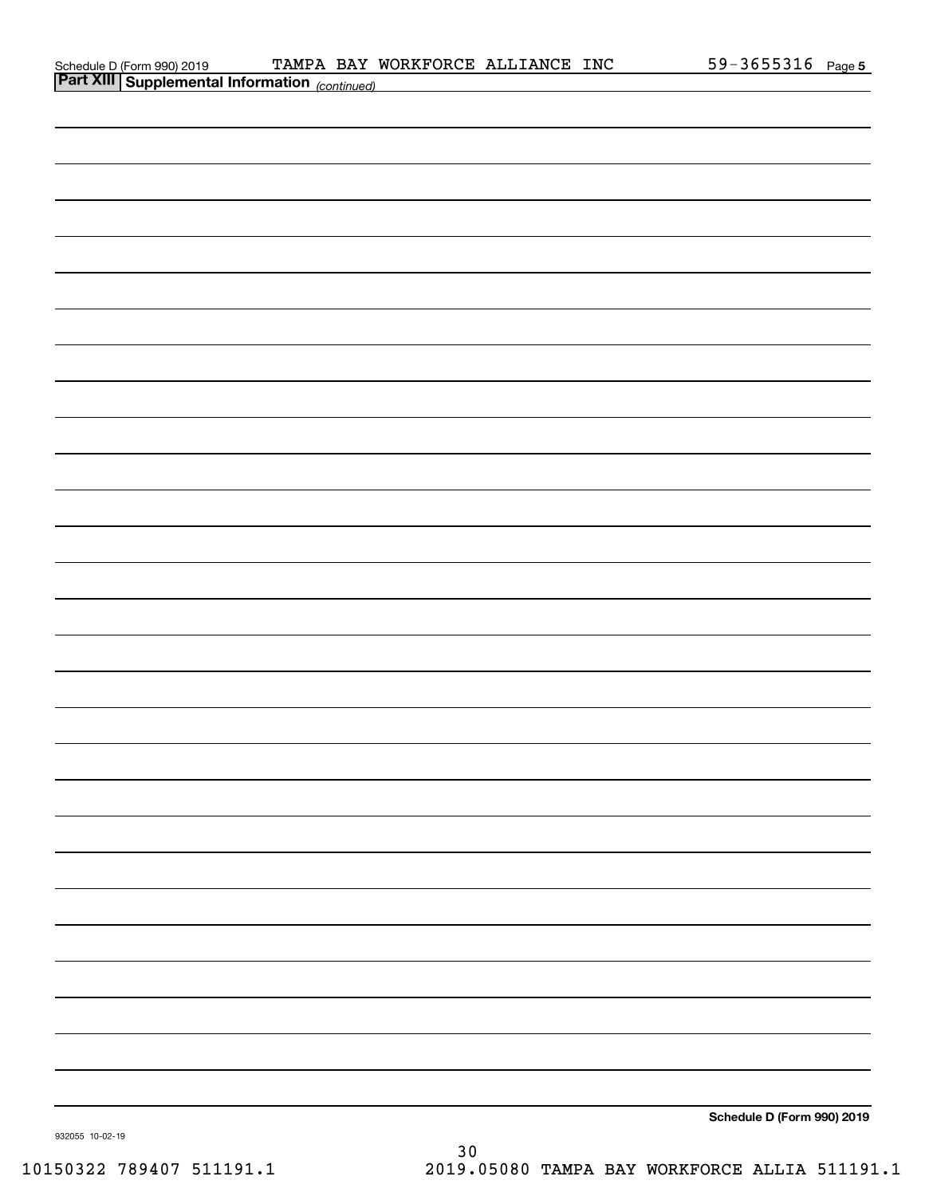| Schedule D (Form 990) 2019 |  |
|----------------------------|--|
|                            |  |

|                 | <b>Part XIII Supplemental Information</b> (continued) |  |                            |  |
|-----------------|-------------------------------------------------------|--|----------------------------|--|
|                 |                                                       |  |                            |  |
|                 |                                                       |  |                            |  |
|                 |                                                       |  |                            |  |
|                 |                                                       |  |                            |  |
|                 |                                                       |  |                            |  |
|                 |                                                       |  |                            |  |
|                 |                                                       |  |                            |  |
|                 |                                                       |  |                            |  |
|                 |                                                       |  |                            |  |
|                 |                                                       |  |                            |  |
|                 |                                                       |  |                            |  |
|                 |                                                       |  |                            |  |
|                 |                                                       |  |                            |  |
|                 |                                                       |  |                            |  |
|                 |                                                       |  |                            |  |
|                 |                                                       |  |                            |  |
|                 |                                                       |  |                            |  |
|                 |                                                       |  |                            |  |
|                 |                                                       |  |                            |  |
|                 |                                                       |  |                            |  |
|                 |                                                       |  |                            |  |
|                 |                                                       |  |                            |  |
|                 |                                                       |  |                            |  |
|                 |                                                       |  |                            |  |
|                 |                                                       |  |                            |  |
|                 |                                                       |  |                            |  |
|                 |                                                       |  |                            |  |
|                 |                                                       |  |                            |  |
|                 |                                                       |  | Schedule D (Form 990) 2019 |  |
| 932055 10-02-19 |                                                       |  |                            |  |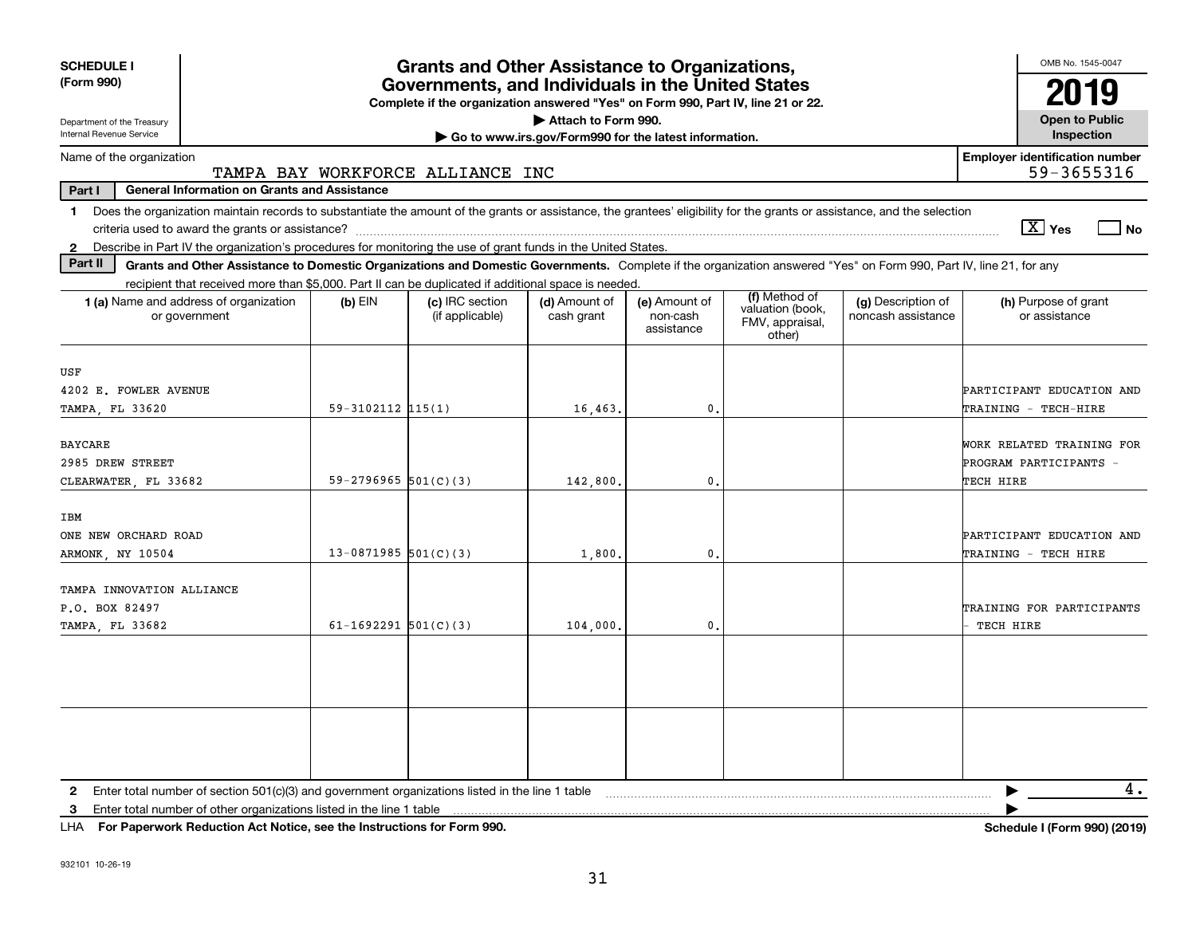| <b>SCHEDULE I</b><br><b>Grants and Other Assistance to Organizations,</b>                                                                                                                |                                                                                                                                                                    |                                                                                                                                       |                                                       |                                         |                                                                |                                          | OMB No. 1545-0047                                                |  |  |
|------------------------------------------------------------------------------------------------------------------------------------------------------------------------------------------|--------------------------------------------------------------------------------------------------------------------------------------------------------------------|---------------------------------------------------------------------------------------------------------------------------------------|-------------------------------------------------------|-----------------------------------------|----------------------------------------------------------------|------------------------------------------|------------------------------------------------------------------|--|--|
| (Form 990)                                                                                                                                                                               |                                                                                                                                                                    | Governments, and Individuals in the United States<br>Complete if the organization answered "Yes" on Form 990, Part IV, line 21 or 22. |                                                       |                                         |                                                                |                                          | 2019                                                             |  |  |
| Department of the Treasury                                                                                                                                                               |                                                                                                                                                                    |                                                                                                                                       | Attach to Form 990.                                   |                                         |                                                                |                                          | <b>Open to Public</b>                                            |  |  |
| Internal Revenue Service                                                                                                                                                                 |                                                                                                                                                                    |                                                                                                                                       | Go to www.irs.gov/Form990 for the latest information. |                                         |                                                                |                                          | Inspection                                                       |  |  |
| Name of the organization                                                                                                                                                                 | TAMPA BAY WORKFORCE ALLIANCE INC                                                                                                                                   |                                                                                                                                       |                                                       |                                         |                                                                |                                          | <b>Employer identification number</b><br>59-3655316              |  |  |
| Part I                                                                                                                                                                                   | <b>General Information on Grants and Assistance</b>                                                                                                                |                                                                                                                                       |                                                       |                                         |                                                                |                                          |                                                                  |  |  |
| Does the organization maintain records to substantiate the amount of the grants or assistance, the grantees' eligibility for the grants or assistance, and the selection<br>$\mathbf{1}$ |                                                                                                                                                                    |                                                                                                                                       |                                                       |                                         |                                                                |                                          |                                                                  |  |  |
|                                                                                                                                                                                          |                                                                                                                                                                    |                                                                                                                                       |                                                       |                                         |                                                                |                                          | $X$ Yes<br>$\overline{\phantom{a}}$ No                           |  |  |
| 2 Describe in Part IV the organization's procedures for monitoring the use of grant funds in the United States.<br>Part II                                                               | Grants and Other Assistance to Domestic Organizations and Domestic Governments. Complete if the organization answered "Yes" on Form 990, Part IV, line 21, for any |                                                                                                                                       |                                                       |                                         |                                                                |                                          |                                                                  |  |  |
|                                                                                                                                                                                          | recipient that received more than \$5,000. Part II can be duplicated if additional space is needed.                                                                |                                                                                                                                       |                                                       |                                         |                                                                |                                          |                                                                  |  |  |
| 1 (a) Name and address of organization<br>or government                                                                                                                                  | $(b)$ EIN                                                                                                                                                          | (c) IRC section<br>(if applicable)                                                                                                    | (d) Amount of<br>cash grant                           | (e) Amount of<br>non-cash<br>assistance | (f) Method of<br>valuation (book,<br>FMV, appraisal,<br>other) | (g) Description of<br>noncash assistance | (h) Purpose of grant<br>or assistance                            |  |  |
| USF                                                                                                                                                                                      |                                                                                                                                                                    |                                                                                                                                       |                                                       |                                         |                                                                |                                          |                                                                  |  |  |
| 4202 E. FOWLER AVENUE                                                                                                                                                                    |                                                                                                                                                                    |                                                                                                                                       |                                                       |                                         |                                                                |                                          | PARTICIPANT EDUCATION AND                                        |  |  |
| TAMPA, FL 33620                                                                                                                                                                          | $59 - 3102112$ $115(1)$                                                                                                                                            |                                                                                                                                       | 16,463.                                               | 0.                                      |                                                                |                                          | TRAINING - TECH-HIRE                                             |  |  |
| <b>BAYCARE</b><br>2985 DREW STREET<br>CLEARWATER, FL 33682                                                                                                                               | $59 - 2796965$ $501(C)(3)$                                                                                                                                         |                                                                                                                                       | 142,800                                               | $\mathbf{0}$                            |                                                                |                                          | WORK RELATED TRAINING FOR<br>PROGRAM PARTICIPANTS -<br>TECH HIRE |  |  |
|                                                                                                                                                                                          |                                                                                                                                                                    |                                                                                                                                       |                                                       |                                         |                                                                |                                          |                                                                  |  |  |
| <b>IBM</b>                                                                                                                                                                               |                                                                                                                                                                    |                                                                                                                                       |                                                       |                                         |                                                                |                                          |                                                                  |  |  |
| ONE NEW ORCHARD ROAD                                                                                                                                                                     |                                                                                                                                                                    |                                                                                                                                       |                                                       |                                         |                                                                |                                          | PARTICIPANT EDUCATION AND                                        |  |  |
| ARMONK, NY 10504                                                                                                                                                                         | $13-0871985$ 501(C)(3)                                                                                                                                             |                                                                                                                                       | 1,800                                                 | $\mathbf{0}$                            |                                                                |                                          | TRAINING - TECH HIRE                                             |  |  |
| TAMPA INNOVATION ALLIANCE                                                                                                                                                                |                                                                                                                                                                    |                                                                                                                                       |                                                       |                                         |                                                                |                                          |                                                                  |  |  |
| P.O. BOX 82497                                                                                                                                                                           |                                                                                                                                                                    |                                                                                                                                       |                                                       |                                         |                                                                |                                          | TRAINING FOR PARTICIPANTS                                        |  |  |
| TAMPA, FL 33682                                                                                                                                                                          | 61-1692291 $501(C)(3)$                                                                                                                                             |                                                                                                                                       | 104,000                                               | $\mathbf{0}$                            |                                                                |                                          | TECH HIRE                                                        |  |  |
|                                                                                                                                                                                          |                                                                                                                                                                    |                                                                                                                                       |                                                       |                                         |                                                                |                                          |                                                                  |  |  |
|                                                                                                                                                                                          |                                                                                                                                                                    |                                                                                                                                       |                                                       |                                         |                                                                |                                          |                                                                  |  |  |
|                                                                                                                                                                                          |                                                                                                                                                                    |                                                                                                                                       |                                                       |                                         |                                                                |                                          |                                                                  |  |  |
|                                                                                                                                                                                          |                                                                                                                                                                    |                                                                                                                                       |                                                       |                                         |                                                                |                                          |                                                                  |  |  |
|                                                                                                                                                                                          |                                                                                                                                                                    |                                                                                                                                       |                                                       |                                         |                                                                |                                          |                                                                  |  |  |
|                                                                                                                                                                                          |                                                                                                                                                                    |                                                                                                                                       |                                                       |                                         |                                                                |                                          |                                                                  |  |  |
|                                                                                                                                                                                          |                                                                                                                                                                    |                                                                                                                                       |                                                       |                                         |                                                                |                                          |                                                                  |  |  |
| 2 Enter total number of section 501(c)(3) and government organizations listed in the line 1 table                                                                                        |                                                                                                                                                                    |                                                                                                                                       |                                                       |                                         |                                                                |                                          | 4.                                                               |  |  |
| Enter total number of other organizations listed in the line 1 table<br>3                                                                                                                |                                                                                                                                                                    |                                                                                                                                       |                                                       |                                         |                                                                |                                          |                                                                  |  |  |

**For Paperwork Reduction Act Notice, see the Instructions for Form 990. Schedule I (Form 990) (2019)** LHA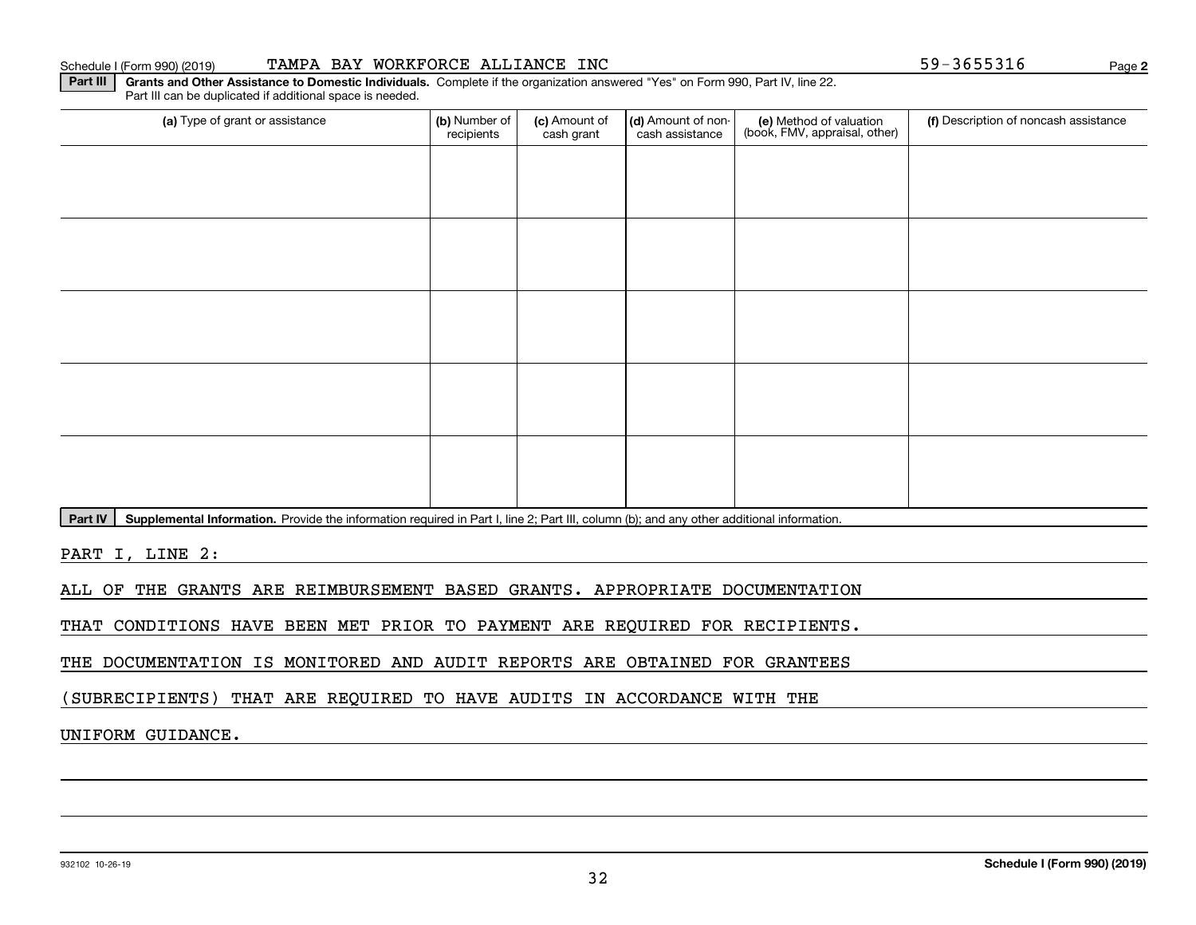#### Schedule I (Form 990) (2019) **TAMPA BAY WORKFORCE ALLIANCE INC** 5 9-3 6 5 5 3 1 6 Page

(a) Type of grant or assistance **Audity Commet Audio Commet Commet Commet Commet Commet Commet Commet Commet Comme** Part III can be duplicated if additional space is needed. (e) Method of valuation (book, FMV, appraisal, other) recipients(c) Amount of cash grant (d) Amount of noncash assistance (f) Description of noncash assistance

Part IV | Supplemental Information. Provide the information required in Part I, line 2; Part III, column (b); and any other additional information.

**Part III | Grants and Other Assistance to Domestic Individuals. Complete if the organization answered "Yes" on Form 990, Part IV, line 22.** 

PART I, LINE 2:

ALL OF THE GRANTS ARE REIMBURSEMENT BASED GRANTS. APPROPRIATE DOCUMENTATION

THAT CONDITIONS HAVE BEEN MET PRIOR TO PAYMENT ARE REQUIRED FOR RECIPIENTS.

THE DOCUMENTATION IS MONITORED AND AUDIT REPORTS ARE OBTAINED FOR GRANTEES

(SUBRECIPIENTS) THAT ARE REQUIRED TO HAVE AUDITS IN ACCORDANCE WITH THE

#### UNIFORM GUIDANCE.

**2**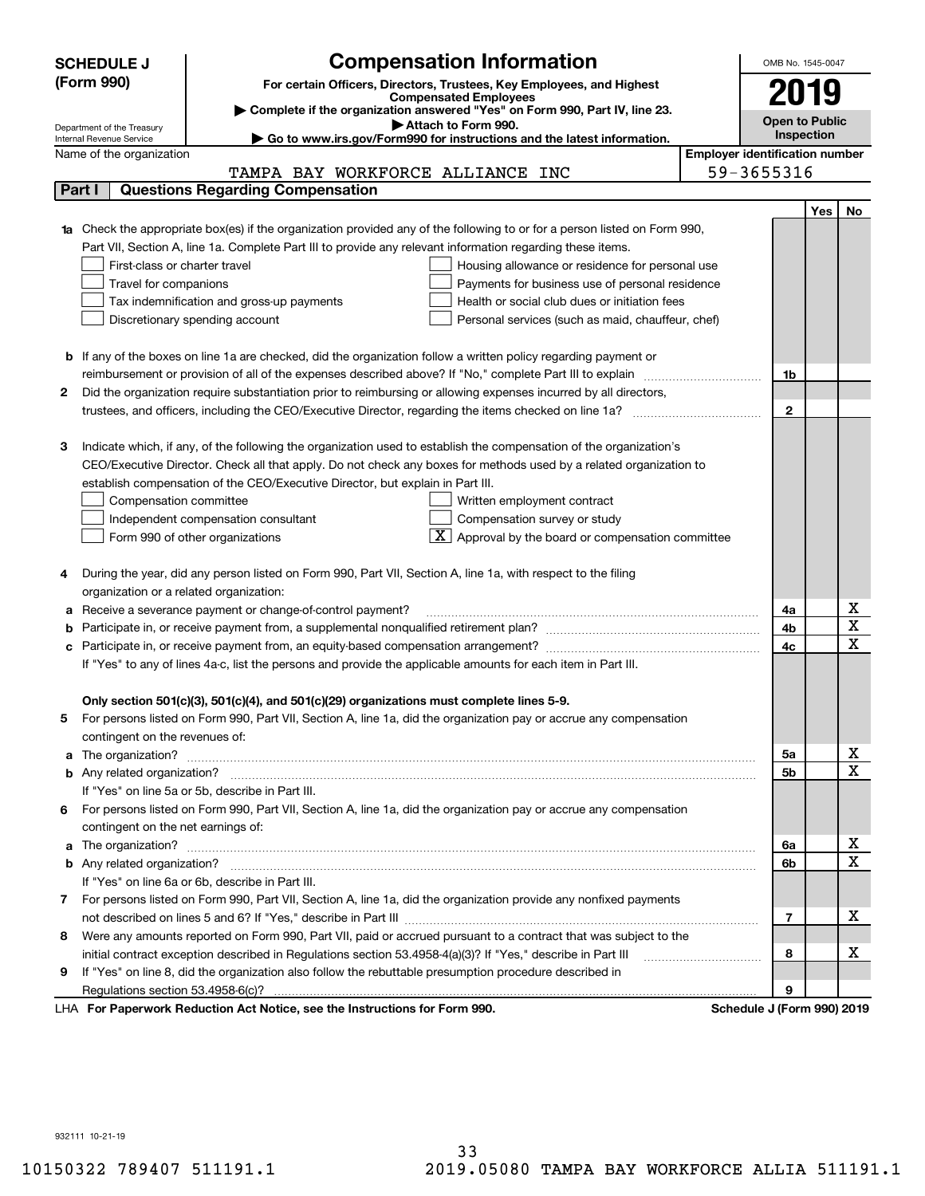|                            | <b>Compensation Information</b><br><b>SCHEDULE J</b>                                                                                                                    | OMB No. 1545-0047 |            |                              |  |  |  |  |
|----------------------------|-------------------------------------------------------------------------------------------------------------------------------------------------------------------------|-------------------|------------|------------------------------|--|--|--|--|
|                            | (Form 990)<br>For certain Officers, Directors, Trustees, Key Employees, and Highest                                                                                     |                   |            |                              |  |  |  |  |
|                            | 2019                                                                                                                                                                    |                   |            |                              |  |  |  |  |
|                            | <b>Open to Public</b>                                                                                                                                                   |                   |            |                              |  |  |  |  |
| Department of the Treasury | Inspection                                                                                                                                                              |                   |            |                              |  |  |  |  |
|                            | Go to www.irs.gov/Form990 for instructions and the latest information.<br>Internal Revenue Service<br><b>Employer identification number</b><br>Name of the organization |                   |            |                              |  |  |  |  |
|                            | TAMPA BAY WORKFORCE ALLIANCE INC                                                                                                                                        | 59-3655316        |            |                              |  |  |  |  |
| Part I                     | <b>Questions Regarding Compensation</b>                                                                                                                                 |                   |            |                              |  |  |  |  |
|                            |                                                                                                                                                                         |                   | <b>Yes</b> | No                           |  |  |  |  |
|                            | <b>1a</b> Check the appropriate box(es) if the organization provided any of the following to or for a person listed on Form 990,                                        |                   |            |                              |  |  |  |  |
|                            | Part VII, Section A, line 1a. Complete Part III to provide any relevant information regarding these items.                                                              |                   |            |                              |  |  |  |  |
|                            | First-class or charter travel<br>Housing allowance or residence for personal use                                                                                        |                   |            |                              |  |  |  |  |
|                            | Travel for companions<br>Payments for business use of personal residence                                                                                                |                   |            |                              |  |  |  |  |
|                            | Tax indemnification and gross-up payments<br>Health or social club dues or initiation fees                                                                              |                   |            |                              |  |  |  |  |
|                            | Discretionary spending account<br>Personal services (such as maid, chauffeur, chef)                                                                                     |                   |            |                              |  |  |  |  |
|                            |                                                                                                                                                                         |                   |            |                              |  |  |  |  |
|                            | <b>b</b> If any of the boxes on line 1a are checked, did the organization follow a written policy regarding payment or                                                  |                   |            |                              |  |  |  |  |
|                            | reimbursement or provision of all of the expenses described above? If "No," complete Part III to explain                                                                | 1b                |            |                              |  |  |  |  |
| 2                          | Did the organization require substantiation prior to reimbursing or allowing expenses incurred by all directors,                                                        |                   |            |                              |  |  |  |  |
|                            | trustees, and officers, including the CEO/Executive Director, regarding the items checked on line 1a?                                                                   | $\mathbf{2}$      |            |                              |  |  |  |  |
|                            |                                                                                                                                                                         |                   |            |                              |  |  |  |  |
| з                          | Indicate which, if any, of the following the organization used to establish the compensation of the organization's                                                      |                   |            |                              |  |  |  |  |
|                            | CEO/Executive Director. Check all that apply. Do not check any boxes for methods used by a related organization to                                                      |                   |            |                              |  |  |  |  |
|                            | establish compensation of the CEO/Executive Director, but explain in Part III.                                                                                          |                   |            |                              |  |  |  |  |
|                            | Compensation committee<br>Written employment contract                                                                                                                   |                   |            |                              |  |  |  |  |
|                            | Compensation survey or study<br>Independent compensation consultant                                                                                                     |                   |            |                              |  |  |  |  |
|                            | $\boxed{\textbf{X}}$ Approval by the board or compensation committee<br>Form 990 of other organizations                                                                 |                   |            |                              |  |  |  |  |
|                            |                                                                                                                                                                         |                   |            |                              |  |  |  |  |
|                            | During the year, did any person listed on Form 990, Part VII, Section A, line 1a, with respect to the filing                                                            |                   |            |                              |  |  |  |  |
|                            | organization or a related organization:                                                                                                                                 |                   |            |                              |  |  |  |  |
| а                          | Receive a severance payment or change-of-control payment?                                                                                                               | 4a                |            | х                            |  |  |  |  |
| b                          |                                                                                                                                                                         | 4b                |            | $\overline{\mathbf{x}}$      |  |  |  |  |
| с                          |                                                                                                                                                                         | 4c                |            | $\overline{\mathbf{x}}$      |  |  |  |  |
|                            | If "Yes" to any of lines 4a-c, list the persons and provide the applicable amounts for each item in Part III.                                                           |                   |            |                              |  |  |  |  |
|                            |                                                                                                                                                                         |                   |            |                              |  |  |  |  |
|                            | Only section 501(c)(3), 501(c)(4), and 501(c)(29) organizations must complete lines 5-9.                                                                                |                   |            |                              |  |  |  |  |
|                            | For persons listed on Form 990, Part VII, Section A, line 1a, did the organization pay or accrue any compensation                                                       |                   |            |                              |  |  |  |  |
|                            | contingent on the revenues of:                                                                                                                                          |                   |            |                              |  |  |  |  |
| a                          |                                                                                                                                                                         | 5a                |            | х                            |  |  |  |  |
|                            |                                                                                                                                                                         | 5b                |            | $\overline{\mathbf{x}}$      |  |  |  |  |
|                            | If "Yes" on line 5a or 5b, describe in Part III.                                                                                                                        |                   |            |                              |  |  |  |  |
| 6.                         | For persons listed on Form 990, Part VII, Section A, line 1a, did the organization pay or accrue any compensation                                                       |                   |            |                              |  |  |  |  |
|                            | contingent on the net earnings of:                                                                                                                                      |                   |            |                              |  |  |  |  |
| a                          |                                                                                                                                                                         | 6a                |            | х<br>$\overline{\mathbf{x}}$ |  |  |  |  |
|                            |                                                                                                                                                                         | 6b                |            |                              |  |  |  |  |
|                            | If "Yes" on line 6a or 6b, describe in Part III.                                                                                                                        |                   |            |                              |  |  |  |  |
|                            | 7 For persons listed on Form 990, Part VII, Section A, line 1a, did the organization provide any nonfixed payments                                                      |                   |            | х                            |  |  |  |  |
|                            |                                                                                                                                                                         | 7                 |            |                              |  |  |  |  |
| 8                          | Were any amounts reported on Form 990, Part VII, paid or accrued pursuant to a contract that was subject to the                                                         |                   |            | х                            |  |  |  |  |
|                            | initial contract exception described in Regulations section 53.4958-4(a)(3)? If "Yes," describe in Part III                                                             | 8                 |            |                              |  |  |  |  |
| 9                          | If "Yes" on line 8, did the organization also follow the rebuttable presumption procedure described in                                                                  |                   |            |                              |  |  |  |  |
|                            | wwayk Deduction Act Notice, ass the Instructions for Form 000<br>Cabadule 1/Faunt 00010040                                                                              | 9                 |            |                              |  |  |  |  |

LHA For Paperwork Reduction Act Notice, see the Instructions for Form 990. Schedule J (Form 990) 2019

932111 10-21-19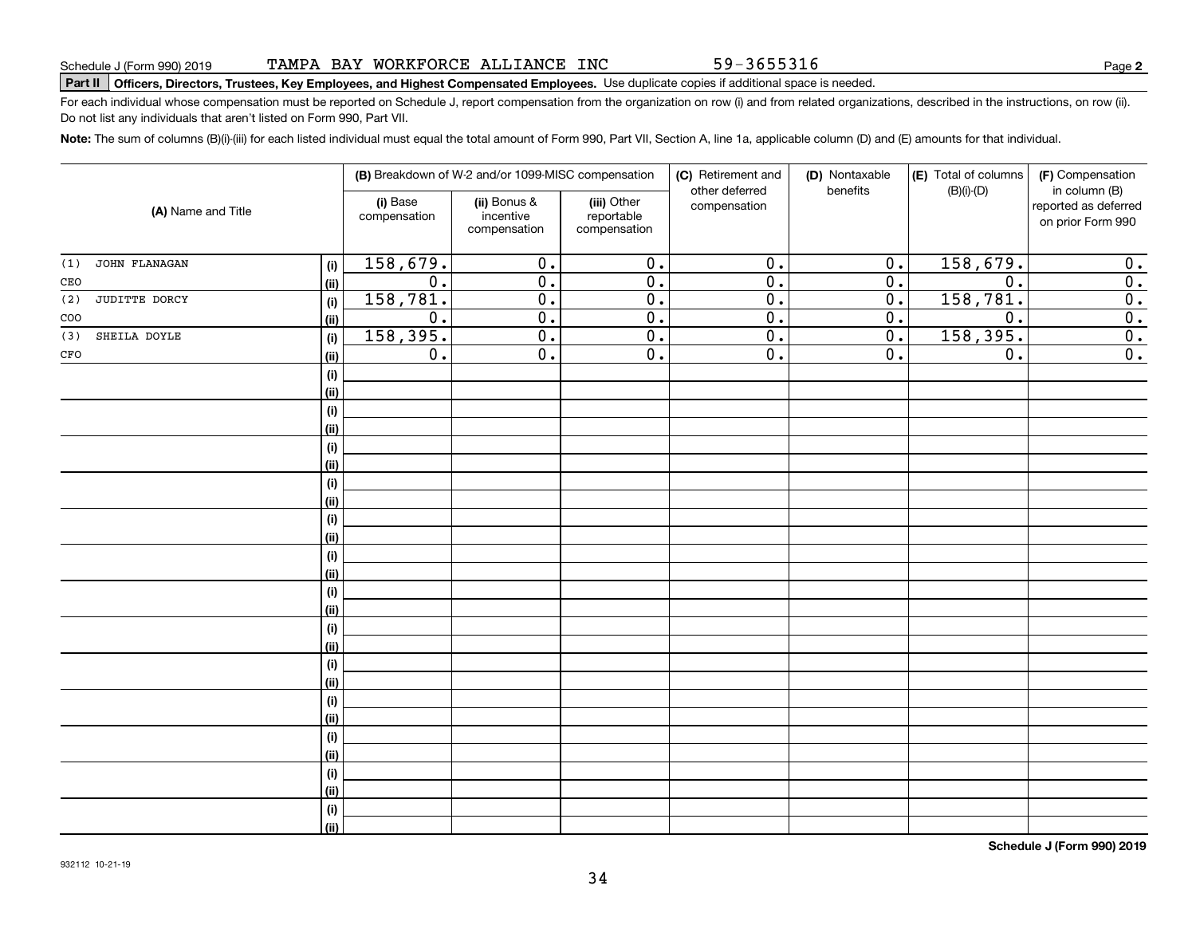#### TAMPA BAY WORKFORCE ALLIANCE INC

# **Part II Officers, Directors, Trustees, Key Employees, and Highest Compensated Employees.**  Schedule J (Form 990) 2019 Page Use duplicate copies if additional space is needed.

For each individual whose compensation must be reported on Schedule J, report compensation from the organization on row (i) and from related organizations, described in the instructions, on row (ii). Do not list any individuals that aren't listed on Form 990, Part VII.

**Note:**  The sum of columns (B)(i)-(iii) for each listed individual must equal the total amount of Form 990, Part VII, Section A, line 1a, applicable column (D) and (E) amounts for that individual.

| (A) Name and Title |               | (B) Breakdown of W-2 and/or 1099-MISC compensation |                                           |                                           | (C) Retirement and<br>(D) Nontaxable<br>other deferred<br>benefits |                  | (E) Total of columns<br>$(B)(i)-(D)$ | (F) Compensation<br>in column (B)         |                  |
|--------------------|---------------|----------------------------------------------------|-------------------------------------------|-------------------------------------------|--------------------------------------------------------------------|------------------|--------------------------------------|-------------------------------------------|------------------|
|                    |               | (i) Base<br>compensation                           | (ii) Bonus &<br>incentive<br>compensation | (iii) Other<br>reportable<br>compensation | compensation                                                       |                  |                                      | reported as deferred<br>on prior Form 990 |                  |
| (1)                | JOHN FLANAGAN | (i)                                                | 158,679.                                  | $\overline{0}$ .                          | $\overline{0}$ .                                                   | $\overline{0}$ . | 0.                                   | 158,679.                                  | 0.               |
| CEO                |               | (ii)                                               | $\overline{0}$ .                          | $\overline{0}$ .                          | $\overline{0}$ .                                                   | $\overline{0}$ . | $\overline{0}$ .                     | $\overline{0}$ .                          | $\overline{0}$ . |
| (2)                | JUDITTE DORCY | (i)                                                | 158,781.                                  | $\overline{0}$ .                          | $\overline{0}$ .                                                   | $\overline{0}$ . | $\overline{0}$ .                     | 158,781.                                  | $\overline{0}$ . |
| $\rm{COO}$         |               | (ii)                                               | $\overline{0}$ .                          | $\overline{0}$ .                          | $\overline{0}$ .                                                   | $\overline{0}$ . | $\overline{0}$ .                     | $\overline{0}$ .                          | $\overline{0}$ . |
| (3)                | SHEILA DOYLE  | (i)                                                | 158, 395.                                 | $\overline{0}$ .                          | $\overline{0}$ .                                                   | $\overline{0}$ . | $\overline{0}$ .                     | 158, 395.                                 | $\overline{0}$ . |
| CFO                |               | (ii)                                               | $\overline{0}$ .                          | $\overline{0}$ .                          | $\overline{0}$ .                                                   | $\overline{0}$ . | $\overline{0}$ .                     | $\overline{0}$ .                          | $\overline{0}$ . |
|                    |               | (i)                                                |                                           |                                           |                                                                    |                  |                                      |                                           |                  |
|                    |               | (ii)                                               |                                           |                                           |                                                                    |                  |                                      |                                           |                  |
|                    |               | (i)                                                |                                           |                                           |                                                                    |                  |                                      |                                           |                  |
|                    |               | (ii)                                               |                                           |                                           |                                                                    |                  |                                      |                                           |                  |
|                    |               | (i)                                                |                                           |                                           |                                                                    |                  |                                      |                                           |                  |
|                    |               | (ii)                                               |                                           |                                           |                                                                    |                  |                                      |                                           |                  |
|                    |               | (i)                                                |                                           |                                           |                                                                    |                  |                                      |                                           |                  |
|                    |               | (ii)                                               |                                           |                                           |                                                                    |                  |                                      |                                           |                  |
|                    |               | (i)                                                |                                           |                                           |                                                                    |                  |                                      |                                           |                  |
|                    |               | (ii)                                               |                                           |                                           |                                                                    |                  |                                      |                                           |                  |
|                    |               | (i)                                                |                                           |                                           |                                                                    |                  |                                      |                                           |                  |
|                    |               | (ii)                                               |                                           |                                           |                                                                    |                  |                                      |                                           |                  |
|                    |               | (i)<br>(ii)                                        |                                           |                                           |                                                                    |                  |                                      |                                           |                  |
|                    |               | (i)                                                |                                           |                                           |                                                                    |                  |                                      |                                           |                  |
|                    |               | (ii)                                               |                                           |                                           |                                                                    |                  |                                      |                                           |                  |
|                    |               | (i)                                                |                                           |                                           |                                                                    |                  |                                      |                                           |                  |
|                    |               | (ii)                                               |                                           |                                           |                                                                    |                  |                                      |                                           |                  |
|                    |               | (i)                                                |                                           |                                           |                                                                    |                  |                                      |                                           |                  |
|                    |               | (ii)                                               |                                           |                                           |                                                                    |                  |                                      |                                           |                  |
|                    |               | (i)                                                |                                           |                                           |                                                                    |                  |                                      |                                           |                  |
|                    |               | (ii)                                               |                                           |                                           |                                                                    |                  |                                      |                                           |                  |
|                    |               | (i)                                                |                                           |                                           |                                                                    |                  |                                      |                                           |                  |
|                    |               | (ii)                                               |                                           |                                           |                                                                    |                  |                                      |                                           |                  |
|                    |               | (i)                                                |                                           |                                           |                                                                    |                  |                                      |                                           |                  |
|                    |               | (ii)                                               |                                           |                                           |                                                                    |                  |                                      |                                           |                  |
|                    |               |                                                    |                                           |                                           |                                                                    |                  |                                      |                                           |                  |

**Schedule J (Form 990) 2019**

59-3655316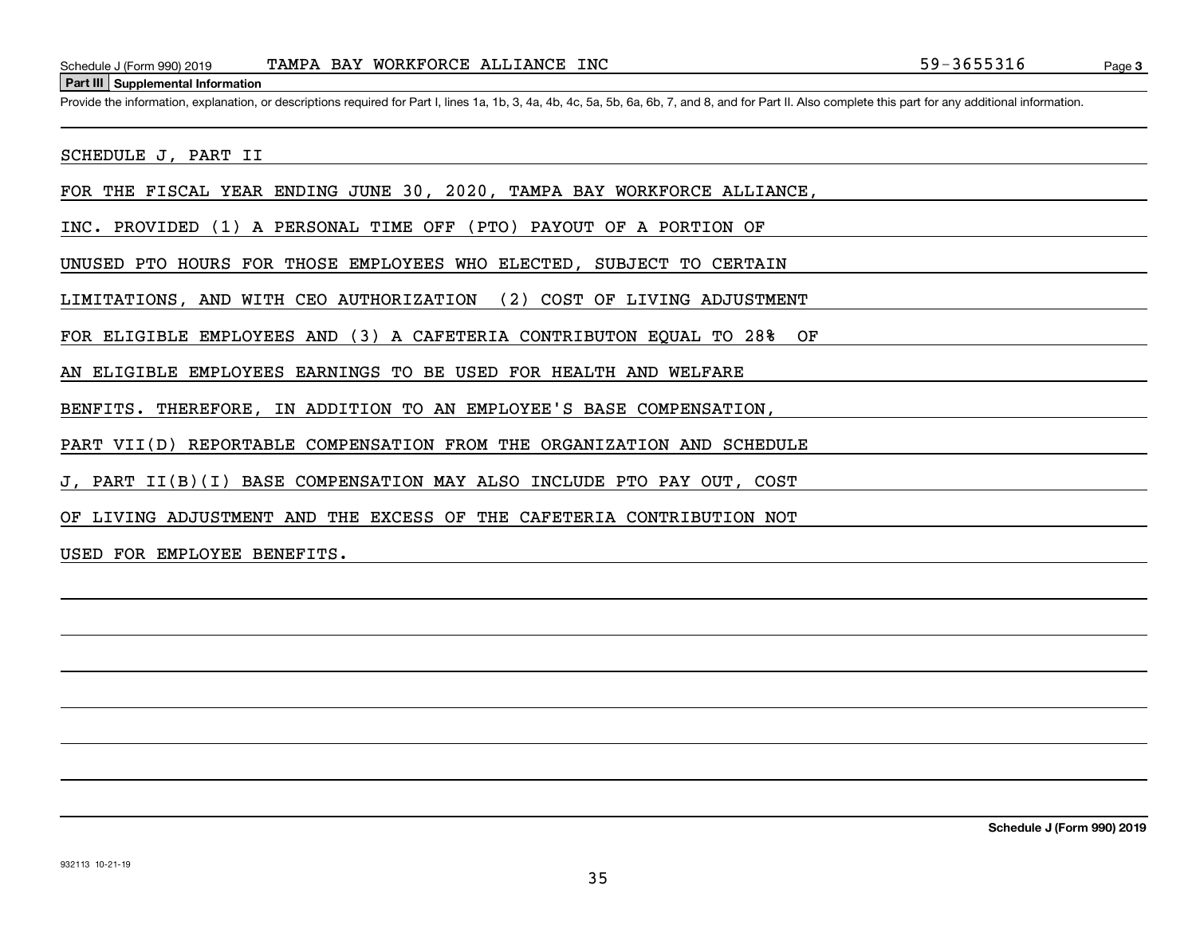#### **Part III Supplemental Information**

Schedule J (Form 990) 2019 TAMPA BAY WORKFORCE ALLIANCE INC<br>Part III Supplemental Information<br>Provide the information, explanation, or descriptions required for Part I, lines 1a, 1b, 3, 4a, 4b, 4c, 5a, 5b, 6a, 6b, 7, and 8

SCHEDULE J, PART II

FOR THE FISCAL YEAR ENDING JUNE 30, 2020, TAMPA BAY WORKFORCE ALLIANCE,

INC. PROVIDED (1) A PERSONAL TIME OFF (PTO) PAYOUT OF A PORTION OF

UNUSED PTO HOURS FOR THOSE EMPLOYEES WHO ELECTED, SUBJECT TO CERTAIN

LIMITATIONS, AND WITH CEO AUTHORIZATION (2) COST OF LIVING ADJUSTMENT

FOR ELIGIBLE EMPLOYEES AND (3) A CAFETERIA CONTRIBUTON EQUAL TO 28% OF

AN ELIGIBLE EMPLOYEES EARNINGS TO BE USED FOR HEALTH AND WELFARE

BENFITS. THEREFORE, IN ADDITION TO AN EMPLOYEE'S BASE COMPENSATION,

PART VII(D) REPORTABLE COMPENSATION FROM THE ORGANIZATION AND SCHEDULE

J, PART II(B)(I) BASE COMPENSATION MAY ALSO INCLUDE PTO PAY OUT, COST

OF LIVING ADJUSTMENT AND THE EXCESS OF THE CAFETERIA CONTRIBUTION NOT

USED FOR EMPLOYEE BENEFITS.

**Schedule J (Form 990) 2019**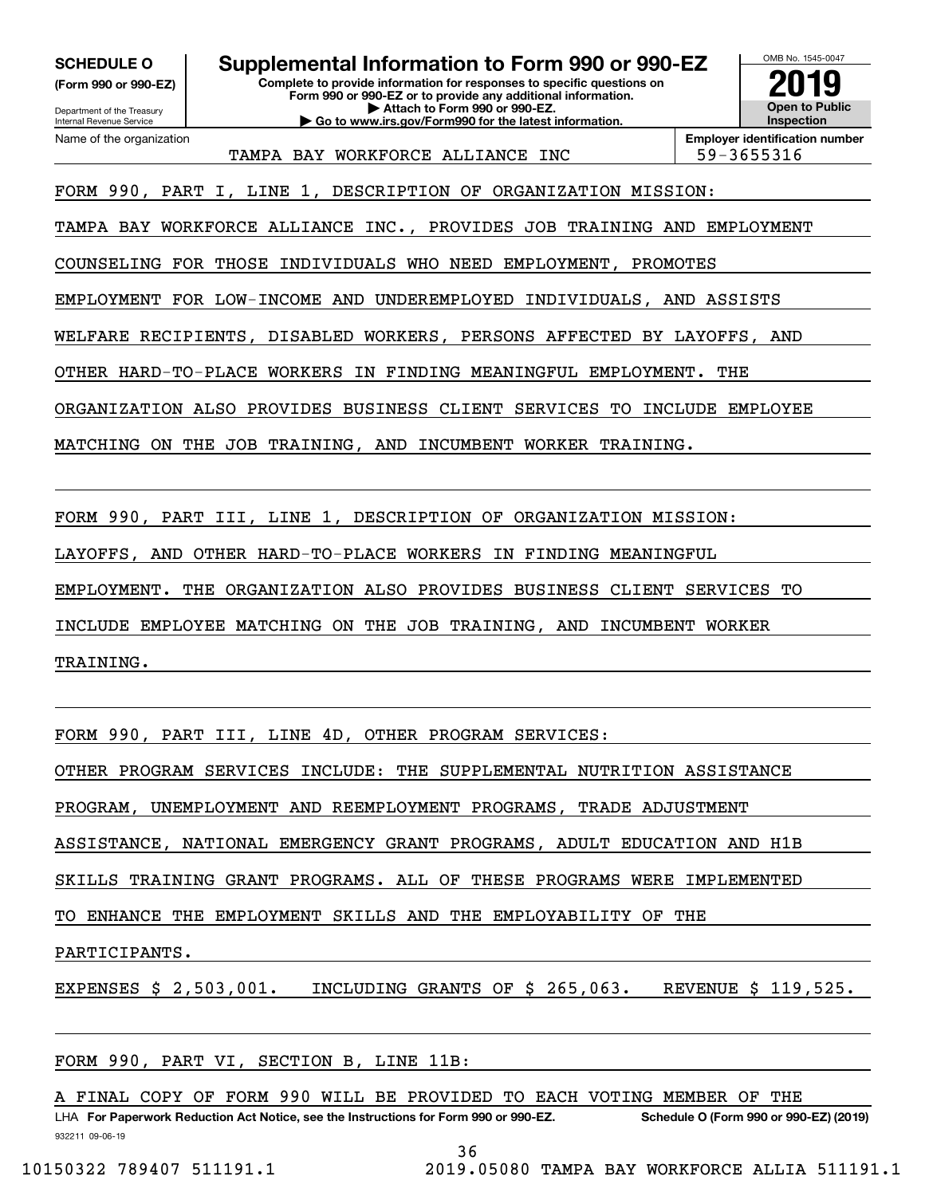Department of the Treasury **(Form 990 or 990-EZ)**

Name of the organization

Internal Revenue Service

#### **SCHEDULE O Supplemental Information to Form 990 or 990-EZ**

**Complete to provide information for responses to specific questions on Form 990 or 990-EZ or to provide any additional information. | Attach to Form 990 or 990-EZ. | Go to www.irs.gov/Form990 for the latest information.**



TAMPA BAY WORKFORCE ALLIANCE INC | 59-3655316

**Employer identification number**

FORM 990, PART I, LINE 1, DESCRIPTION OF ORGANIZATION MISSION:

TAMPA BAY WORKFORCE ALLIANCE INC., PROVIDES JOB TRAINING AND EMPLOYMENT

COUNSELING FOR THOSE INDIVIDUALS WHO NEED EMPLOYMENT, PROMOTES

EMPLOYMENT FOR LOW-INCOME AND UNDEREMPLOYED INDIVIDUALS, AND ASSISTS

WELFARE RECIPIENTS, DISABLED WORKERS, PERSONS AFFECTED BY LAYOFFS, AND

OTHER HARD-TO-PLACE WORKERS IN FINDING MEANINGFUL EMPLOYMENT. THE

ORGANIZATION ALSO PROVIDES BUSINESS CLIENT SERVICES TO INCLUDE EMPLOYEE

MATCHING ON THE JOB TRAINING, AND INCUMBENT WORKER TRAINING.

FORM 990, PART III, LINE 1, DESCRIPTION OF ORGANIZATION MISSION:

LAYOFFS, AND OTHER HARD-TO-PLACE WORKERS IN FINDING MEANINGFUL

EMPLOYMENT. THE ORGANIZATION ALSO PROVIDES BUSINESS CLIENT SERVICES TO

INCLUDE EMPLOYEE MATCHING ON THE JOB TRAINING, AND INCUMBENT WORKER

TRAINING.

FORM 990, PART III, LINE 4D, OTHER PROGRAM SERVICES:

OTHER PROGRAM SERVICES INCLUDE: THE SUPPLEMENTAL NUTRITION ASSISTANCE

PROGRAM, UNEMPLOYMENT AND REEMPLOYMENT PROGRAMS, TRADE ADJUSTMENT

ASSISTANCE, NATIONAL EMERGENCY GRANT PROGRAMS, ADULT EDUCATION AND H1B

SKILLS TRAINING GRANT PROGRAMS. ALL OF THESE PROGRAMS WERE IMPLEMENTED

TO ENHANCE THE EMPLOYMENT SKILLS AND THE EMPLOYABILITY OF THE

PARTICIPANTS.

EXPENSES \$ 2,503,001. INCLUDING GRANTS OF \$ 265,063. REVENUE \$ 119,525.

FORM 990, PART VI, SECTION B, LINE 11B:

A FINAL COPY OF FORM 990 WILL BE PROVIDED TO EACH VOTING MEMBER OF THE

932211 09-06-19 LHA For Paperwork Reduction Act Notice, see the Instructions for Form 990 or 990-EZ. Schedule O (Form 990 or 990-EZ) (2019)

36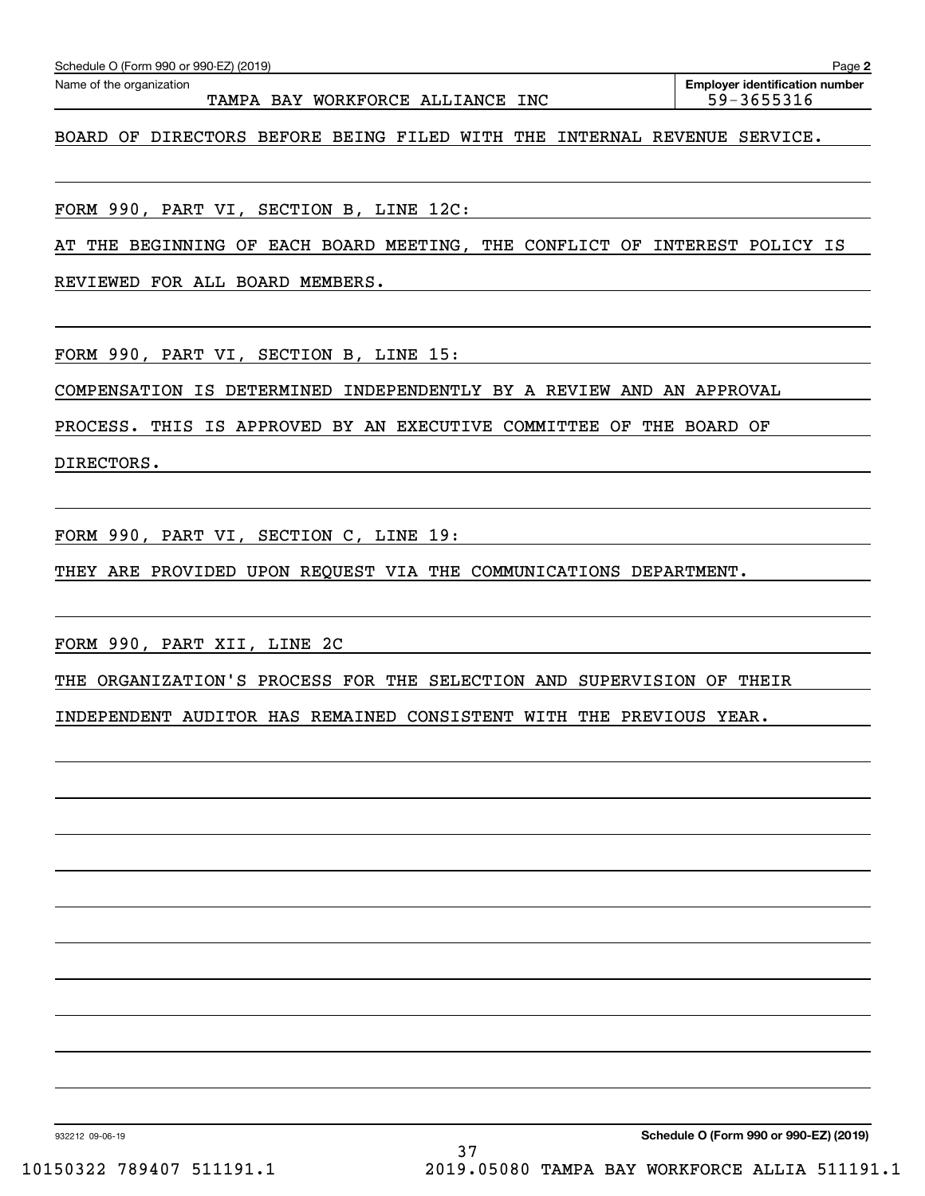| TAMPA BAY WORKFORCE ALLIANCE INC                                           | 59-3655316 |
|----------------------------------------------------------------------------|------------|
| BOARD OF DIRECTORS BEFORE BEING FILED WITH THE INTERNAL REVENUE SERVICE.   |            |
|                                                                            |            |
| FORM 990, PART VI, SECTION B, LINE 12C:                                    |            |
|                                                                            |            |
| AT THE BEGINNING OF EACH BOARD MEETING, THE CONFLICT OF INTEREST POLICY IS |            |

Echedule O (Form 990 or 990-EZ) (2019)<br>Name of the organization **number** Name of the organization **page Name of the organization number** 

**2**

REVIEWED FOR ALL BOARD MEMBERS.

FORM 990, PART VI, SECTION B, LINE 15:

COMPENSATION IS DETERMINED INDEPENDENTLY BY A REVIEW AND AN APPROVAL

PROCESS. THIS IS APPROVED BY AN EXECUTIVE COMMITTEE OF THE BOARD OF

DIRECTORS.

FORM 990, PART VI, SECTION C, LINE 19:

THEY ARE PROVIDED UPON REQUEST VIA THE COMMUNICATIONS DEPARTMENT.

FORM 990, PART XII, LINE 2C

THE ORGANIZATION'S PROCESS FOR THE SELECTION AND SUPERVISION OF THEIR

INDEPENDENT AUDITOR HAS REMAINED CONSISTENT WITH THE PREVIOUS YEAR.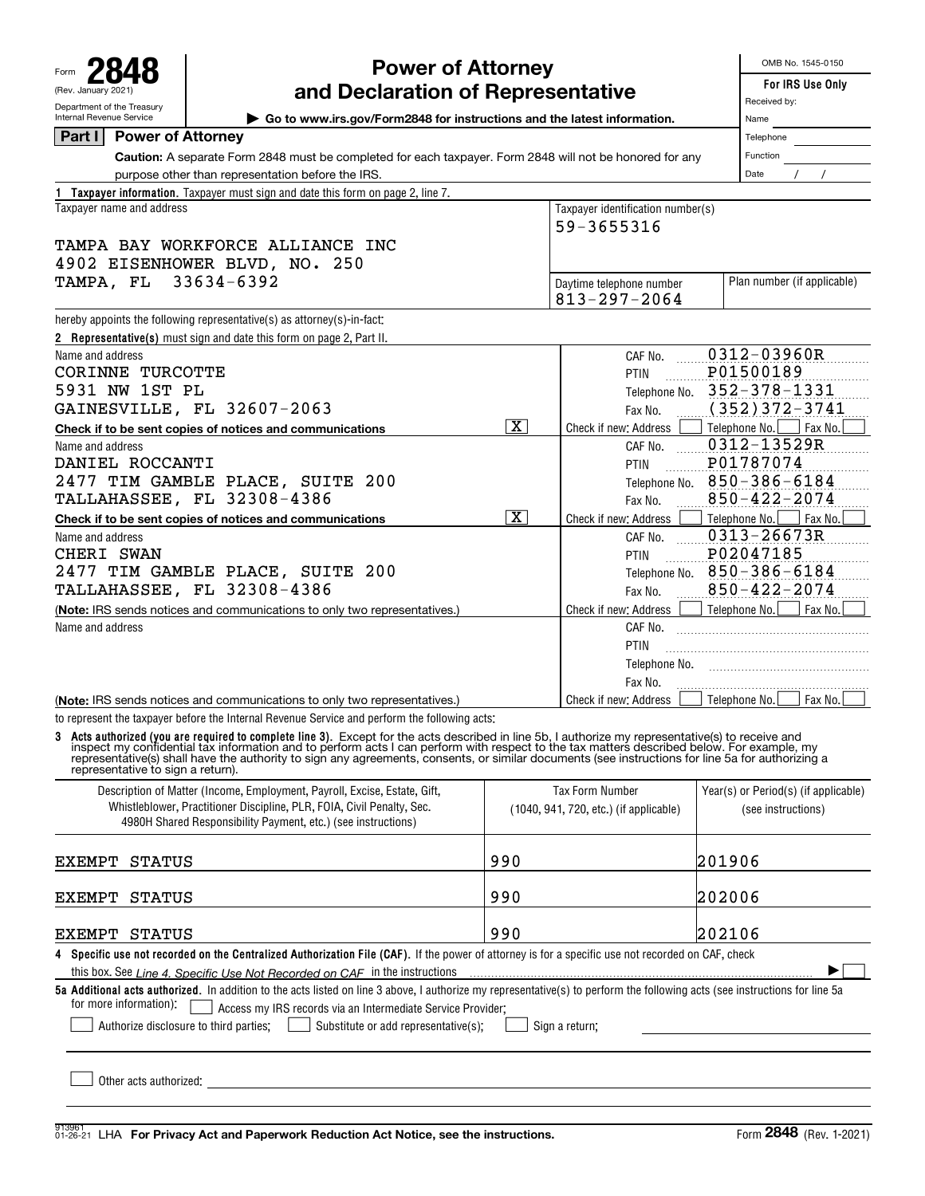Form **2848** (Rev. January 2021) Department of the Treasury

# **Power of Attorney**

OMB No. 1545-0150

|  | For IRS Use Or |  |
|--|----------------|--|
|  |                |  |

| (Rev. January 2021)                                                                                                                                | For IRS Use Only<br>Received by:                                                                                                                                                                                                                                                                                                                                                    |                         |                                                                  |                                                            |  |  |  |  |  |  |
|----------------------------------------------------------------------------------------------------------------------------------------------------|-------------------------------------------------------------------------------------------------------------------------------------------------------------------------------------------------------------------------------------------------------------------------------------------------------------------------------------------------------------------------------------|-------------------------|------------------------------------------------------------------|------------------------------------------------------------|--|--|--|--|--|--|
| Department of the Treasury<br>Internal Revenue Service                                                                                             | and Declaration of Representative<br>► Go to www.irs.gov/Form2848 for instructions and the latest information.                                                                                                                                                                                                                                                                      | Name                    |                                                                  |                                                            |  |  |  |  |  |  |
| <b>Power of Attorney</b><br>Part I                                                                                                                 |                                                                                                                                                                                                                                                                                                                                                                                     | Telephone               |                                                                  |                                                            |  |  |  |  |  |  |
|                                                                                                                                                    | Caution: A separate Form 2848 must be completed for each taxpayer. Form 2848 will not be honored for any                                                                                                                                                                                                                                                                            |                         |                                                                  | Function                                                   |  |  |  |  |  |  |
| purpose other than representation before the IRS.                                                                                                  | Date                                                                                                                                                                                                                                                                                                                                                                                |                         |                                                                  |                                                            |  |  |  |  |  |  |
|                                                                                                                                                    | 1 Taxpayer information. Taxpayer must sign and date this form on page 2, line 7.                                                                                                                                                                                                                                                                                                    |                         |                                                                  |                                                            |  |  |  |  |  |  |
| Taxpayer identification number(s)<br>Taxpayer name and address                                                                                     |                                                                                                                                                                                                                                                                                                                                                                                     |                         |                                                                  |                                                            |  |  |  |  |  |  |
| 59-3655316                                                                                                                                         |                                                                                                                                                                                                                                                                                                                                                                                     |                         |                                                                  |                                                            |  |  |  |  |  |  |
| TAMPA BAY WORKFORCE ALLIANCE INC                                                                                                                   |                                                                                                                                                                                                                                                                                                                                                                                     |                         |                                                                  |                                                            |  |  |  |  |  |  |
| 4902 EISENHOWER BLVD, NO. 250                                                                                                                      |                                                                                                                                                                                                                                                                                                                                                                                     |                         |                                                                  |                                                            |  |  |  |  |  |  |
|                                                                                                                                                    | TAMPA, FL<br>33634-6392<br>Plan number (if applicable)<br>Daytime telephone number                                                                                                                                                                                                                                                                                                  |                         |                                                                  |                                                            |  |  |  |  |  |  |
|                                                                                                                                                    |                                                                                                                                                                                                                                                                                                                                                                                     |                         |                                                                  |                                                            |  |  |  |  |  |  |
|                                                                                                                                                    | hereby appoints the following representative(s) as attorney(s)-in-fact:                                                                                                                                                                                                                                                                                                             |                         |                                                                  |                                                            |  |  |  |  |  |  |
|                                                                                                                                                    | 2 Representative(s) must sign and date this form on page 2, Part II.                                                                                                                                                                                                                                                                                                                |                         |                                                                  |                                                            |  |  |  |  |  |  |
| Name and address                                                                                                                                   |                                                                                                                                                                                                                                                                                                                                                                                     |                         | CAF No.                                                          | 0312-03960R                                                |  |  |  |  |  |  |
| CORINNE TURCOTTE                                                                                                                                   |                                                                                                                                                                                                                                                                                                                                                                                     |                         | PTIN                                                             | P01500189                                                  |  |  |  |  |  |  |
| 5931 NW 1ST PL                                                                                                                                     |                                                                                                                                                                                                                                                                                                                                                                                     |                         | Telephone No.                                                    | 352-378-1331                                               |  |  |  |  |  |  |
|                                                                                                                                                    | GAINESVILLE, FL 32607-2063                                                                                                                                                                                                                                                                                                                                                          |                         | Fax No.                                                          | $(352)372 - 3741$                                          |  |  |  |  |  |  |
|                                                                                                                                                    | Check if to be sent copies of notices and communications                                                                                                                                                                                                                                                                                                                            | $\overline{\mathbf{x}}$ | Check if new: Address                                            | Telephone No.<br>Fax No.                                   |  |  |  |  |  |  |
| Name and address                                                                                                                                   |                                                                                                                                                                                                                                                                                                                                                                                     |                         | CAF No.                                                          | 0312-13529R                                                |  |  |  |  |  |  |
| DANIEL ROCCANTI                                                                                                                                    |                                                                                                                                                                                                                                                                                                                                                                                     |                         | PTIN                                                             | P01787074                                                  |  |  |  |  |  |  |
|                                                                                                                                                    | 2477 TIM GAMBLE PLACE, SUITE 200<br>TALLAHASSEE, FL 32308-4386                                                                                                                                                                                                                                                                                                                      |                         | Telephone No.                                                    | $850 - 386 - 6184$<br>$850 - 422 - 2074$                   |  |  |  |  |  |  |
|                                                                                                                                                    |                                                                                                                                                                                                                                                                                                                                                                                     | $\overline{\mathbf{x}}$ | Fax No.                                                          |                                                            |  |  |  |  |  |  |
| Name and address                                                                                                                                   | Check if to be sent copies of notices and communications                                                                                                                                                                                                                                                                                                                            |                         | Check if new: Address<br>CAF No.                                 | Telephone No.<br>Fax No.<br>0313-26673R                    |  |  |  |  |  |  |
| CHERI SWAN                                                                                                                                         |                                                                                                                                                                                                                                                                                                                                                                                     |                         | PTIN                                                             | P02047185                                                  |  |  |  |  |  |  |
| 2477 TIM GAMBLE PLACE, SUITE 200                                                                                                                   | $850 - 386 - 6184$<br>Telephone No.                                                                                                                                                                                                                                                                                                                                                 |                         |                                                                  |                                                            |  |  |  |  |  |  |
| <b>TALLAHASSEE, FL 32308-4386</b>                                                                                                                  | $850 - 422 - 2074$                                                                                                                                                                                                                                                                                                                                                                  |                         |                                                                  |                                                            |  |  |  |  |  |  |
| (Note: IRS sends notices and communications to only two representatives.)                                                                          | Fax No.<br>Telephone No.                                                                                                                                                                                                                                                                                                                                                            |                         |                                                                  |                                                            |  |  |  |  |  |  |
| Name and address                                                                                                                                   |                                                                                                                                                                                                                                                                                                                                                                                     |                         | Check if new: Address<br>CAF No.                                 |                                                            |  |  |  |  |  |  |
|                                                                                                                                                    |                                                                                                                                                                                                                                                                                                                                                                                     |                         | PTIN                                                             |                                                            |  |  |  |  |  |  |
|                                                                                                                                                    |                                                                                                                                                                                                                                                                                                                                                                                     |                         | Telephone No.                                                    |                                                            |  |  |  |  |  |  |
|                                                                                                                                                    |                                                                                                                                                                                                                                                                                                                                                                                     |                         | Fax No.                                                          |                                                            |  |  |  |  |  |  |
|                                                                                                                                                    | (Note: IRS sends notices and communications to only two representatives.)                                                                                                                                                                                                                                                                                                           |                         | Check if new: Address                                            | Fax No.<br>Telephone No.                                   |  |  |  |  |  |  |
|                                                                                                                                                    | to represent the taxpayer before the Internal Revenue Service and perform the following acts:                                                                                                                                                                                                                                                                                       |                         |                                                                  |                                                            |  |  |  |  |  |  |
| representative to sign a return).                                                                                                                  | 3 Acts authorized (you are required to complete line 3). Except for the acts described in line 5b, I authorize my representative(s) to receive and inspect my confidential tax information and to perform acts I can perform w<br>representative(s) shall have the authority to sign any agreements, consents, or similar documents (see instructions for line 5a for authorizing a |                         |                                                                  |                                                            |  |  |  |  |  |  |
|                                                                                                                                                    | Description of Matter (Income, Employment, Payroll, Excise, Estate, Gift,<br>Whistleblower, Practitioner Discipline, PLR, FOIA, Civil Penalty, Sec.<br>4980H Shared Responsibility Payment, etc.) (see instructions)                                                                                                                                                                |                         | <b>Tax Form Number</b><br>(1040, 941, 720, etc.) (if applicable) | Year(s) or Period(s) (if applicable)<br>(see instructions) |  |  |  |  |  |  |
| EXEMPT<br><b>STATUS</b>                                                                                                                            |                                                                                                                                                                                                                                                                                                                                                                                     | 990                     |                                                                  | 201906                                                     |  |  |  |  |  |  |
| <b>STATUS</b><br>EXEMPT                                                                                                                            |                                                                                                                                                                                                                                                                                                                                                                                     | 990                     |                                                                  | 202006                                                     |  |  |  |  |  |  |
| EXEMPT STATUS                                                                                                                                      | 202106                                                                                                                                                                                                                                                                                                                                                                              |                         |                                                                  |                                                            |  |  |  |  |  |  |
| 4 Specific use not recorded on the Centralized Authorization File (CAF). If the power of attorney is for a specific use not recorded on CAF, check |                                                                                                                                                                                                                                                                                                                                                                                     |                         |                                                                  |                                                            |  |  |  |  |  |  |
| this box. See Line 4. Specific Use Not Recorded on CAF in the instructions                                                                         |                                                                                                                                                                                                                                                                                                                                                                                     |                         |                                                                  |                                                            |  |  |  |  |  |  |
| for more information):                                                                                                                             | 5a Additional acts authorized. In addition to the acts listed on line 3 above, I authorize my representative(s) to perform the following acts (see instructions for line 5a<br>Access my IRS records via an Intermediate Service Provider;<br>Authorize disclosure to third parties;<br>Substitute or add representative(s);                                                        |                         | Sign a return;                                                   |                                                            |  |  |  |  |  |  |
|                                                                                                                                                    |                                                                                                                                                                                                                                                                                                                                                                                     |                         |                                                                  |                                                            |  |  |  |  |  |  |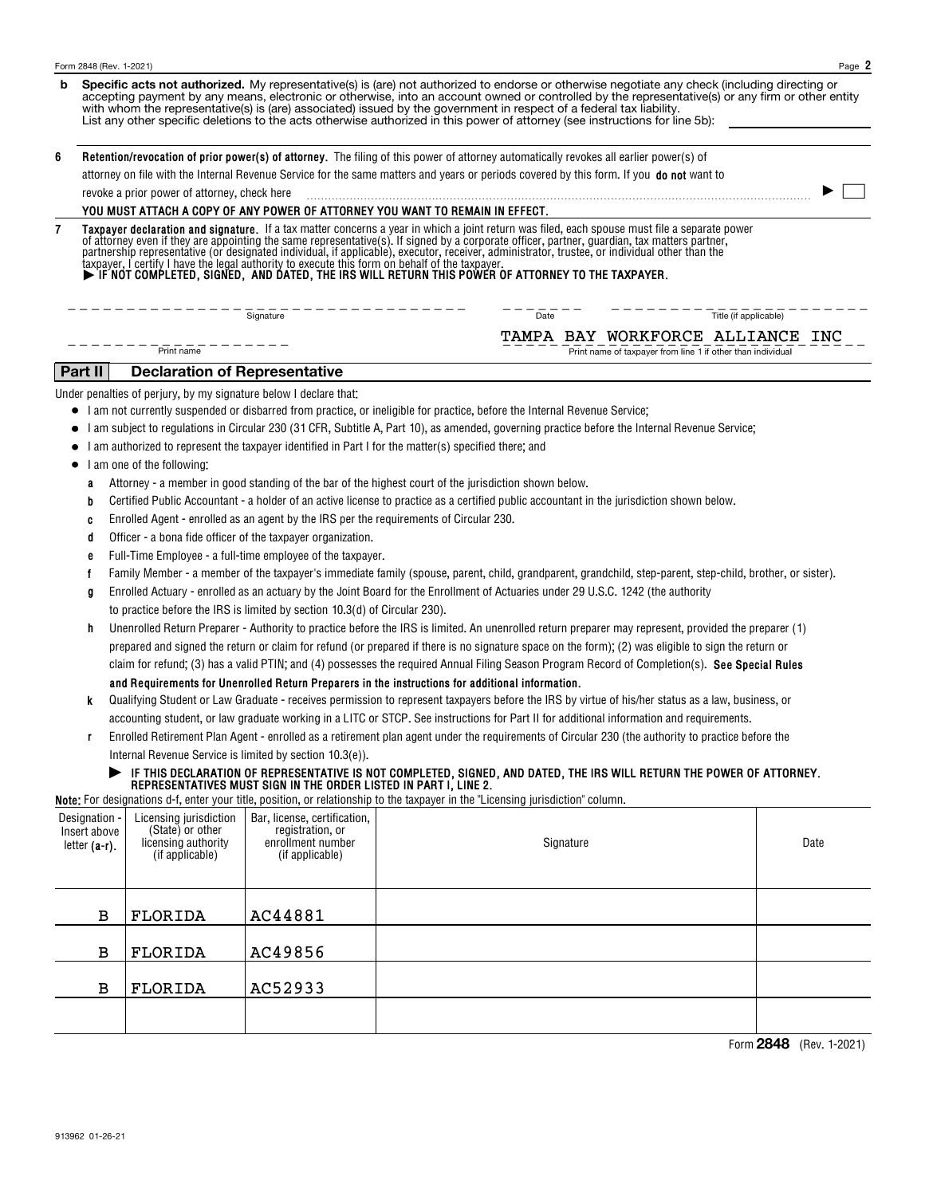| b              | Specific acts not authorized. My representative(s) is (are) not authorized to endorse or otherwise negotiate any check (including directing or<br>accepting payment by any means, electronic or otherwise, into an account owned or controlled by the representative(s) or any firm or other entity<br>with whom the representative(s) is (are) associated) issued by the government in respect of a federal tax liability.<br>List any other specific deletions to the acts otherwise authorized in this power of attorney (see instructions for line 5b): |                                                                                      |                                                                                                                                                                                                                                                                                                                                         |                                                                                                                                                                                                                                                                                                                                                                                                                                                                                                                                                                                                                                                                                                                                                                                                                                                                                                                                                                                                                                                                                                                                                                                                                                                                                                                                                                                                                                                                                                                                                                                                                                                                                                                                                                                                                                                                                                                                                                                                                                                                                                                                                                                                                                                                                                                               |                                                             |  |                       |  |  |  |  |
|----------------|-------------------------------------------------------------------------------------------------------------------------------------------------------------------------------------------------------------------------------------------------------------------------------------------------------------------------------------------------------------------------------------------------------------------------------------------------------------------------------------------------------------------------------------------------------------|--------------------------------------------------------------------------------------|-----------------------------------------------------------------------------------------------------------------------------------------------------------------------------------------------------------------------------------------------------------------------------------------------------------------------------------------|-------------------------------------------------------------------------------------------------------------------------------------------------------------------------------------------------------------------------------------------------------------------------------------------------------------------------------------------------------------------------------------------------------------------------------------------------------------------------------------------------------------------------------------------------------------------------------------------------------------------------------------------------------------------------------------------------------------------------------------------------------------------------------------------------------------------------------------------------------------------------------------------------------------------------------------------------------------------------------------------------------------------------------------------------------------------------------------------------------------------------------------------------------------------------------------------------------------------------------------------------------------------------------------------------------------------------------------------------------------------------------------------------------------------------------------------------------------------------------------------------------------------------------------------------------------------------------------------------------------------------------------------------------------------------------------------------------------------------------------------------------------------------------------------------------------------------------------------------------------------------------------------------------------------------------------------------------------------------------------------------------------------------------------------------------------------------------------------------------------------------------------------------------------------------------------------------------------------------------------------------------------------------------------------------------------------------------|-------------------------------------------------------------|--|-----------------------|--|--|--|--|
| 6              | Retention/revocation of prior power(s) of attorney. The filing of this power of attorney automatically revokes all earlier power(s) of                                                                                                                                                                                                                                                                                                                                                                                                                      |                                                                                      |                                                                                                                                                                                                                                                                                                                                         |                                                                                                                                                                                                                                                                                                                                                                                                                                                                                                                                                                                                                                                                                                                                                                                                                                                                                                                                                                                                                                                                                                                                                                                                                                                                                                                                                                                                                                                                                                                                                                                                                                                                                                                                                                                                                                                                                                                                                                                                                                                                                                                                                                                                                                                                                                                               |                                                             |  |                       |  |  |  |  |
|                | attorney on file with the Internal Revenue Service for the same matters and years or periods covered by this form. If you do not want to                                                                                                                                                                                                                                                                                                                                                                                                                    |                                                                                      |                                                                                                                                                                                                                                                                                                                                         |                                                                                                                                                                                                                                                                                                                                                                                                                                                                                                                                                                                                                                                                                                                                                                                                                                                                                                                                                                                                                                                                                                                                                                                                                                                                                                                                                                                                                                                                                                                                                                                                                                                                                                                                                                                                                                                                                                                                                                                                                                                                                                                                                                                                                                                                                                                               |                                                             |  |                       |  |  |  |  |
|                | revoke a prior power of attorney, check here                                                                                                                                                                                                                                                                                                                                                                                                                                                                                                                |                                                                                      |                                                                                                                                                                                                                                                                                                                                         |                                                                                                                                                                                                                                                                                                                                                                                                                                                                                                                                                                                                                                                                                                                                                                                                                                                                                                                                                                                                                                                                                                                                                                                                                                                                                                                                                                                                                                                                                                                                                                                                                                                                                                                                                                                                                                                                                                                                                                                                                                                                                                                                                                                                                                                                                                                               |                                                             |  |                       |  |  |  |  |
|                | YOU MUST ATTACH A COPY OF ANY POWER OF ATTORNEY YOU WANT TO REMAIN IN EFFECT.                                                                                                                                                                                                                                                                                                                                                                                                                                                                               |                                                                                      |                                                                                                                                                                                                                                                                                                                                         |                                                                                                                                                                                                                                                                                                                                                                                                                                                                                                                                                                                                                                                                                                                                                                                                                                                                                                                                                                                                                                                                                                                                                                                                                                                                                                                                                                                                                                                                                                                                                                                                                                                                                                                                                                                                                                                                                                                                                                                                                                                                                                                                                                                                                                                                                                                               |                                                             |  |                       |  |  |  |  |
| $\overline{7}$ | Taxpayer declaration and signature. If a tax matter concerns a year in which a joint return was filed, each spouse must file a separate power of attorney even if they are appointing the same representative(s). If signed by                                                                                                                                                                                                                                                                                                                              |                                                                                      |                                                                                                                                                                                                                                                                                                                                         |                                                                                                                                                                                                                                                                                                                                                                                                                                                                                                                                                                                                                                                                                                                                                                                                                                                                                                                                                                                                                                                                                                                                                                                                                                                                                                                                                                                                                                                                                                                                                                                                                                                                                                                                                                                                                                                                                                                                                                                                                                                                                                                                                                                                                                                                                                                               |                                                             |  |                       |  |  |  |  |
|                | Signature<br>Title (if applicable)<br>Date<br>TAMPA BAY WORKFORCE ALLIANCE INC                                                                                                                                                                                                                                                                                                                                                                                                                                                                              |                                                                                      |                                                                                                                                                                                                                                                                                                                                         |                                                                                                                                                                                                                                                                                                                                                                                                                                                                                                                                                                                                                                                                                                                                                                                                                                                                                                                                                                                                                                                                                                                                                                                                                                                                                                                                                                                                                                                                                                                                                                                                                                                                                                                                                                                                                                                                                                                                                                                                                                                                                                                                                                                                                                                                                                                               |                                                             |  |                       |  |  |  |  |
|                |                                                                                                                                                                                                                                                                                                                                                                                                                                                                                                                                                             | Print name                                                                           |                                                                                                                                                                                                                                                                                                                                         |                                                                                                                                                                                                                                                                                                                                                                                                                                                                                                                                                                                                                                                                                                                                                                                                                                                                                                                                                                                                                                                                                                                                                                                                                                                                                                                                                                                                                                                                                                                                                                                                                                                                                                                                                                                                                                                                                                                                                                                                                                                                                                                                                                                                                                                                                                                               | Print name of taxpayer from line 1 if other than individual |  |                       |  |  |  |  |
|                | Part II                                                                                                                                                                                                                                                                                                                                                                                                                                                                                                                                                     | <b>Declaration of Representative</b>                                                 |                                                                                                                                                                                                                                                                                                                                         |                                                                                                                                                                                                                                                                                                                                                                                                                                                                                                                                                                                                                                                                                                                                                                                                                                                                                                                                                                                                                                                                                                                                                                                                                                                                                                                                                                                                                                                                                                                                                                                                                                                                                                                                                                                                                                                                                                                                                                                                                                                                                                                                                                                                                                                                                                                               |                                                             |  |                       |  |  |  |  |
|                |                                                                                                                                                                                                                                                                                                                                                                                                                                                                                                                                                             | Under penalties of perjury, by my signature below I declare that:                    |                                                                                                                                                                                                                                                                                                                                         |                                                                                                                                                                                                                                                                                                                                                                                                                                                                                                                                                                                                                                                                                                                                                                                                                                                                                                                                                                                                                                                                                                                                                                                                                                                                                                                                                                                                                                                                                                                                                                                                                                                                                                                                                                                                                                                                                                                                                                                                                                                                                                                                                                                                                                                                                                                               |                                                             |  |                       |  |  |  |  |
|                | ٠<br>a<br>b<br>C<br>d<br>е<br>Ť<br>g<br>h<br>k<br>r                                                                                                                                                                                                                                                                                                                                                                                                                                                                                                         | I am one of the following:                                                           | Officer - a bona fide officer of the taxpayer organization.<br>Full-Time Employee - a full-time employee of the taxpayer.<br>to practice before the IRS is limited by section 10.3(d) of Circular 230).<br>Internal Revenue Service is limited by section 10.3(e)).<br>REPRESENTATIVES MUST SIGN IN THE ORDER LISTED IN PART I, LINE 2. | • I am not currently suspended or disbarred from practice, or ineligible for practice, before the Internal Revenue Service;<br>I am subject to regulations in Circular 230 (31 CFR, Subtitle A, Part 10), as amended, governing practice before the Internal Revenue Service;<br>I am authorized to represent the taxpayer identified in Part I for the matter(s) specified there; and<br>Attorney - a member in good standing of the bar of the highest court of the jurisdiction shown below.<br>Certified Public Accountant - a holder of an active license to practice as a certified public accountant in the jurisdiction shown below.<br>Enrolled Agent - enrolled as an agent by the IRS per the requirements of Circular 230.<br>Family Member - a member of the taxpayer's immediate family (spouse, parent, child, grandparent, grandchild, step-parent, step-child, brother, or sister).<br>Enrolled Actuary - enrolled as an actuary by the Joint Board for the Enrollment of Actuaries under 29 U.S.C. 1242 (the authority<br>Unenrolled Return Preparer - Authority to practice before the IRS is limited. An unenrolled return preparer may represent, provided the preparer (1)<br>prepared and signed the return or claim for refund (or prepared if there is no signature space on the form); (2) was eligible to sign the return or<br>claim for refund; (3) has a valid PTIN; and (4) possesses the required Annual Filing Season Program Record of Completion(s). See Special Rules<br>and Requirements for Unenrolled Return Preparers in the instructions for additional information.<br>Qualifying Student or Law Graduate - receives permission to represent taxpayers before the IRS by virtue of his/her status as a law, business, or<br>accounting student, or law graduate working in a LITC or STCP. See instructions for Part II for additional information and requirements.<br>Enrolled Retirement Plan Agent - enrolled as a retirement plan agent under the requirements of Circular 230 (the authority to practice before the<br>FIHIS DECLARATION OF REPRESENTATIVE IS NOT COMPLETED, SIGNED, AND DATED, THE IRS WILL RETURN THE POWER OF ATTORNEY.<br>Note: For designations d-f, enter your title, position, or relationship to the taxpayer in the "Licensing jurisdiction" column. |                                                             |  |                       |  |  |  |  |
|                |                                                                                                                                                                                                                                                                                                                                                                                                                                                                                                                                                             |                                                                                      |                                                                                                                                                                                                                                                                                                                                         |                                                                                                                                                                                                                                                                                                                                                                                                                                                                                                                                                                                                                                                                                                                                                                                                                                                                                                                                                                                                                                                                                                                                                                                                                                                                                                                                                                                                                                                                                                                                                                                                                                                                                                                                                                                                                                                                                                                                                                                                                                                                                                                                                                                                                                                                                                                               |                                                             |  |                       |  |  |  |  |
|                | Designation ·<br>Insert above<br>letter $(a-r)$ .                                                                                                                                                                                                                                                                                                                                                                                                                                                                                                           | Licensing jurisdiction<br>(State) or other<br>licensing authority<br>(if applicable) | Bar, license, certification,<br>registration, or<br>enrollment number<br>(if applicable)                                                                                                                                                                                                                                                |                                                                                                                                                                                                                                                                                                                                                                                                                                                                                                                                                                                                                                                                                                                                                                                                                                                                                                                                                                                                                                                                                                                                                                                                                                                                                                                                                                                                                                                                                                                                                                                                                                                                                                                                                                                                                                                                                                                                                                                                                                                                                                                                                                                                                                                                                                                               | Signature                                                   |  | Date                  |  |  |  |  |
|                | $\mathbf B$                                                                                                                                                                                                                                                                                                                                                                                                                                                                                                                                                 | FLORIDA                                                                              | AC44881                                                                                                                                                                                                                                                                                                                                 |                                                                                                                                                                                                                                                                                                                                                                                                                                                                                                                                                                                                                                                                                                                                                                                                                                                                                                                                                                                                                                                                                                                                                                                                                                                                                                                                                                                                                                                                                                                                                                                                                                                                                                                                                                                                                                                                                                                                                                                                                                                                                                                                                                                                                                                                                                                               |                                                             |  |                       |  |  |  |  |
|                | $\mathbf B$                                                                                                                                                                                                                                                                                                                                                                                                                                                                                                                                                 | FLORIDA                                                                              | AC49856                                                                                                                                                                                                                                                                                                                                 |                                                                                                                                                                                                                                                                                                                                                                                                                                                                                                                                                                                                                                                                                                                                                                                                                                                                                                                                                                                                                                                                                                                                                                                                                                                                                                                                                                                                                                                                                                                                                                                                                                                                                                                                                                                                                                                                                                                                                                                                                                                                                                                                                                                                                                                                                                                               |                                                             |  |                       |  |  |  |  |
|                | $\mathbf B$                                                                                                                                                                                                                                                                                                                                                                                                                                                                                                                                                 | FLORIDA                                                                              | AC52933                                                                                                                                                                                                                                                                                                                                 |                                                                                                                                                                                                                                                                                                                                                                                                                                                                                                                                                                                                                                                                                                                                                                                                                                                                                                                                                                                                                                                                                                                                                                                                                                                                                                                                                                                                                                                                                                                                                                                                                                                                                                                                                                                                                                                                                                                                                                                                                                                                                                                                                                                                                                                                                                                               |                                                             |  |                       |  |  |  |  |
|                |                                                                                                                                                                                                                                                                                                                                                                                                                                                                                                                                                             |                                                                                      |                                                                                                                                                                                                                                                                                                                                         |                                                                                                                                                                                                                                                                                                                                                                                                                                                                                                                                                                                                                                                                                                                                                                                                                                                                                                                                                                                                                                                                                                                                                                                                                                                                                                                                                                                                                                                                                                                                                                                                                                                                                                                                                                                                                                                                                                                                                                                                                                                                                                                                                                                                                                                                                                                               |                                                             |  | Form 9848 (Dov 19091) |  |  |  |  |

Form (Rev. 1-2021) **2848**

**2**

Form 2848 (Rev. 1-2021)